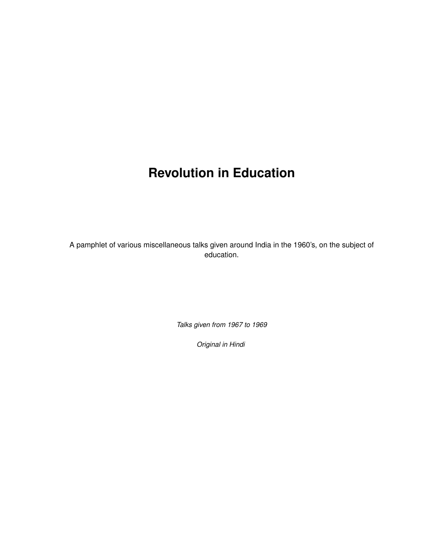# **Revolution in Education**

A pamphlet of various miscellaneous talks given around India in the 1960's, on the subject of education.

*Talks given from 1967 to 1969*

*Original in Hindi*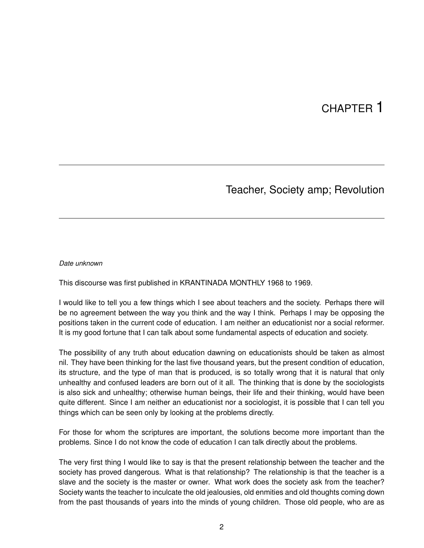## CHAPTER 1

### Teacher, Society amp; Revolution

#### *Date unknown*

This discourse was first published in KRANTINADA MONTHLY 1968 to 1969.

I would like to tell you a few things which I see about teachers and the society. Perhaps there will be no agreement between the way you think and the way I think. Perhaps I may be opposing the positions taken in the current code of education. I am neither an educationist nor a social reformer. It is my good fortune that I can talk about some fundamental aspects of education and society.

The possibility of any truth about education dawning on educationists should be taken as almost nil. They have been thinking for the last five thousand years, but the present condition of education, its structure, and the type of man that is produced, is so totally wrong that it is natural that only unhealthy and confused leaders are born out of it all. The thinking that is done by the sociologists is also sick and unhealthy; otherwise human beings, their life and their thinking, would have been quite different. Since I am neither an educationist nor a sociologist, it is possible that I can tell you things which can be seen only by looking at the problems directly.

For those for whom the scriptures are important, the solutions become more important than the problems. Since I do not know the code of education I can talk directly about the problems.

The very first thing I would like to say is that the present relationship between the teacher and the society has proved dangerous. What is that relationship? The relationship is that the teacher is a slave and the society is the master or owner. What work does the society ask from the teacher? Society wants the teacher to inculcate the old jealousies, old enmities and old thoughts coming down from the past thousands of years into the minds of young children. Those old people, who are as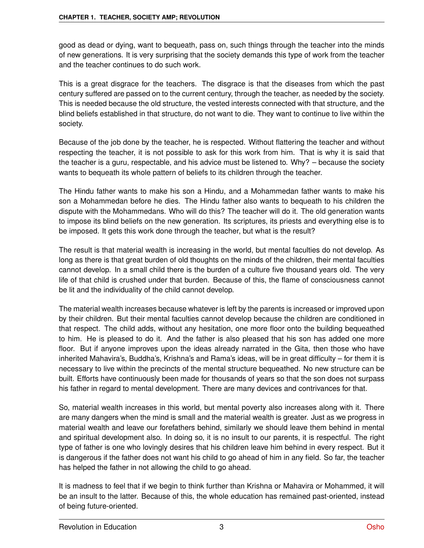good as dead or dying, want to bequeath, pass on, such things through the teacher into the minds of new generations. It is very surprising that the society demands this type of work from the teacher and the teacher continues to do such work.

This is a great disgrace for the teachers. The disgrace is that the diseases from which the past century suffered are passed on to the current century, through the teacher, as needed by the society. This is needed because the old structure, the vested interests connected with that structure, and the blind beliefs established in that structure, do not want to die. They want to continue to live within the society.

Because of the job done by the teacher, he is respected. Without flattering the teacher and without respecting the teacher, it is not possible to ask for this work from him. That is why it is said that the teacher is a guru, respectable, and his advice must be listened to. Why? – because the society wants to bequeath its whole pattern of beliefs to its children through the teacher.

The Hindu father wants to make his son a Hindu, and a Mohammedan father wants to make his son a Mohammedan before he dies. The Hindu father also wants to bequeath to his children the dispute with the Mohammedans. Who will do this? The teacher will do it. The old generation wants to impose its blind beliefs on the new generation. Its scriptures, its priests and everything else is to be imposed. It gets this work done through the teacher, but what is the result?

The result is that material wealth is increasing in the world, but mental faculties do not develop. As long as there is that great burden of old thoughts on the minds of the children, their mental faculties cannot develop. In a small child there is the burden of a culture five thousand years old. The very life of that child is crushed under that burden. Because of this, the flame of consciousness cannot be lit and the individuality of the child cannot develop.

The material wealth increases because whatever is left by the parents is increased or improved upon by their children. But their mental faculties cannot develop because the children are conditioned in that respect. The child adds, without any hesitation, one more floor onto the building bequeathed to him. He is pleased to do it. And the father is also pleased that his son has added one more floor. But if anyone improves upon the ideas already narrated in the Gita, then those who have inherited Mahavira's, Buddha's, Krishna's and Rama's ideas, will be in great difficulty – for them it is necessary to live within the precincts of the mental structure bequeathed. No new structure can be built. Efforts have continuously been made for thousands of years so that the son does not surpass his father in regard to mental development. There are many devices and contrivances for that.

So, material wealth increases in this world, but mental poverty also increases along with it. There are many dangers when the mind is small and the material wealth is greater. Just as we progress in material wealth and leave our forefathers behind, similarly we should leave them behind in mental and spiritual development also. In doing so, it is no insult to our parents, it is respectful. The right type of father is one who lovingly desires that his children leave him behind in every respect. But it is dangerous if the father does not want his child to go ahead of him in any field. So far, the teacher has helped the father in not allowing the child to go ahead.

It is madness to feel that if we begin to think further than Krishna or Mahavira or Mohammed, it will be an insult to the latter. Because of this, the whole education has remained past-oriented, instead of being future-oriented.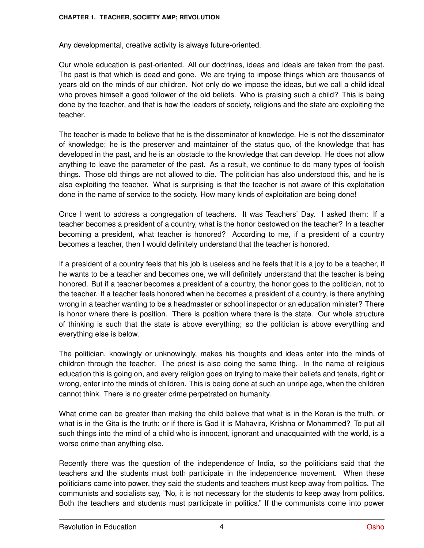Any developmental, creative activity is always future-oriented.

Our whole education is past-oriented. All our doctrines, ideas and ideals are taken from the past. The past is that which is dead and gone. We are trying to impose things which are thousands of years old on the minds of our children. Not only do we impose the ideas, but we call a child ideal who proves himself a good follower of the old beliefs. Who is praising such a child? This is being done by the teacher, and that is how the leaders of society, religions and the state are exploiting the teacher.

The teacher is made to believe that he is the disseminator of knowledge. He is not the disseminator of knowledge; he is the preserver and maintainer of the status quo, of the knowledge that has developed in the past, and he is an obstacle to the knowledge that can develop. He does not allow anything to leave the parameter of the past. As a result, we continue to do many types of foolish things. Those old things are not allowed to die. The politician has also understood this, and he is also exploiting the teacher. What is surprising is that the teacher is not aware of this exploitation done in the name of service to the society. How many kinds of exploitation are being done!

Once I went to address a congregation of teachers. It was Teachers' Day. I asked them: If a teacher becomes a president of a country, what is the honor bestowed on the teacher? In a teacher becoming a president, what teacher is honored? According to me, if a president of a country becomes a teacher, then I would definitely understand that the teacher is honored.

If a president of a country feels that his job is useless and he feels that it is a joy to be a teacher, if he wants to be a teacher and becomes one, we will definitely understand that the teacher is being honored. But if a teacher becomes a president of a country, the honor goes to the politician, not to the teacher. If a teacher feels honored when he becomes a president of a country, is there anything wrong in a teacher wanting to be a headmaster or school inspector or an education minister? There is honor where there is position. There is position where there is the state. Our whole structure of thinking is such that the state is above everything; so the politician is above everything and everything else is below.

The politician, knowingly or unknowingly, makes his thoughts and ideas enter into the minds of children through the teacher. The priest is also doing the same thing. In the name of religious education this is going on, and every religion goes on trying to make their beliefs and tenets, right or wrong, enter into the minds of children. This is being done at such an unripe age, when the children cannot think. There is no greater crime perpetrated on humanity.

What crime can be greater than making the child believe that what is in the Koran is the truth, or what is in the Gita is the truth; or if there is God it is Mahavira, Krishna or Mohammed? To put all such things into the mind of a child who is innocent, ignorant and unacquainted with the world, is a worse crime than anything else.

Recently there was the question of the independence of India, so the politicians said that the teachers and the students must both participate in the independence movement. When these politicians came into power, they said the students and teachers must keep away from politics. The communists and socialists say, "No, it is not necessary for the students to keep away from politics. Both the teachers and students must participate in politics." If the communists come into power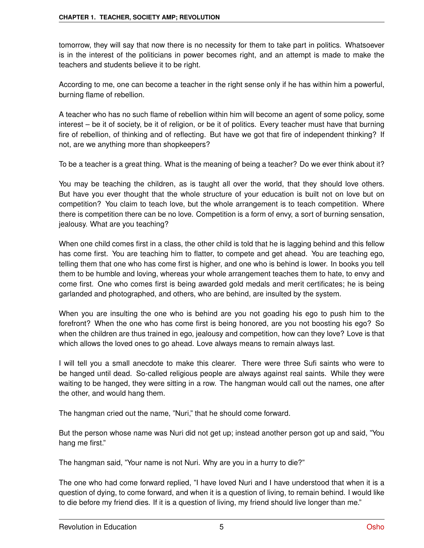tomorrow, they will say that now there is no necessity for them to take part in politics. Whatsoever is in the interest of the politicians in power becomes right, and an attempt is made to make the teachers and students believe it to be right.

According to me, one can become a teacher in the right sense only if he has within him a powerful, burning flame of rebellion.

A teacher who has no such flame of rebellion within him will become an agent of some policy, some interest – be it of society, be it of religion, or be it of politics. Every teacher must have that burning fire of rebellion, of thinking and of reflecting. But have we got that fire of independent thinking? If not, are we anything more than shopkeepers?

To be a teacher is a great thing. What is the meaning of being a teacher? Do we ever think about it?

You may be teaching the children, as is taught all over the world, that they should love others. But have you ever thought that the whole structure of your education is built not on love but on competition? You claim to teach love, but the whole arrangement is to teach competition. Where there is competition there can be no love. Competition is a form of envy, a sort of burning sensation, jealousy. What are you teaching?

When one child comes first in a class, the other child is told that he is lagging behind and this fellow has come first. You are teaching him to flatter, to compete and get ahead. You are teaching ego, telling them that one who has come first is higher, and one who is behind is lower. In books you tell them to be humble and loving, whereas your whole arrangement teaches them to hate, to envy and come first. One who comes first is being awarded gold medals and merit certificates; he is being garlanded and photographed, and others, who are behind, are insulted by the system.

When you are insulting the one who is behind are you not goading his ego to push him to the forefront? When the one who has come first is being honored, are you not boosting his ego? So when the children are thus trained in ego, jealousy and competition, how can they love? Love is that which allows the loved ones to go ahead. Love always means to remain always last.

I will tell you a small anecdote to make this clearer. There were three Sufi saints who were to be hanged until dead. So-called religious people are always against real saints. While they were waiting to be hanged, they were sitting in a row. The hangman would call out the names, one after the other, and would hang them.

The hangman cried out the name, "Nuri," that he should come forward.

But the person whose name was Nuri did not get up; instead another person got up and said, "You hang me first."

The hangman said, "Your name is not Nuri. Why are you in a hurry to die?"

The one who had come forward replied, "I have loved Nuri and I have understood that when it is a question of dying, to come forward, and when it is a question of living, to remain behind. I would like to die before my friend dies. If it is a question of living, my friend should live longer than me."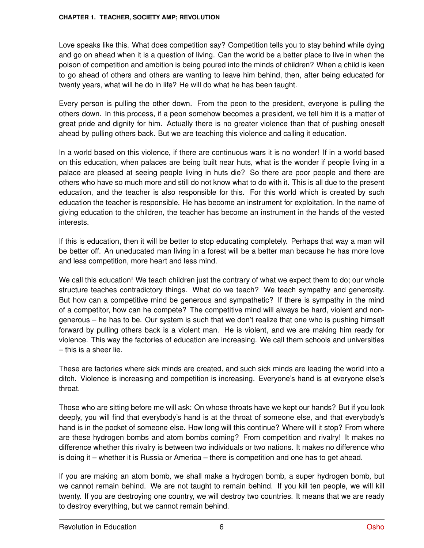Love speaks like this. What does competition say? Competition tells you to stay behind while dying and go on ahead when it is a question of living. Can the world be a better place to live in when the poison of competition and ambition is being poured into the minds of children? When a child is keen to go ahead of others and others are wanting to leave him behind, then, after being educated for twenty years, what will he do in life? He will do what he has been taught.

Every person is pulling the other down. From the peon to the president, everyone is pulling the others down. In this process, if a peon somehow becomes a president, we tell him it is a matter of great pride and dignity for him. Actually there is no greater violence than that of pushing oneself ahead by pulling others back. But we are teaching this violence and calling it education.

In a world based on this violence, if there are continuous wars it is no wonder! If in a world based on this education, when palaces are being built near huts, what is the wonder if people living in a palace are pleased at seeing people living in huts die? So there are poor people and there are others who have so much more and still do not know what to do with it. This is all due to the present education, and the teacher is also responsible for this. For this world which is created by such education the teacher is responsible. He has become an instrument for exploitation. In the name of giving education to the children, the teacher has become an instrument in the hands of the vested interests.

If this is education, then it will be better to stop educating completely. Perhaps that way a man will be better off. An uneducated man living in a forest will be a better man because he has more love and less competition, more heart and less mind.

We call this education! We teach children just the contrary of what we expect them to do; our whole structure teaches contradictory things. What do we teach? We teach sympathy and generosity. But how can a competitive mind be generous and sympathetic? If there is sympathy in the mind of a competitor, how can he compete? The competitive mind will always be hard, violent and nongenerous – he has to be. Our system is such that we don't realize that one who is pushing himself forward by pulling others back is a violent man. He is violent, and we are making him ready for violence. This way the factories of education are increasing. We call them schools and universities – this is a sheer lie.

These are factories where sick minds are created, and such sick minds are leading the world into a ditch. Violence is increasing and competition is increasing. Everyone's hand is at everyone else's throat.

Those who are sitting before me will ask: On whose throats have we kept our hands? But if you look deeply, you will find that everybody's hand is at the throat of someone else, and that everybody's hand is in the pocket of someone else. How long will this continue? Where will it stop? From where are these hydrogen bombs and atom bombs coming? From competition and rivalry! It makes no difference whether this rivalry is between two individuals or two nations. It makes no difference who is doing it – whether it is Russia or America – there is competition and one has to get ahead.

If you are making an atom bomb, we shall make a hydrogen bomb, a super hydrogen bomb, but we cannot remain behind. We are not taught to remain behind. If you kill ten people, we will kill twenty. If you are destroying one country, we will destroy two countries. It means that we are ready to destroy everything, but we cannot remain behind.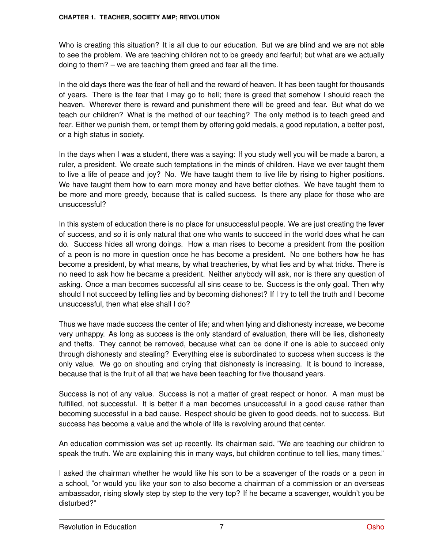Who is creating this situation? It is all due to our education. But we are blind and we are not able to see the problem. We are teaching children not to be greedy and fearful; but what are we actually doing to them? – we are teaching them greed and fear all the time.

In the old days there was the fear of hell and the reward of heaven. It has been taught for thousands of years. There is the fear that I may go to hell; there is greed that somehow I should reach the heaven. Wherever there is reward and punishment there will be greed and fear. But what do we teach our children? What is the method of our teaching? The only method is to teach greed and fear. Either we punish them, or tempt them by offering gold medals, a good reputation, a better post, or a high status in society.

In the days when I was a student, there was a saying: If you study well you will be made a baron, a ruler, a president. We create such temptations in the minds of children. Have we ever taught them to live a life of peace and joy? No. We have taught them to live life by rising to higher positions. We have taught them how to earn more money and have better clothes. We have taught them to be more and more greedy, because that is called success. Is there any place for those who are unsuccessful?

In this system of education there is no place for unsuccessful people. We are just creating the fever of success, and so it is only natural that one who wants to succeed in the world does what he can do. Success hides all wrong doings. How a man rises to become a president from the position of a peon is no more in question once he has become a president. No one bothers how he has become a president, by what means, by what treacheries, by what lies and by what tricks. There is no need to ask how he became a president. Neither anybody will ask, nor is there any question of asking. Once a man becomes successful all sins cease to be. Success is the only goal. Then why should I not succeed by telling lies and by becoming dishonest? If I try to tell the truth and I become unsuccessful, then what else shall I do?

Thus we have made success the center of life; and when lying and dishonesty increase, we become very unhappy. As long as success is the only standard of evaluation, there will be lies, dishonesty and thefts. They cannot be removed, because what can be done if one is able to succeed only through dishonesty and stealing? Everything else is subordinated to success when success is the only value. We go on shouting and crying that dishonesty is increasing. It is bound to increase, because that is the fruit of all that we have been teaching for five thousand years.

Success is not of any value. Success is not a matter of great respect or honor. A man must be fulfilled, not successful. It is better if a man becomes unsuccessful in a good cause rather than becoming successful in a bad cause. Respect should be given to good deeds, not to success. But success has become a value and the whole of life is revolving around that center.

An education commission was set up recently. Its chairman said, "We are teaching our children to speak the truth. We are explaining this in many ways, but children continue to tell lies, many times."

I asked the chairman whether he would like his son to be a scavenger of the roads or a peon in a school, "or would you like your son to also become a chairman of a commission or an overseas ambassador, rising slowly step by step to the very top? If he became a scavenger, wouldn't you be disturbed?"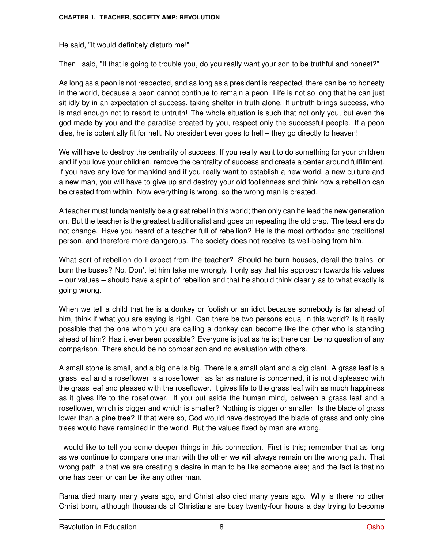He said, "It would definitely disturb me!"

Then I said, "If that is going to trouble you, do you really want your son to be truthful and honest?"

As long as a peon is not respected, and as long as a president is respected, there can be no honesty in the world, because a peon cannot continue to remain a peon. Life is not so long that he can just sit idly by in an expectation of success, taking shelter in truth alone. If untruth brings success, who is mad enough not to resort to untruth! The whole situation is such that not only you, but even the god made by you and the paradise created by you, respect only the successful people. If a peon dies, he is potentially fit for hell. No president ever goes to hell – they go directly to heaven!

We will have to destroy the centrality of success. If you really want to do something for your children and if you love your children, remove the centrality of success and create a center around fulfillment. If you have any love for mankind and if you really want to establish a new world, a new culture and a new man, you will have to give up and destroy your old foolishness and think how a rebellion can be created from within. Now everything is wrong, so the wrong man is created.

A teacher must fundamentally be a great rebel in this world; then only can he lead the new generation on. But the teacher is the greatest traditionalist and goes on repeating the old crap. The teachers do not change. Have you heard of a teacher full of rebellion? He is the most orthodox and traditional person, and therefore more dangerous. The society does not receive its well-being from him.

What sort of rebellion do I expect from the teacher? Should he burn houses, derail the trains, or burn the buses? No. Don't let him take me wrongly. I only say that his approach towards his values – our values – should have a spirit of rebellion and that he should think clearly as to what exactly is going wrong.

When we tell a child that he is a donkey or foolish or an idiot because somebody is far ahead of him, think if what you are saying is right. Can there be two persons equal in this world? Is it really possible that the one whom you are calling a donkey can become like the other who is standing ahead of him? Has it ever been possible? Everyone is just as he is; there can be no question of any comparison. There should be no comparison and no evaluation with others.

A small stone is small, and a big one is big. There is a small plant and a big plant. A grass leaf is a grass leaf and a roseflower is a roseflower: as far as nature is concerned, it is not displeased with the grass leaf and pleased with the roseflower. It gives life to the grass leaf with as much happiness as it gives life to the roseflower. If you put aside the human mind, between a grass leaf and a roseflower, which is bigger and which is smaller? Nothing is bigger or smaller! Is the blade of grass lower than a pine tree? If that were so, God would have destroyed the blade of grass and only pine trees would have remained in the world. But the values fixed by man are wrong.

I would like to tell you some deeper things in this connection. First is this; remember that as long as we continue to compare one man with the other we will always remain on the wrong path. That wrong path is that we are creating a desire in man to be like someone else; and the fact is that no one has been or can be like any other man.

Rama died many many years ago, and Christ also died many years ago. Why is there no other Christ born, although thousands of Christians are busy twenty-four hours a day trying to become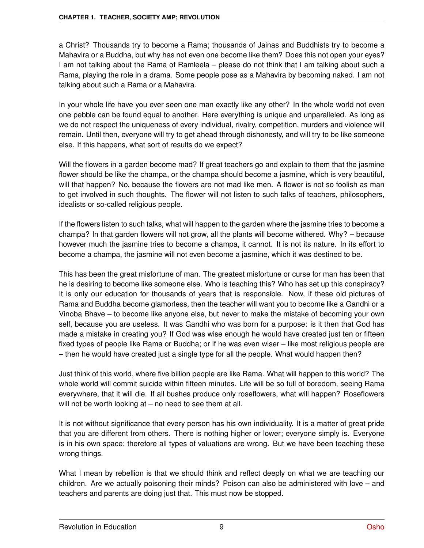a Christ? Thousands try to become a Rama; thousands of Jainas and Buddhists try to become a Mahavira or a Buddha, but why has not even one become like them? Does this not open your eyes? I am not talking about the Rama of Ramleela – please do not think that I am talking about such a Rama, playing the role in a drama. Some people pose as a Mahavira by becoming naked. I am not talking about such a Rama or a Mahavira.

In your whole life have you ever seen one man exactly like any other? In the whole world not even one pebble can be found equal to another. Here everything is unique and unparalleled. As long as we do not respect the uniqueness of every individual, rivalry, competition, murders and violence will remain. Until then, everyone will try to get ahead through dishonesty, and will try to be like someone else. If this happens, what sort of results do we expect?

Will the flowers in a garden become mad? If great teachers go and explain to them that the jasmine flower should be like the champa, or the champa should become a jasmine, which is very beautiful, will that happen? No, because the flowers are not mad like men. A flower is not so foolish as man to get involved in such thoughts. The flower will not listen to such talks of teachers, philosophers, idealists or so-called religious people.

If the flowers listen to such talks, what will happen to the garden where the jasmine tries to become a champa? In that garden flowers will not grow, all the plants will become withered. Why? – because however much the jasmine tries to become a champa, it cannot. It is not its nature. In its effort to become a champa, the jasmine will not even become a jasmine, which it was destined to be.

This has been the great misfortune of man. The greatest misfortune or curse for man has been that he is desiring to become like someone else. Who is teaching this? Who has set up this conspiracy? It is only our education for thousands of years that is responsible. Now, if these old pictures of Rama and Buddha become glamorless, then the teacher will want you to become like a Gandhi or a Vinoba Bhave – to become like anyone else, but never to make the mistake of becoming your own self, because you are useless. It was Gandhi who was born for a purpose: is it then that God has made a mistake in creating you? If God was wise enough he would have created just ten or fifteen fixed types of people like Rama or Buddha; or if he was even wiser – like most religious people are – then he would have created just a single type for all the people. What would happen then?

Just think of this world, where five billion people are like Rama. What will happen to this world? The whole world will commit suicide within fifteen minutes. Life will be so full of boredom, seeing Rama everywhere, that it will die. If all bushes produce only roseflowers, what will happen? Roseflowers will not be worth looking at – no need to see them at all.

It is not without significance that every person has his own individuality. It is a matter of great pride that you are different from others. There is nothing higher or lower; everyone simply is. Everyone is in his own space; therefore all types of valuations are wrong. But we have been teaching these wrong things.

What I mean by rebellion is that we should think and reflect deeply on what we are teaching our children. Are we actually poisoning their minds? Poison can also be administered with love – and teachers and parents are doing just that. This must now be stopped.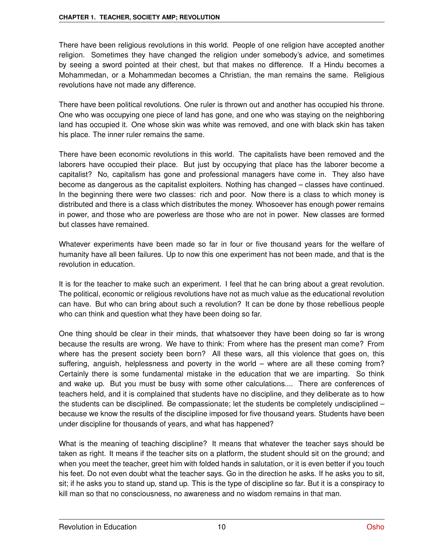There have been religious revolutions in this world. People of one religion have accepted another religion. Sometimes they have changed the religion under somebody's advice, and sometimes by seeing a sword pointed at their chest, but that makes no difference. If a Hindu becomes a Mohammedan, or a Mohammedan becomes a Christian, the man remains the same. Religious revolutions have not made any difference.

There have been political revolutions. One ruler is thrown out and another has occupied his throne. One who was occupying one piece of land has gone, and one who was staying on the neighboring land has occupied it. One whose skin was white was removed, and one with black skin has taken his place. The inner ruler remains the same.

There have been economic revolutions in this world. The capitalists have been removed and the laborers have occupied their place. But just by occupying that place has the laborer become a capitalist? No, capitalism has gone and professional managers have come in. They also have become as dangerous as the capitalist exploiters. Nothing has changed – classes have continued. In the beginning there were two classes: rich and poor. Now there is a class to which money is distributed and there is a class which distributes the money. Whosoever has enough power remains in power, and those who are powerless are those who are not in power. New classes are formed but classes have remained.

Whatever experiments have been made so far in four or five thousand years for the welfare of humanity have all been failures. Up to now this one experiment has not been made, and that is the revolution in education.

It is for the teacher to make such an experiment. I feel that he can bring about a great revolution. The political, economic or religious revolutions have not as much value as the educational revolution can have. But who can bring about such a revolution? It can be done by those rebellious people who can think and question what they have been doing so far.

One thing should be clear in their minds, that whatsoever they have been doing so far is wrong because the results are wrong. We have to think: From where has the present man come? From where has the present society been born? All these wars, all this violence that goes on, this suffering, anguish, helplessness and poverty in the world – where are all these coming from? Certainly there is some fundamental mistake in the education that we are imparting. So think and wake up. But you must be busy with some other calculations.... There are conferences of teachers held, and it is complained that students have no discipline, and they deliberate as to how the students can be disciplined. Be compassionate; let the students be completely undisciplined – because we know the results of the discipline imposed for five thousand years. Students have been under discipline for thousands of years, and what has happened?

What is the meaning of teaching discipline? It means that whatever the teacher says should be taken as right. It means if the teacher sits on a platform, the student should sit on the ground; and when you meet the teacher, greet him with folded hands in salutation, or it is even better if you touch his feet. Do not even doubt what the teacher says. Go in the direction he asks. If he asks you to sit, sit; if he asks you to stand up, stand up. This is the type of discipline so far. But it is a conspiracy to kill man so that no consciousness, no awareness and no wisdom remains in that man.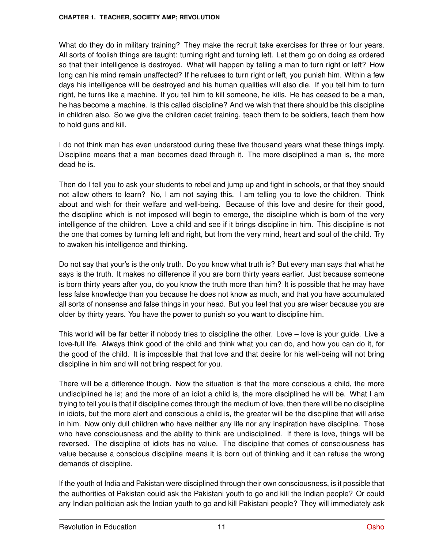What do they do in military training? They make the recruit take exercises for three or four years. All sorts of foolish things are taught: turning right and turning left. Let them go on doing as ordered so that their intelligence is destroyed. What will happen by telling a man to turn right or left? How long can his mind remain unaffected? If he refuses to turn right or left, you punish him. Within a few days his intelligence will be destroyed and his human qualities will also die. If you tell him to turn right, he turns like a machine. If you tell him to kill someone, he kills. He has ceased to be a man, he has become a machine. Is this called discipline? And we wish that there should be this discipline in children also. So we give the children cadet training, teach them to be soldiers, teach them how to hold guns and kill.

I do not think man has even understood during these five thousand years what these things imply. Discipline means that a man becomes dead through it. The more disciplined a man is, the more dead he is.

Then do I tell you to ask your students to rebel and jump up and fight in schools, or that they should not allow others to learn? No, I am not saying this. I am telling you to love the children. Think about and wish for their welfare and well-being. Because of this love and desire for their good, the discipline which is not imposed will begin to emerge, the discipline which is born of the very intelligence of the children. Love a child and see if it brings discipline in him. This discipline is not the one that comes by turning left and right, but from the very mind, heart and soul of the child. Try to awaken his intelligence and thinking.

Do not say that your's is the only truth. Do you know what truth is? But every man says that what he says is the truth. It makes no difference if you are born thirty years earlier. Just because someone is born thirty years after you, do you know the truth more than him? It is possible that he may have less false knowledge than you because he does not know as much, and that you have accumulated all sorts of nonsense and false things in your head. But you feel that you are wiser because you are older by thirty years. You have the power to punish so you want to discipline him.

This world will be far better if nobody tries to discipline the other. Love – love is your guide. Live a love-full life. Always think good of the child and think what you can do, and how you can do it, for the good of the child. It is impossible that that love and that desire for his well-being will not bring discipline in him and will not bring respect for you.

There will be a difference though. Now the situation is that the more conscious a child, the more undisciplined he is; and the more of an idiot a child is, the more disciplined he will be. What I am trying to tell you is that if discipline comes through the medium of love, then there will be no discipline in idiots, but the more alert and conscious a child is, the greater will be the discipline that will arise in him. Now only dull children who have neither any life nor any inspiration have discipline. Those who have consciousness and the ability to think are undisciplined. If there is love, things will be reversed. The discipline of idiots has no value. The discipline that comes of consciousness has value because a conscious discipline means it is born out of thinking and it can refuse the wrong demands of discipline.

If the youth of India and Pakistan were disciplined through their own consciousness, is it possible that the authorities of Pakistan could ask the Pakistani youth to go and kill the Indian people? Or could any Indian politician ask the Indian youth to go and kill Pakistani people? They will immediately ask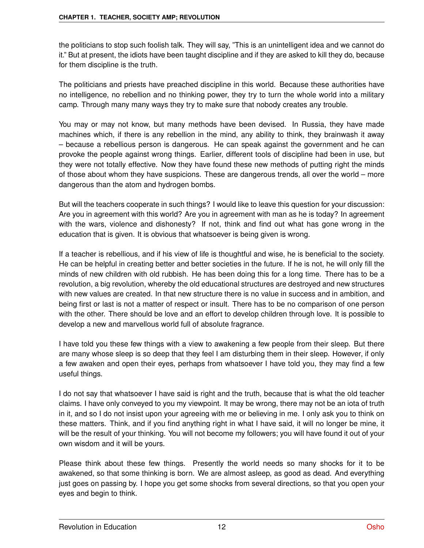the politicians to stop such foolish talk. They will say, "This is an unintelligent idea and we cannot do it." But at present, the idiots have been taught discipline and if they are asked to kill they do, because for them discipline is the truth.

The politicians and priests have preached discipline in this world. Because these authorities have no intelligence, no rebellion and no thinking power, they try to turn the whole world into a military camp. Through many many ways they try to make sure that nobody creates any trouble.

You may or may not know, but many methods have been devised. In Russia, they have made machines which, if there is any rebellion in the mind, any ability to think, they brainwash it away – because a rebellious person is dangerous. He can speak against the government and he can provoke the people against wrong things. Earlier, different tools of discipline had been in use, but they were not totally effective. Now they have found these new methods of putting right the minds of those about whom they have suspicions. These are dangerous trends, all over the world – more dangerous than the atom and hydrogen bombs.

But will the teachers cooperate in such things? I would like to leave this question for your discussion: Are you in agreement with this world? Are you in agreement with man as he is today? In agreement with the wars, violence and dishonesty? If not, think and find out what has gone wrong in the education that is given. It is obvious that whatsoever is being given is wrong.

If a teacher is rebellious, and if his view of life is thoughtful and wise, he is beneficial to the society. He can be helpful in creating better and better societies in the future. If he is not, he will only fill the minds of new children with old rubbish. He has been doing this for a long time. There has to be a revolution, a big revolution, whereby the old educational structures are destroyed and new structures with new values are created. In that new structure there is no value in success and in ambition, and being first or last is not a matter of respect or insult. There has to be no comparison of one person with the other. There should be love and an effort to develop children through love. It is possible to develop a new and marvellous world full of absolute fragrance.

I have told you these few things with a view to awakening a few people from their sleep. But there are many whose sleep is so deep that they feel I am disturbing them in their sleep. However, if only a few awaken and open their eyes, perhaps from whatsoever I have told you, they may find a few useful things.

I do not say that whatsoever I have said is right and the truth, because that is what the old teacher claims. I have only conveyed to you my viewpoint. It may be wrong, there may not be an iota of truth in it, and so I do not insist upon your agreeing with me or believing in me. I only ask you to think on these matters. Think, and if you find anything right in what I have said, it will no longer be mine, it will be the result of your thinking. You will not become my followers; you will have found it out of your own wisdom and it will be yours.

Please think about these few things. Presently the world needs so many shocks for it to be awakened, so that some thinking is born. We are almost asleep, as good as dead. And everything just goes on passing by. I hope you get some shocks from several directions, so that you open your eyes and begin to think.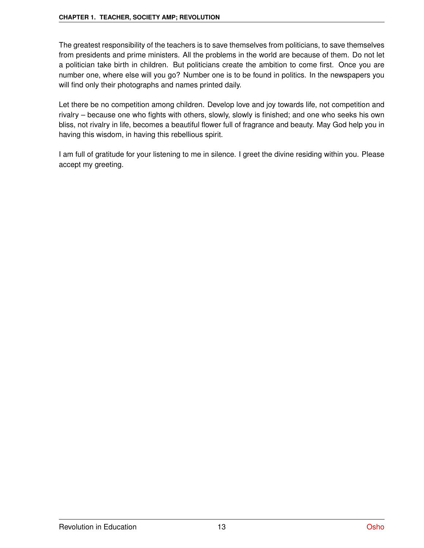The greatest responsibility of the teachers is to save themselves from politicians, to save themselves from presidents and prime ministers. All the problems in the world are because of them. Do not let a politician take birth in children. But politicians create the ambition to come first. Once you are number one, where else will you go? Number one is to be found in politics. In the newspapers you will find only their photographs and names printed daily.

Let there be no competition among children. Develop love and joy towards life, not competition and rivalry – because one who fights with others, slowly, slowly is finished; and one who seeks his own bliss, not rivalry in life, becomes a beautiful flower full of fragrance and beauty. May God help you in having this wisdom, in having this rebellious spirit.

I am full of gratitude for your listening to me in silence. I greet the divine residing within you. Please accept my greeting.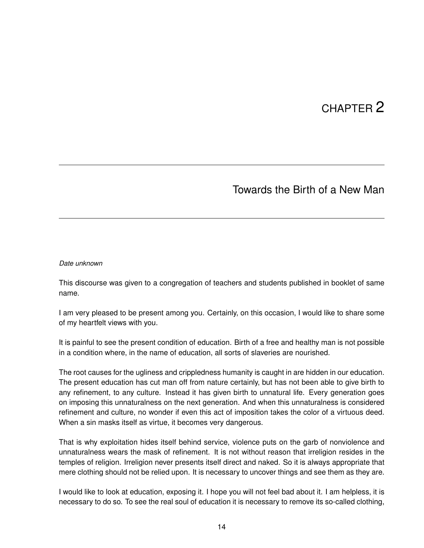## CHAPTER 2

## Towards the Birth of a New Man

#### *Date unknown*

This discourse was given to a congregation of teachers and students published in booklet of same name.

I am very pleased to be present among you. Certainly, on this occasion, I would like to share some of my heartfelt views with you.

It is painful to see the present condition of education. Birth of a free and healthy man is not possible in a condition where, in the name of education, all sorts of slaveries are nourished.

The root causes for the ugliness and crippledness humanity is caught in are hidden in our education. The present education has cut man off from nature certainly, but has not been able to give birth to any refinement, to any culture. Instead it has given birth to unnatural life. Every generation goes on imposing this unnaturalness on the next generation. And when this unnaturalness is considered refinement and culture, no wonder if even this act of imposition takes the color of a virtuous deed. When a sin masks itself as virtue, it becomes very dangerous.

That is why exploitation hides itself behind service, violence puts on the garb of nonviolence and unnaturalness wears the mask of refinement. It is not without reason that irreligion resides in the temples of religion. Irreligion never presents itself direct and naked. So it is always appropriate that mere clothing should not be relied upon. It is necessary to uncover things and see them as they are.

I would like to look at education, exposing it. I hope you will not feel bad about it. I am helpless, it is necessary to do so. To see the real soul of education it is necessary to remove its so-called clothing,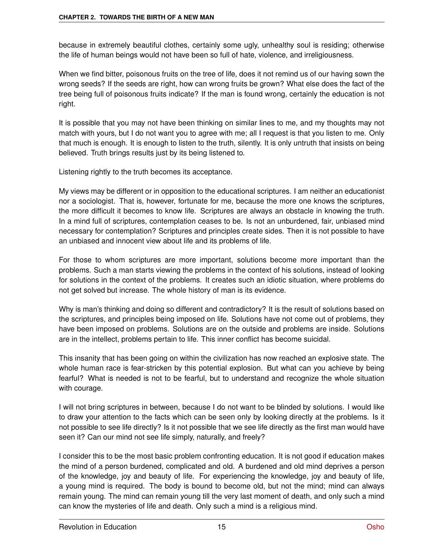because in extremely beautiful clothes, certainly some ugly, unhealthy soul is residing; otherwise the life of human beings would not have been so full of hate, violence, and irreligiousness.

When we find bitter, poisonous fruits on the tree of life, does it not remind us of our having sown the wrong seeds? If the seeds are right, how can wrong fruits be grown? What else does the fact of the tree being full of poisonous fruits indicate? If the man is found wrong, certainly the education is not right.

It is possible that you may not have been thinking on similar lines to me, and my thoughts may not match with yours, but I do not want you to agree with me; all I request is that you listen to me. Only that much is enough. It is enough to listen to the truth, silently. It is only untruth that insists on being believed. Truth brings results just by its being listened to.

Listening rightly to the truth becomes its acceptance.

My views may be different or in opposition to the educational scriptures. I am neither an educationist nor a sociologist. That is, however, fortunate for me, because the more one knows the scriptures, the more difficult it becomes to know life. Scriptures are always an obstacle in knowing the truth. In a mind full of scriptures, contemplation ceases to be. Is not an unburdened, fair, unbiased mind necessary for contemplation? Scriptures and principles create sides. Then it is not possible to have an unbiased and innocent view about life and its problems of life.

For those to whom scriptures are more important, solutions become more important than the problems. Such a man starts viewing the problems in the context of his solutions, instead of looking for solutions in the context of the problems. It creates such an idiotic situation, where problems do not get solved but increase. The whole history of man is its evidence.

Why is man's thinking and doing so different and contradictory? It is the result of solutions based on the scriptures, and principles being imposed on life. Solutions have not come out of problems, they have been imposed on problems. Solutions are on the outside and problems are inside. Solutions are in the intellect, problems pertain to life. This inner conflict has become suicidal.

This insanity that has been going on within the civilization has now reached an explosive state. The whole human race is fear-stricken by this potential explosion. But what can you achieve by being fearful? What is needed is not to be fearful, but to understand and recognize the whole situation with courage.

I will not bring scriptures in between, because I do not want to be blinded by solutions. I would like to draw your attention to the facts which can be seen only by looking directly at the problems. Is it not possible to see life directly? Is it not possible that we see life directly as the first man would have seen it? Can our mind not see life simply, naturally, and freely?

I consider this to be the most basic problem confronting education. It is not good if education makes the mind of a person burdened, complicated and old. A burdened and old mind deprives a person of the knowledge, joy and beauty of life. For experiencing the knowledge, joy and beauty of life, a young mind is required. The body is bound to become old, but not the mind; mind can always remain young. The mind can remain young till the very last moment of death, and only such a mind can know the mysteries of life and death. Only such a mind is a religious mind.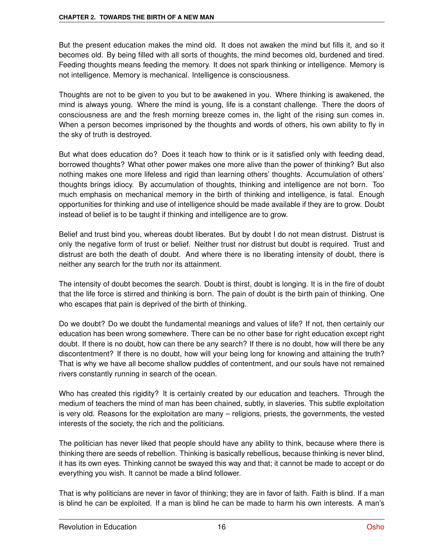But the present education makes the mind old. It does not awaken the mind but fills it, and so it becomes old. By being filled with all sorts of thoughts, the mind becomes old, burdened and tired. Feeding thoughts means feeding the memory. It does not spark thinking or intelligence. Memory is not intelligence. Memory is mechanical. Intelligence is consciousness.

Thoughts are not to be given to you but to be awakened in you. Where thinking is awakened, the mind is always young. Where the mind is young, life is a constant challenge. There the doors of consciousness are and the fresh morning breeze comes in, the light of the rising sun comes in. When a person becomes imprisoned by the thoughts and words of others, his own ability to fly in the sky of truth is destroyed.

But what does education do? Does it teach how to think or is it satisfied only with feeding dead, borrowed thoughts? What other power makes one more alive than the power of thinking? But also nothing makes one more lifeless and rigid than learning others' thoughts. Accumulation of others' thoughts brings idiocy. By accumulation of thoughts, thinking and intelligence are not born. Too much emphasis on mechanical memory in the birth of thinking and intelligence, is fatal. Enough opportunities for thinking and use of intelligence should be made available if they are to grow. Doubt instead of belief is to be taught if thinking and intelligence are to grow.

Belief and trust bind you, whereas doubt liberates. But by doubt I do not mean distrust. Distrust is only the negative form of trust or belief. Neither trust nor distrust but doubt is required. Trust and distrust are both the death of doubt. And where there is no liberating intensity of doubt, there is neither any search for the truth nor its attainment.

The intensity of doubt becomes the search. Doubt is thirst, doubt is longing. It is in the fire of doubt that the life force is stirred and thinking is born. The pain of doubt is the birth pain of thinking. One who escapes that pain is deprived of the birth of thinking.

Do we doubt? Do we doubt the fundamental meanings and values of life? If not, then certainly our education has been wrong somewhere. There can be no other base for right education except right doubt. If there is no doubt, how can there be any search? If there is no doubt, how will there be any discontentment? If there is no doubt, how will your being long for knowing and attaining the truth? That is why we have all become shallow puddles of contentment, and our souls have not remained rivers constantly running in search of the ocean.

Who has created this rigidity? It is certainly created by our education and teachers. Through the medium of teachers the mind of man has been chained, subtly, in slaveries. This subtle exploitation is very old. Reasons for the exploitation are many – religions, priests, the governments, the vested interests of the society, the rich and the politicians.

The politician has never liked that people should have any ability to think, because where there is thinking there are seeds of rebellion. Thinking is basically rebellious, because thinking is never blind, it has its own eyes. Thinking cannot be swayed this way and that; it cannot be made to accept or do everything you wish. It cannot be made a blind follower.

That is why politicians are never in favor of thinking; they are in favor of faith. Faith is blind. If a man is blind he can be exploited. If a man is blind he can be made to harm his own interests. A man's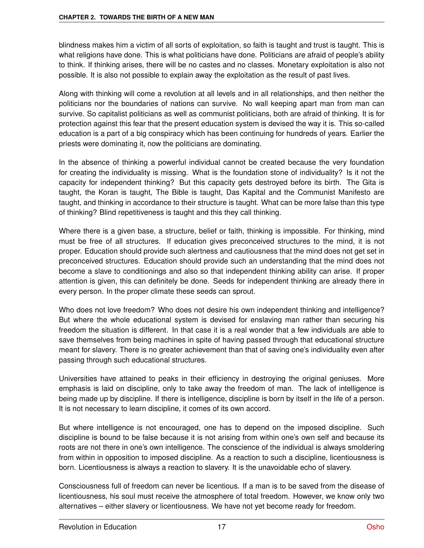blindness makes him a victim of all sorts of exploitation, so faith is taught and trust is taught. This is what religions have done. This is what politicians have done. Politicians are afraid of people's ability to think. If thinking arises, there will be no castes and no classes. Monetary exploitation is also not possible. It is also not possible to explain away the exploitation as the result of past lives.

Along with thinking will come a revolution at all levels and in all relationships, and then neither the politicians nor the boundaries of nations can survive. No wall keeping apart man from man can survive. So capitalist politicians as well as communist politicians, both are afraid of thinking. It is for protection against this fear that the present education system is devised the way it is. This so-called education is a part of a big conspiracy which has been continuing for hundreds of years. Earlier the priests were dominating it, now the politicians are dominating.

In the absence of thinking a powerful individual cannot be created because the very foundation for creating the individuality is missing. What is the foundation stone of individuality? Is it not the capacity for independent thinking? But this capacity gets destroyed before its birth. The Gita is taught, the Koran is taught, The Bible is taught, Das Kapital and the Communist Manifesto are taught, and thinking in accordance to their structure is taught. What can be more false than this type of thinking? Blind repetitiveness is taught and this they call thinking.

Where there is a given base, a structure, belief or faith, thinking is impossible. For thinking, mind must be free of all structures. If education gives preconceived structures to the mind, it is not proper. Education should provide such alertness and cautiousness that the mind does not get set in preconceived structures. Education should provide such an understanding that the mind does not become a slave to conditionings and also so that independent thinking ability can arise. If proper attention is given, this can definitely be done. Seeds for independent thinking are already there in every person. In the proper climate these seeds can sprout.

Who does not love freedom? Who does not desire his own independent thinking and intelligence? But where the whole educational system is devised for enslaving man rather than securing his freedom the situation is different. In that case it is a real wonder that a few individuals are able to save themselves from being machines in spite of having passed through that educational structure meant for slavery. There is no greater achievement than that of saving one's individuality even after passing through such educational structures.

Universities have attained to peaks in their efficiency in destroying the original geniuses. More emphasis is laid on discipline, only to take away the freedom of man. The lack of intelligence is being made up by discipline. If there is intelligence, discipline is born by itself in the life of a person. It is not necessary to learn discipline, it comes of its own accord.

But where intelligence is not encouraged, one has to depend on the imposed discipline. Such discipline is bound to be false because it is not arising from within one's own self and because its roots are not there in one's own intelligence. The conscience of the individual is always smoldering from within in opposition to imposed discipline. As a reaction to such a discipline, licentiousness is born. Licentiousness is always a reaction to slavery. It is the unavoidable echo of slavery.

Consciousness full of freedom can never be licentious. If a man is to be saved from the disease of licentiousness, his soul must receive the atmosphere of total freedom. However, we know only two alternatives – either slavery or licentiousness. We have not yet become ready for freedom.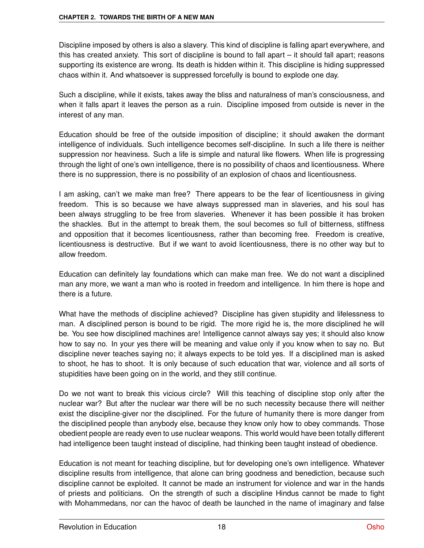Discipline imposed by others is also a slavery. This kind of discipline is falling apart everywhere, and this has created anxiety. This sort of discipline is bound to fall apart – it should fall apart; reasons supporting its existence are wrong. Its death is hidden within it. This discipline is hiding suppressed chaos within it. And whatsoever is suppressed forcefully is bound to explode one day.

Such a discipline, while it exists, takes away the bliss and naturalness of man's consciousness, and when it falls apart it leaves the person as a ruin. Discipline imposed from outside is never in the interest of any man.

Education should be free of the outside imposition of discipline; it should awaken the dormant intelligence of individuals. Such intelligence becomes self-discipline. In such a life there is neither suppression nor heaviness. Such a life is simple and natural like flowers. When life is progressing through the light of one's own intelligence, there is no possibility of chaos and licentiousness. Where there is no suppression, there is no possibility of an explosion of chaos and licentiousness.

I am asking, can't we make man free? There appears to be the fear of licentiousness in giving freedom. This is so because we have always suppressed man in slaveries, and his soul has been always struggling to be free from slaveries. Whenever it has been possible it has broken the shackles. But in the attempt to break them, the soul becomes so full of bitterness, stiffness and opposition that it becomes licentiousness, rather than becoming free. Freedom is creative, licentiousness is destructive. But if we want to avoid licentiousness, there is no other way but to allow freedom.

Education can definitely lay foundations which can make man free. We do not want a disciplined man any more, we want a man who is rooted in freedom and intelligence. In him there is hope and there is a future.

What have the methods of discipline achieved? Discipline has given stupidity and lifelessness to man. A disciplined person is bound to be rigid. The more rigid he is, the more disciplined he will be. You see how disciplined machines are! Intelligence cannot always say yes; it should also know how to say no. In your yes there will be meaning and value only if you know when to say no. But discipline never teaches saying no; it always expects to be told yes. If a disciplined man is asked to shoot, he has to shoot. It is only because of such education that war, violence and all sorts of stupidities have been going on in the world, and they still continue.

Do we not want to break this vicious circle? Will this teaching of discipline stop only after the nuclear war? But after the nuclear war there will be no such necessity because there will neither exist the discipline-giver nor the disciplined. For the future of humanity there is more danger from the disciplined people than anybody else, because they know only how to obey commands. Those obedient people are ready even to use nuclear weapons. This world would have been totally different had intelligence been taught instead of discipline, had thinking been taught instead of obedience.

Education is not meant for teaching discipline, but for developing one's own intelligence. Whatever discipline results from intelligence, that alone can bring goodness and benediction, because such discipline cannot be exploited. It cannot be made an instrument for violence and war in the hands of priests and politicians. On the strength of such a discipline Hindus cannot be made to fight with Mohammedans, nor can the havoc of death be launched in the name of imaginary and false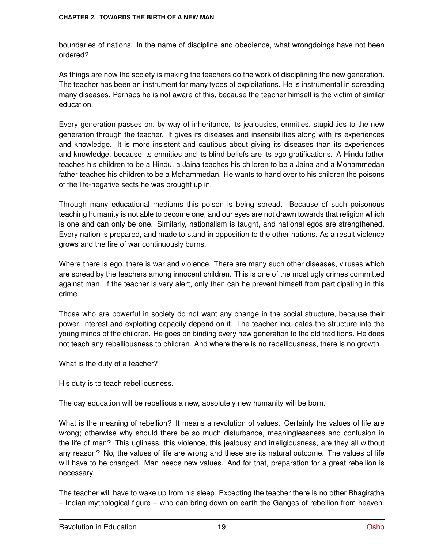boundaries of nations. In the name of discipline and obedience, what wrongdoings have not been ordered?

As things are now the society is making the teachers do the work of disciplining the new generation. The teacher has been an instrument for many types of exploitations. He is instrumental in spreading many diseases. Perhaps he is not aware of this, because the teacher himself is the victim of similar education.

Every generation passes on, by way of inheritance, its jealousies, enmities, stupidities to the new generation through the teacher. It gives its diseases and insensibilities along with its experiences and knowledge. It is more insistent and cautious about giving its diseases than its experiences and knowledge, because its enmities and its blind beliefs are its ego gratifications. A Hindu father teaches his children to be a Hindu, a Jaina teaches his children to be a Jaina and a Mohammedan father teaches his children to be a Mohammedan. He wants to hand over to his children the poisons of the life-negative sects he was brought up in.

Through many educational mediums this poison is being spread. Because of such poisonous teaching humanity is not able to become one, and our eyes are not drawn towards that religion which is one and can only be one. Similarly, nationalism is taught, and national egos are strengthened. Every nation is prepared, and made to stand in opposition to the other nations. As a result violence grows and the fire of war continuously burns.

Where there is ego, there is war and violence. There are many such other diseases, viruses which are spread by the teachers among innocent children. This is one of the most ugly crimes committed against man. If the teacher is very alert, only then can he prevent himself from participating in this crime.

Those who are powerful in society do not want any change in the social structure, because their power, interest and exploiting capacity depend on it. The teacher inculcates the structure into the young minds of the children. He goes on binding every new generation to the old traditions. He does not teach any rebelliousness to children. And where there is no rebelliousness, there is no growth.

What is the duty of a teacher?

His duty is to teach rebelliousness.

The day education will be rebellious a new, absolutely new humanity will be born.

What is the meaning of rebellion? It means a revolution of values. Certainly the values of life are wrong; otherwise why should there be so much disturbance, meaninglessness and confusion in the life of man? This ugliness, this violence, this jealousy and irreligiousness, are they all without any reason? No, the values of life are wrong and these are its natural outcome. The values of life will have to be changed. Man needs new values. And for that, preparation for a great rebellion is necessary.

The teacher will have to wake up from his sleep. Excepting the teacher there is no other Bhagiratha – Indian mythological figure – who can bring down on earth the Ganges of rebellion from heaven.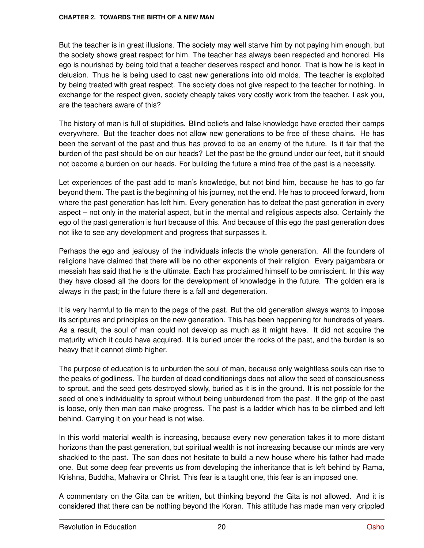But the teacher is in great illusions. The society may well starve him by not paying him enough, but the society shows great respect for him. The teacher has always been respected and honored. His ego is nourished by being told that a teacher deserves respect and honor. That is how he is kept in delusion. Thus he is being used to cast new generations into old molds. The teacher is exploited by being treated with great respect. The society does not give respect to the teacher for nothing. In exchange for the respect given, society cheaply takes very costly work from the teacher. I ask you, are the teachers aware of this?

The history of man is full of stupidities. Blind beliefs and false knowledge have erected their camps everywhere. But the teacher does not allow new generations to be free of these chains. He has been the servant of the past and thus has proved to be an enemy of the future. Is it fair that the burden of the past should be on our heads? Let the past be the ground under our feet, but it should not become a burden on our heads. For building the future a mind free of the past is a necessity.

Let experiences of the past add to man's knowledge, but not bind him, because he has to go far beyond them. The past is the beginning of his journey, not the end. He has to proceed forward, from where the past generation has left him. Every generation has to defeat the past generation in every aspect – not only in the material aspect, but in the mental and religious aspects also. Certainly the ego of the past generation is hurt because of this. And because of this ego the past generation does not like to see any development and progress that surpasses it.

Perhaps the ego and jealousy of the individuals infects the whole generation. All the founders of religions have claimed that there will be no other exponents of their religion. Every paigambara or messiah has said that he is the ultimate. Each has proclaimed himself to be omniscient. In this way they have closed all the doors for the development of knowledge in the future. The golden era is always in the past; in the future there is a fall and degeneration.

It is very harmful to tie man to the pegs of the past. But the old generation always wants to impose its scriptures and principles on the new generation. This has been happening for hundreds of years. As a result, the soul of man could not develop as much as it might have. It did not acquire the maturity which it could have acquired. It is buried under the rocks of the past, and the burden is so heavy that it cannot climb higher.

The purpose of education is to unburden the soul of man, because only weightless souls can rise to the peaks of godliness. The burden of dead conditionings does not allow the seed of consciousness to sprout, and the seed gets destroyed slowly, buried as it is in the ground. It is not possible for the seed of one's individuality to sprout without being unburdened from the past. If the grip of the past is loose, only then man can make progress. The past is a ladder which has to be climbed and left behind. Carrying it on your head is not wise.

In this world material wealth is increasing, because every new generation takes it to more distant horizons than the past generation, but spiritual wealth is not increasing because our minds are very shackled to the past. The son does not hesitate to build a new house where his father had made one. But some deep fear prevents us from developing the inheritance that is left behind by Rama, Krishna, Buddha, Mahavira or Christ. This fear is a taught one, this fear is an imposed one.

A commentary on the Gita can be written, but thinking beyond the Gita is not allowed. And it is considered that there can be nothing beyond the Koran. This attitude has made man very crippled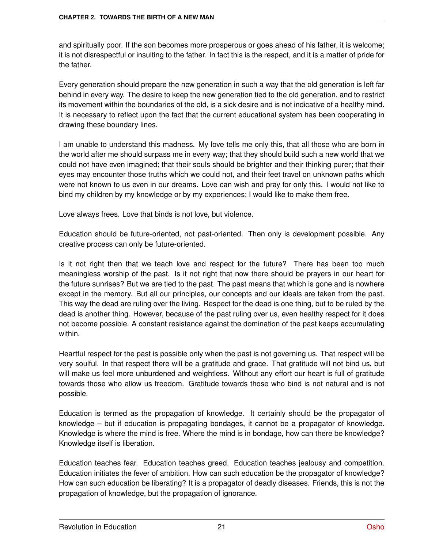and spiritually poor. If the son becomes more prosperous or goes ahead of his father, it is welcome; it is not disrespectful or insulting to the father. In fact this is the respect, and it is a matter of pride for the father.

Every generation should prepare the new generation in such a way that the old generation is left far behind in every way. The desire to keep the new generation tied to the old generation, and to restrict its movement within the boundaries of the old, is a sick desire and is not indicative of a healthy mind. It is necessary to reflect upon the fact that the current educational system has been cooperating in drawing these boundary lines.

I am unable to understand this madness. My love tells me only this, that all those who are born in the world after me should surpass me in every way; that they should build such a new world that we could not have even imagined; that their souls should be brighter and their thinking purer; that their eyes may encounter those truths which we could not, and their feet travel on unknown paths which were not known to us even in our dreams. Love can wish and pray for only this. I would not like to bind my children by my knowledge or by my experiences; I would like to make them free.

Love always frees. Love that binds is not love, but violence.

Education should be future-oriented, not past-oriented. Then only is development possible. Any creative process can only be future-oriented.

Is it not right then that we teach love and respect for the future? There has been too much meaningless worship of the past. Is it not right that now there should be prayers in our heart for the future sunrises? But we are tied to the past. The past means that which is gone and is nowhere except in the memory. But all our principles, our concepts and our ideals are taken from the past. This way the dead are ruling over the living. Respect for the dead is one thing, but to be ruled by the dead is another thing. However, because of the past ruling over us, even healthy respect for it does not become possible. A constant resistance against the domination of the past keeps accumulating within.

Heartful respect for the past is possible only when the past is not governing us. That respect will be very soulful. In that respect there will be a gratitude and grace. That gratitude will not bind us, but will make us feel more unburdened and weightless. Without any effort our heart is full of gratitude towards those who allow us freedom. Gratitude towards those who bind is not natural and is not possible.

Education is termed as the propagation of knowledge. It certainly should be the propagator of knowledge – but if education is propagating bondages, it cannot be a propagator of knowledge. Knowledge is where the mind is free. Where the mind is in bondage, how can there be knowledge? Knowledge itself is liberation.

Education teaches fear. Education teaches greed. Education teaches jealousy and competition. Education initiates the fever of ambition. How can such education be the propagator of knowledge? How can such education be liberating? It is a propagator of deadly diseases. Friends, this is not the propagation of knowledge, but the propagation of ignorance.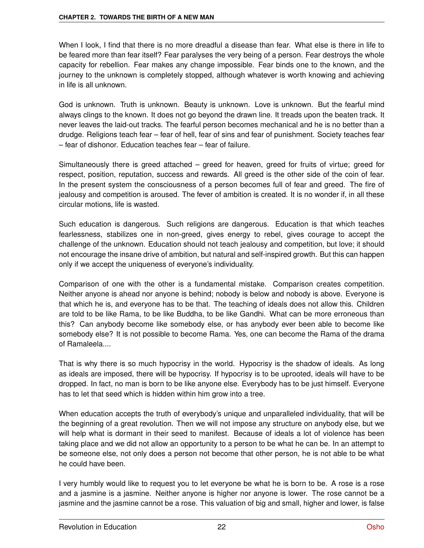When I look, I find that there is no more dreadful a disease than fear. What else is there in life to be feared more than fear itself? Fear paralyses the very being of a person. Fear destroys the whole capacity for rebellion. Fear makes any change impossible. Fear binds one to the known, and the journey to the unknown is completely stopped, although whatever is worth knowing and achieving in life is all unknown.

God is unknown. Truth is unknown. Beauty is unknown. Love is unknown. But the fearful mind always clings to the known. It does not go beyond the drawn line. It treads upon the beaten track. It never leaves the laid-out tracks. The fearful person becomes mechanical and he is no better than a drudge. Religions teach fear – fear of hell, fear of sins and fear of punishment. Society teaches fear – fear of dishonor. Education teaches fear – fear of failure.

Simultaneously there is greed attached – greed for heaven, greed for fruits of virtue; greed for respect, position, reputation, success and rewards. All greed is the other side of the coin of fear. In the present system the consciousness of a person becomes full of fear and greed. The fire of jealousy and competition is aroused. The fever of ambition is created. It is no wonder if, in all these circular motions, life is wasted.

Such education is dangerous. Such religions are dangerous. Education is that which teaches fearlessness, stabilizes one in non-greed, gives energy to rebel, gives courage to accept the challenge of the unknown. Education should not teach jealousy and competition, but love; it should not encourage the insane drive of ambition, but natural and self-inspired growth. But this can happen only if we accept the uniqueness of everyone's individuality.

Comparison of one with the other is a fundamental mistake. Comparison creates competition. Neither anyone is ahead nor anyone is behind; nobody is below and nobody is above. Everyone is that which he is, and everyone has to be that. The teaching of ideals does not allow this. Children are told to be like Rama, to be like Buddha, to be like Gandhi. What can be more erroneous than this? Can anybody become like somebody else, or has anybody ever been able to become like somebody else? It is not possible to become Rama. Yes, one can become the Rama of the drama of Ramaleela....

That is why there is so much hypocrisy in the world. Hypocrisy is the shadow of ideals. As long as ideals are imposed, there will be hypocrisy. If hypocrisy is to be uprooted, ideals will have to be dropped. In fact, no man is born to be like anyone else. Everybody has to be just himself. Everyone has to let that seed which is hidden within him grow into a tree.

When education accepts the truth of everybody's unique and unparalleled individuality, that will be the beginning of a great revolution. Then we will not impose any structure on anybody else, but we will help what is dormant in their seed to manifest. Because of ideals a lot of violence has been taking place and we did not allow an opportunity to a person to be what he can be. In an attempt to be someone else, not only does a person not become that other person, he is not able to be what he could have been.

I very humbly would like to request you to let everyone be what he is born to be. A rose is a rose and a jasmine is a jasmine. Neither anyone is higher nor anyone is lower. The rose cannot be a jasmine and the jasmine cannot be a rose. This valuation of big and small, higher and lower, is false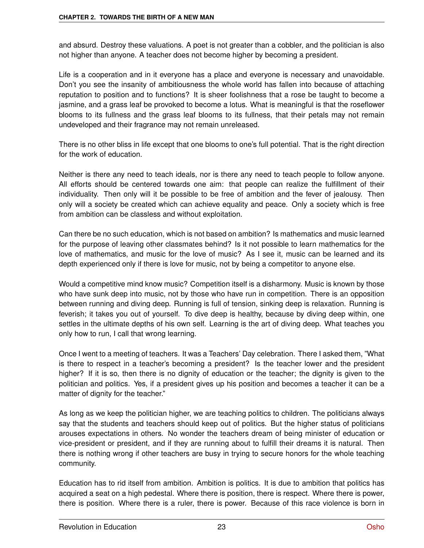and absurd. Destroy these valuations. A poet is not greater than a cobbler, and the politician is also not higher than anyone. A teacher does not become higher by becoming a president.

Life is a cooperation and in it everyone has a place and everyone is necessary and unavoidable. Don't you see the insanity of ambitiousness the whole world has fallen into because of attaching reputation to position and to functions? It is sheer foolishness that a rose be taught to become a jasmine, and a grass leaf be provoked to become a lotus. What is meaningful is that the roseflower blooms to its fullness and the grass leaf blooms to its fullness, that their petals may not remain undeveloped and their fragrance may not remain unreleased.

There is no other bliss in life except that one blooms to one's full potential. That is the right direction for the work of education.

Neither is there any need to teach ideals, nor is there any need to teach people to follow anyone. All efforts should be centered towards one aim: that people can realize the fulfillment of their individuality. Then only will it be possible to be free of ambition and the fever of jealousy. Then only will a society be created which can achieve equality and peace. Only a society which is free from ambition can be classless and without exploitation.

Can there be no such education, which is not based on ambition? Is mathematics and music learned for the purpose of leaving other classmates behind? Is it not possible to learn mathematics for the love of mathematics, and music for the love of music? As I see it, music can be learned and its depth experienced only if there is love for music, not by being a competitor to anyone else.

Would a competitive mind know music? Competition itself is a disharmony. Music is known by those who have sunk deep into music, not by those who have run in competition. There is an opposition between running and diving deep. Running is full of tension, sinking deep is relaxation. Running is feverish; it takes you out of yourself. To dive deep is healthy, because by diving deep within, one settles in the ultimate depths of his own self. Learning is the art of diving deep. What teaches you only how to run, I call that wrong learning.

Once I went to a meeting of teachers. It was a Teachers' Day celebration. There I asked them, "What is there to respect in a teacher's becoming a president? Is the teacher lower and the president higher? If it is so, then there is no dignity of education or the teacher; the dignity is given to the politician and politics. Yes, if a president gives up his position and becomes a teacher it can be a matter of dignity for the teacher."

As long as we keep the politician higher, we are teaching politics to children. The politicians always say that the students and teachers should keep out of politics. But the higher status of politicians arouses expectations in others. No wonder the teachers dream of being minister of education or vice-president or president, and if they are running about to fulfill their dreams it is natural. Then there is nothing wrong if other teachers are busy in trying to secure honors for the whole teaching community.

Education has to rid itself from ambition. Ambition is politics. It is due to ambition that politics has acquired a seat on a high pedestal. Where there is position, there is respect. Where there is power, there is position. Where there is a ruler, there is power. Because of this race violence is born in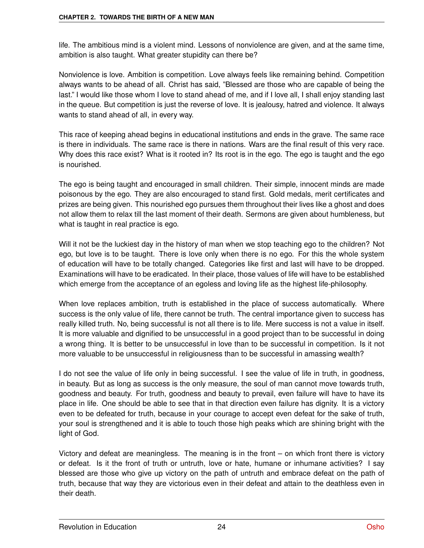life. The ambitious mind is a violent mind. Lessons of nonviolence are given, and at the same time, ambition is also taught. What greater stupidity can there be?

Nonviolence is love. Ambition is competition. Love always feels like remaining behind. Competition always wants to be ahead of all. Christ has said, "Blessed are those who are capable of being the last." I would like those whom I love to stand ahead of me, and if I love all, I shall enjoy standing last in the queue. But competition is just the reverse of love. It is jealousy, hatred and violence. It always wants to stand ahead of all, in every way.

This race of keeping ahead begins in educational institutions and ends in the grave. The same race is there in individuals. The same race is there in nations. Wars are the final result of this very race. Why does this race exist? What is it rooted in? Its root is in the ego. The ego is taught and the ego is nourished.

The ego is being taught and encouraged in small children. Their simple, innocent minds are made poisonous by the ego. They are also encouraged to stand first. Gold medals, merit certificates and prizes are being given. This nourished ego pursues them throughout their lives like a ghost and does not allow them to relax till the last moment of their death. Sermons are given about humbleness, but what is taught in real practice is ego.

Will it not be the luckiest day in the history of man when we stop teaching ego to the children? Not ego, but love is to be taught. There is love only when there is no ego. For this the whole system of education will have to be totally changed. Categories like first and last will have to be dropped. Examinations will have to be eradicated. In their place, those values of life will have to be established which emerge from the acceptance of an egoless and loving life as the highest life-philosophy.

When love replaces ambition, truth is established in the place of success automatically. Where success is the only value of life, there cannot be truth. The central importance given to success has really killed truth. No, being successful is not all there is to life. Mere success is not a value in itself. It is more valuable and dignified to be unsuccessful in a good project than to be successful in doing a wrong thing. It is better to be unsuccessful in love than to be successful in competition. Is it not more valuable to be unsuccessful in religiousness than to be successful in amassing wealth?

I do not see the value of life only in being successful. I see the value of life in truth, in goodness, in beauty. But as long as success is the only measure, the soul of man cannot move towards truth, goodness and beauty. For truth, goodness and beauty to prevail, even failure will have to have its place in life. One should be able to see that in that direction even failure has dignity. It is a victory even to be defeated for truth, because in your courage to accept even defeat for the sake of truth, your soul is strengthened and it is able to touch those high peaks which are shining bright with the light of God.

Victory and defeat are meaningless. The meaning is in the front – on which front there is victory or defeat. Is it the front of truth or untruth, love or hate, humane or inhumane activities? I say blessed are those who give up victory on the path of untruth and embrace defeat on the path of truth, because that way they are victorious even in their defeat and attain to the deathless even in their death.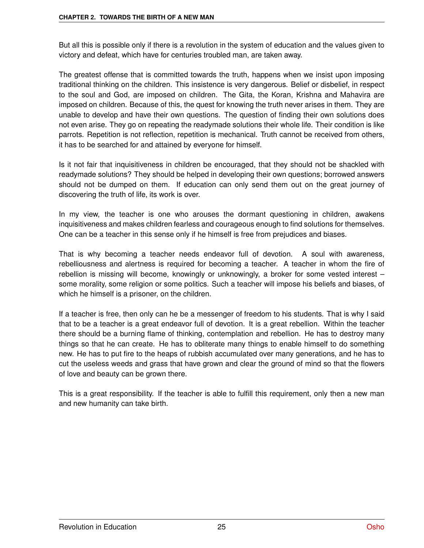But all this is possible only if there is a revolution in the system of education and the values given to victory and defeat, which have for centuries troubled man, are taken away.

The greatest offense that is committed towards the truth, happens when we insist upon imposing traditional thinking on the children. This insistence is very dangerous. Belief or disbelief, in respect to the soul and God, are imposed on children. The Gita, the Koran, Krishna and Mahavira are imposed on children. Because of this, the quest for knowing the truth never arises in them. They are unable to develop and have their own questions. The question of finding their own solutions does not even arise. They go on repeating the readymade solutions their whole life. Their condition is like parrots. Repetition is not reflection, repetition is mechanical. Truth cannot be received from others, it has to be searched for and attained by everyone for himself.

Is it not fair that inquisitiveness in children be encouraged, that they should not be shackled with readymade solutions? They should be helped in developing their own questions; borrowed answers should not be dumped on them. If education can only send them out on the great journey of discovering the truth of life, its work is over.

In my view, the teacher is one who arouses the dormant questioning in children, awakens inquisitiveness and makes children fearless and courageous enough to find solutions for themselves. One can be a teacher in this sense only if he himself is free from prejudices and biases.

That is why becoming a teacher needs endeavor full of devotion. A soul with awareness, rebelliousness and alertness is required for becoming a teacher. A teacher in whom the fire of rebellion is missing will become, knowingly or unknowingly, a broker for some vested interest – some morality, some religion or some politics. Such a teacher will impose his beliefs and biases, of which he himself is a prisoner, on the children.

If a teacher is free, then only can he be a messenger of freedom to his students. That is why I said that to be a teacher is a great endeavor full of devotion. It is a great rebellion. Within the teacher there should be a burning flame of thinking, contemplation and rebellion. He has to destroy many things so that he can create. He has to obliterate many things to enable himself to do something new. He has to put fire to the heaps of rubbish accumulated over many generations, and he has to cut the useless weeds and grass that have grown and clear the ground of mind so that the flowers of love and beauty can be grown there.

This is a great responsibility. If the teacher is able to fulfill this requirement, only then a new man and new humanity can take birth.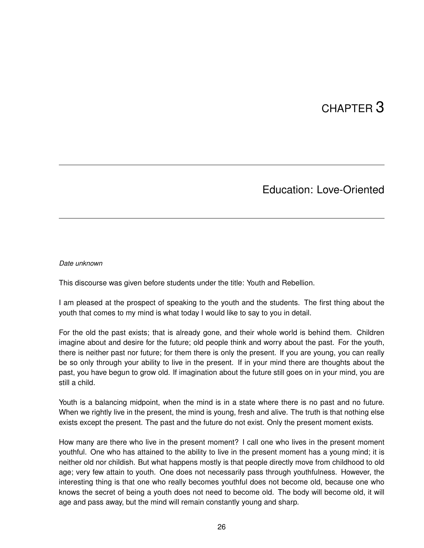# CHAPTER 3

### Education: Love-Oriented

#### *Date unknown*

This discourse was given before students under the title: Youth and Rebellion.

I am pleased at the prospect of speaking to the youth and the students. The first thing about the youth that comes to my mind is what today I would like to say to you in detail.

For the old the past exists; that is already gone, and their whole world is behind them. Children imagine about and desire for the future; old people think and worry about the past. For the youth, there is neither past nor future; for them there is only the present. If you are young, you can really be so only through your ability to live in the present. If in your mind there are thoughts about the past, you have begun to grow old. If imagination about the future still goes on in your mind, you are still a child.

Youth is a balancing midpoint, when the mind is in a state where there is no past and no future. When we rightly live in the present, the mind is young, fresh and alive. The truth is that nothing else exists except the present. The past and the future do not exist. Only the present moment exists.

How many are there who live in the present moment? I call one who lives in the present moment youthful. One who has attained to the ability to live in the present moment has a young mind; it is neither old nor childish. But what happens mostly is that people directly move from childhood to old age; very few attain to youth. One does not necessarily pass through youthfulness. However, the interesting thing is that one who really becomes youthful does not become old, because one who knows the secret of being a youth does not need to become old. The body will become old, it will age and pass away, but the mind will remain constantly young and sharp.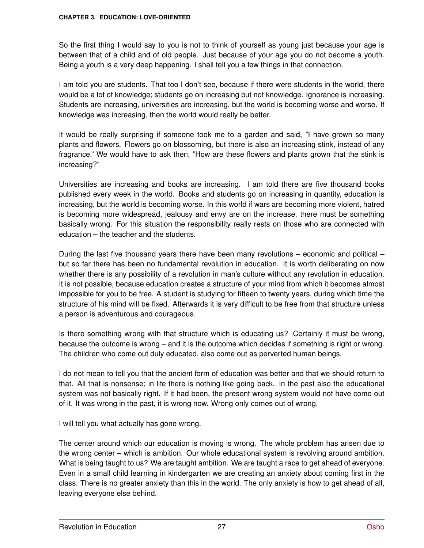So the first thing I would say to you is not to think of yourself as young just because your age is between that of a child and of old people. Just because of your age you do not become a youth. Being a youth is a very deep happening. I shall tell you a few things in that connection.

I am told you are students. That too I don't see, because if there were students in the world, there would be a lot of knowledge; students go on increasing but not knowledge. Ignorance is increasing. Students are increasing, universities are increasing, but the world is becoming worse and worse. If knowledge was increasing, then the world would really be better.

It would be really surprising if someone took me to a garden and said, "I have grown so many plants and flowers. Flowers go on blossoming, but there is also an increasing stink, instead of any fragrance." We would have to ask then, "How are these flowers and plants grown that the stink is increasing?"

Universities are increasing and books are increasing. I am told there are five thousand books published every week in the world. Books and students go on increasing in quantity, education is increasing, but the world is becoming worse. In this world if wars are becoming more violent, hatred is becoming more widespread, jealousy and envy are on the increase, there must be something basically wrong. For this situation the responsibility really rests on those who are connected with education – the teacher and the students.

During the last five thousand years there have been many revolutions – economic and political – but so far there has been no fundamental revolution in education. It is worth deliberating on now whether there is any possibility of a revolution in man's culture without any revolution in education. It is not possible, because education creates a structure of your mind from which it becomes almost impossible for you to be free. A student is studying for fifteen to twenty years, during which time the structure of his mind will be fixed. Afterwards it is very difficult to be free from that structure unless a person is adventurous and courageous.

Is there something wrong with that structure which is educating us? Certainly it must be wrong, because the outcome is wrong – and it is the outcome which decides if something is right or wrong. The children who come out duly educated, also come out as perverted human beings.

I do not mean to tell you that the ancient form of education was better and that we should return to that. All that is nonsense; in life there is nothing like going back. In the past also the educational system was not basically right. If it had been, the present wrong system would not have come out of it. It was wrong in the past, it is wrong now. Wrong only comes out of wrong.

I will tell you what actually has gone wrong.

The center around which our education is moving is wrong. The whole problem has arisen due to the wrong center – which is ambition. Our whole educational system is revolving around ambition. What is being taught to us? We are taught ambition. We are taught a race to get ahead of everyone. Even in a small child learning in kindergarten we are creating an anxiety about coming first in the class. There is no greater anxiety than this in the world. The only anxiety is how to get ahead of all, leaving everyone else behind.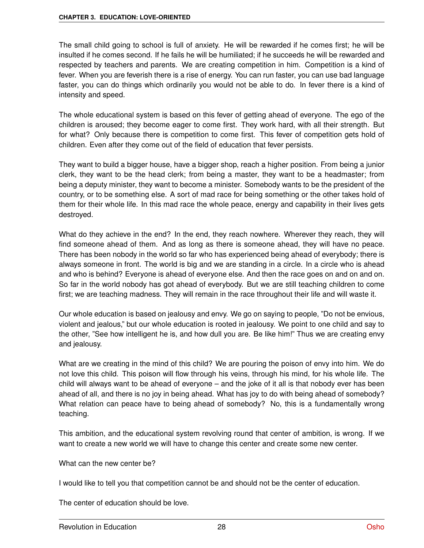The small child going to school is full of anxiety. He will be rewarded if he comes first; he will be insulted if he comes second. If he fails he will be humiliated; if he succeeds he will be rewarded and respected by teachers and parents. We are creating competition in him. Competition is a kind of fever. When you are feverish there is a rise of energy. You can run faster, you can use bad language faster, you can do things which ordinarily you would not be able to do. In fever there is a kind of intensity and speed.

The whole educational system is based on this fever of getting ahead of everyone. The ego of the children is aroused; they become eager to come first. They work hard, with all their strength. But for what? Only because there is competition to come first. This fever of competition gets hold of children. Even after they come out of the field of education that fever persists.

They want to build a bigger house, have a bigger shop, reach a higher position. From being a junior clerk, they want to be the head clerk; from being a master, they want to be a headmaster; from being a deputy minister, they want to become a minister. Somebody wants to be the president of the country, or to be something else. A sort of mad race for being something or the other takes hold of them for their whole life. In this mad race the whole peace, energy and capability in their lives gets destroyed.

What do they achieve in the end? In the end, they reach nowhere. Wherever they reach, they will find someone ahead of them. And as long as there is someone ahead, they will have no peace. There has been nobody in the world so far who has experienced being ahead of everybody; there is always someone in front. The world is big and we are standing in a circle. In a circle who is ahead and who is behind? Everyone is ahead of everyone else. And then the race goes on and on and on. So far in the world nobody has got ahead of everybody. But we are still teaching children to come first; we are teaching madness. They will remain in the race throughout their life and will waste it.

Our whole education is based on jealousy and envy. We go on saying to people, "Do not be envious, violent and jealous," but our whole education is rooted in jealousy. We point to one child and say to the other, "See how intelligent he is, and how dull you are. Be like him!" Thus we are creating envy and jealousy.

What are we creating in the mind of this child? We are pouring the poison of envy into him. We do not love this child. This poison will flow through his veins, through his mind, for his whole life. The child will always want to be ahead of everyone – and the joke of it all is that nobody ever has been ahead of all, and there is no joy in being ahead. What has joy to do with being ahead of somebody? What relation can peace have to being ahead of somebody? No, this is a fundamentally wrong teaching.

This ambition, and the educational system revolving round that center of ambition, is wrong. If we want to create a new world we will have to change this center and create some new center.

What can the new center be?

I would like to tell you that competition cannot be and should not be the center of education.

The center of education should be love.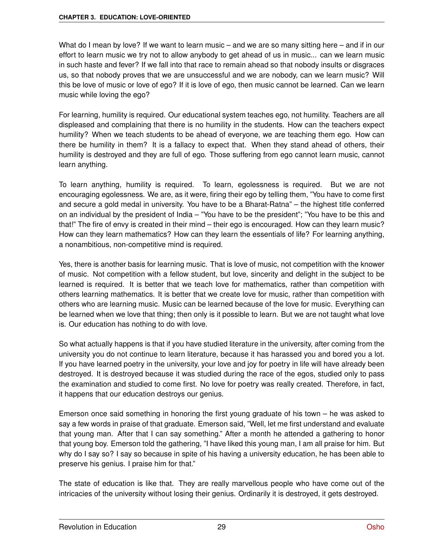What do I mean by love? If we want to learn music – and we are so many sitting here – and if in our effort to learn music we try not to allow anybody to get ahead of us in music... can we learn music in such haste and fever? If we fall into that race to remain ahead so that nobody insults or disgraces us, so that nobody proves that we are unsuccessful and we are nobody, can we learn music? Will this be love of music or love of ego? If it is love of ego, then music cannot be learned. Can we learn music while loving the ego?

For learning, humility is required. Our educational system teaches ego, not humility. Teachers are all displeased and complaining that there is no humility in the students. How can the teachers expect humility? When we teach students to be ahead of everyone, we are teaching them ego. How can there be humility in them? It is a fallacy to expect that. When they stand ahead of others, their humility is destroyed and they are full of ego. Those suffering from ego cannot learn music, cannot learn anything.

To learn anything, humility is required. To learn, egolessness is required. But we are not encouraging egolessness. We are, as it were, firing their ego by telling them, "You have to come first and secure a gold medal in university. You have to be a Bharat-Ratna" – the highest title conferred on an individual by the president of India – "You have to be the president"; "You have to be this and that!" The fire of envy is created in their mind – their ego is encouraged. How can they learn music? How can they learn mathematics? How can they learn the essentials of life? For learning anything, a nonambitious, non-competitive mind is required.

Yes, there is another basis for learning music. That is love of music, not competition with the knower of music. Not competition with a fellow student, but love, sincerity and delight in the subject to be learned is required. It is better that we teach love for mathematics, rather than competition with others learning mathematics. It is better that we create love for music, rather than competition with others who are learning music. Music can be learned because of the love for music. Everything can be learned when we love that thing; then only is it possible to learn. But we are not taught what love is. Our education has nothing to do with love.

So what actually happens is that if you have studied literature in the university, after coming from the university you do not continue to learn literature, because it has harassed you and bored you a lot. If you have learned poetry in the university, your love and joy for poetry in life will have already been destroyed. It is destroyed because it was studied during the race of the egos, studied only to pass the examination and studied to come first. No love for poetry was really created. Therefore, in fact, it happens that our education destroys our genius.

Emerson once said something in honoring the first young graduate of his town – he was asked to say a few words in praise of that graduate. Emerson said, "Well, let me first understand and evaluate that young man. After that I can say something." After a month he attended a gathering to honor that young boy. Emerson told the gathering, "I have liked this young man, I am all praise for him. But why do I say so? I say so because in spite of his having a university education, he has been able to preserve his genius. I praise him for that."

The state of education is like that. They are really marvellous people who have come out of the intricacies of the university without losing their genius. Ordinarily it is destroyed, it gets destroyed.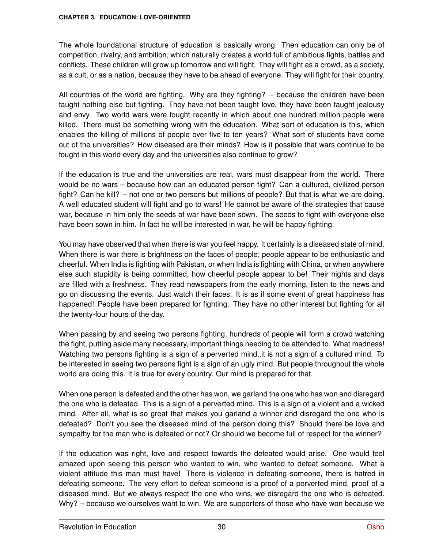The whole foundational structure of education is basically wrong. Then education can only be of competition, rivalry, and ambition, which naturally creates a world full of ambitious fights, battles and conflicts. These children will grow up tomorrow and will fight. They will fight as a crowd, as a society, as a cult, or as a nation, because they have to be ahead of everyone. They will fight for their country.

All countries of the world are fighting. Why are they fighting? – because the children have been taught nothing else but fighting. They have not been taught love, they have been taught jealousy and envy. Two world wars were fought recently in which about one hundred million people were killed. There must be something wrong with the education. What sort of education is this, which enables the killing of millions of people over five to ten years? What sort of students have come out of the universities? How diseased are their minds? How is it possible that wars continue to be fought in this world every day and the universities also continue to grow?

If the education is true and the universities are real, wars must disappear from the world. There would be no wars – because how can an educated person fight? Can a cultured, civilized person fight? Can he kill? – not one or two persons but millions of people? But that is what we are doing. A well educated student will fight and go to wars! He cannot be aware of the strategies that cause war, because in him only the seeds of war have been sown. The seeds to fight with everyone else have been sown in him. In fact he will be interested in war, he will be happy fighting.

You may have observed that when there is war you feel happy. It certainly is a diseased state of mind. When there is war there is brightness on the faces of people; people appear to be enthusiastic and cheerful. When India is fighting with Pakistan, or when India is fighting with China, or when anywhere else such stupidity is being committed, how cheerful people appear to be! Their nights and days are filled with a freshness. They read newspapers from the early morning, listen to the news and go on discussing the events. Just watch their faces. It is as if some event of great happiness has happened! People have been prepared for fighting. They have no other interest but fighting for all the twenty-four hours of the day.

When passing by and seeing two persons fighting, hundreds of people will form a crowd watching the fight, putting aside many necessary, important things needing to be attended to. What madness! Watching two persons fighting is a sign of a perverted mind,.it is not a sign of a cultured mind. To be interested in seeing two persons fight is a sign of an ugly mind. But people throughout the whole world are doing this. It is true for every country. Our mind is prepared for that.

When one person is defeated and the other has won, we garland the one who has won and disregard the one who is defeated. This is a sign of a perverted mind. This is a sign of a violent and a wicked mind. After all, what is so great that makes you garland a winner and disregard the one who is defeated? Don't you see the diseased mind of the person doing this? Should there be love and sympathy for the man who is defeated or not? Or should we become full of respect for the winner?

If the education was right, love and respect towards the defeated would arise. One would feel amazed upon seeing this person who wanted to win, who wanted to defeat someone. What a violent attitude this man must have! There is violence in defeating someone, there is hatred in defeating someone. The very effort to defeat someone is a proof of a perverted mind, proof of a diseased mind. But we always respect the one who wins, we disregard the one who is defeated. Why? – because we ourselves want to win. We are supporters of those who have won because we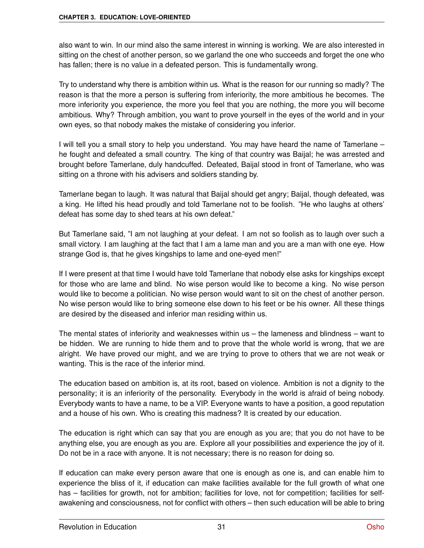also want to win. In our mind also the same interest in winning is working. We are also interested in sitting on the chest of another person, so we garland the one who succeeds and forget the one who has fallen; there is no value in a defeated person. This is fundamentally wrong.

Try to understand why there is ambition within us. What is the reason for our running so madly? The reason is that the more a person is suffering from inferiority, the more ambitious he becomes. The more inferiority you experience, the more you feel that you are nothing, the more you will become ambitious. Why? Through ambition, you want to prove yourself in the eyes of the world and in your own eyes, so that nobody makes the mistake of considering you inferior.

I will tell you a small story to help you understand. You may have heard the name of Tamerlane – he fought and defeated a small country. The king of that country was Baijal; he was arrested and brought before Tamerlane, duly handcuffed. Defeated, Baijal stood in front of Tamerlane, who was sitting on a throne with his advisers and soldiers standing by.

Tamerlane began to laugh. It was natural that Baijal should get angry; Baijal, though defeated, was a king. He lifted his head proudly and told Tamerlane not to be foolish. "He who laughs at others' defeat has some day to shed tears at his own defeat."

But Tamerlane said, "I am not laughing at your defeat. I am not so foolish as to laugh over such a small victory. I am laughing at the fact that I am a lame man and you are a man with one eye. How strange God is, that he gives kingships to lame and one-eyed men!"

If I were present at that time I would have told Tamerlane that nobody else asks for kingships except for those who are lame and blind. No wise person would like to become a king. No wise person would like to become a politician. No wise person would want to sit on the chest of another person. No wise person would like to bring someone else down to his feet or be his owner. All these things are desired by the diseased and inferior man residing within us.

The mental states of inferiority and weaknesses within us – the lameness and blindness – want to be hidden. We are running to hide them and to prove that the whole world is wrong, that we are alright. We have proved our might, and we are trying to prove to others that we are not weak or wanting. This is the race of the inferior mind.

The education based on ambition is, at its root, based on violence. Ambition is not a dignity to the personality; it is an inferiority of the personality. Everybody in the world is afraid of being nobody. Everybody wants to have a name, to be a VIP. Everyone wants to have a position, a good reputation and a house of his own. Who is creating this madness? It is created by our education.

The education is right which can say that you are enough as you are; that you do not have to be anything else, you are enough as you are. Explore all your possibilities and experience the joy of it. Do not be in a race with anyone. It is not necessary; there is no reason for doing so.

If education can make every person aware that one is enough as one is, and can enable him to experience the bliss of it, if education can make facilities available for the full growth of what one has – facilities for growth, not for ambition; facilities for love, not for competition; facilities for selfawakening and consciousness, not for conflict with others – then such education will be able to bring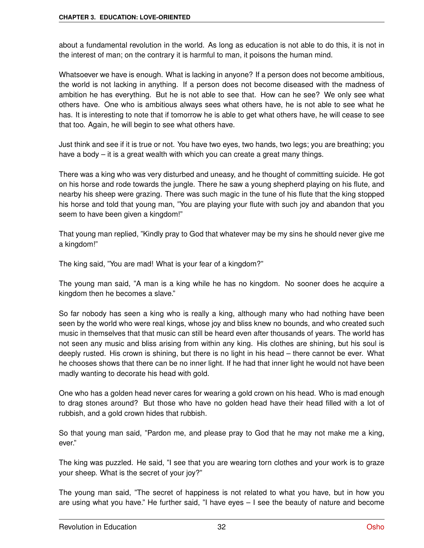about a fundamental revolution in the world. As long as education is not able to do this, it is not in the interest of man; on the contrary it is harmful to man, it poisons the human mind.

Whatsoever we have is enough. What is lacking in anyone? If a person does not become ambitious, the world is not lacking in anything. If a person does not become diseased with the madness of ambition he has everything. But he is not able to see that. How can he see? We only see what others have. One who is ambitious always sees what others have, he is not able to see what he has. It is interesting to note that if tomorrow he is able to get what others have, he will cease to see that too. Again, he will begin to see what others have.

Just think and see if it is true or not. You have two eyes, two hands, two legs; you are breathing; you have a body – it is a great wealth with which you can create a great many things.

There was a king who was very disturbed and uneasy, and he thought of committing suicide. He got on his horse and rode towards the jungle. There he saw a young shepherd playing on his flute, and nearby his sheep were grazing. There was such magic in the tune of his flute that the king stopped his horse and told that young man, "You are playing your flute with such joy and abandon that you seem to have been given a kingdom!"

That young man replied, "Kindly pray to God that whatever may be my sins he should never give me a kingdom!"

The king said, "You are mad! What is your fear of a kingdom?"

The young man said, "A man is a king while he has no kingdom. No sooner does he acquire a kingdom then he becomes a slave."

So far nobody has seen a king who is really a king, although many who had nothing have been seen by the world who were real kings, whose joy and bliss knew no bounds, and who created such music in themselves that that music can still be heard even after thousands of years. The world has not seen any music and bliss arising from within any king. His clothes are shining, but his soul is deeply rusted. His crown is shining, but there is no light in his head – there cannot be ever. What he chooses shows that there can be no inner light. If he had that inner light he would not have been madly wanting to decorate his head with gold.

One who has a golden head never cares for wearing a gold crown on his head. Who is mad enough to drag stones around? But those who have no golden head have their head filled with a lot of rubbish, and a gold crown hides that rubbish.

So that young man said, "Pardon me, and please pray to God that he may not make me a king, ever."

The king was puzzled. He said, "I see that you are wearing torn clothes and your work is to graze your sheep. What is the secret of your joy?"

The young man said, "The secret of happiness is not related to what you have, but in how you are using what you have." He further said, "I have eyes – I see the beauty of nature and become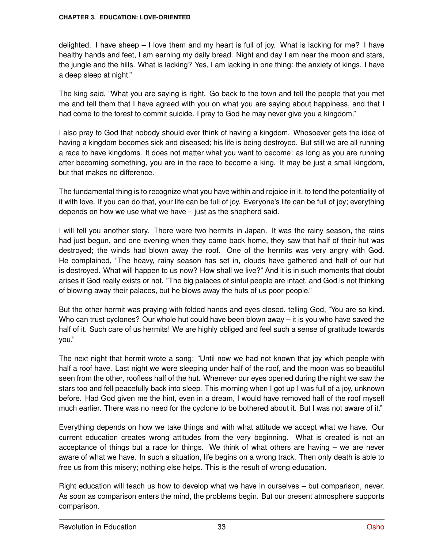delighted. I have sheep  $-1$  love them and my heart is full of joy. What is lacking for me? I have healthy hands and feet, I am earning my daily bread. Night and day I am near the moon and stars, the jungle and the hills. What is lacking? Yes, I am lacking in one thing: the anxiety of kings. I have a deep sleep at night."

The king said, "What you are saying is right. Go back to the town and tell the people that you met me and tell them that I have agreed with you on what you are saying about happiness, and that I had come to the forest to commit suicide. I pray to God he may never give you a kingdom."

I also pray to God that nobody should ever think of having a kingdom. Whosoever gets the idea of having a kingdom becomes sick and diseased; his life is being destroyed. But still we are all running a race to have kingdoms. It does not matter what you want to become: as long as you are running after becoming something, you are in the race to become a king. It may be just a small kingdom, but that makes no difference.

The fundamental thing is to recognize what you have within and rejoice in it, to tend the potentiality of it with love. If you can do that, your life can be full of joy. Everyone's life can be full of joy; everything depends on how we use what we have – just as the shepherd said.

I will tell you another story. There were two hermits in Japan. It was the rainy season, the rains had just begun, and one evening when they came back home, they saw that half of their hut was destroyed; the winds had blown away the roof. One of the hermits was very angry with God. He complained, "The heavy, rainy season has set in, clouds have gathered and half of our hut is destroyed. What will happen to us now? How shall we live?" And it is in such moments that doubt arises if God really exists or not. "The big palaces of sinful people are intact, and God is not thinking of blowing away their palaces, but he blows away the huts of us poor people."

But the other hermit was praying with folded hands and eyes closed, telling God, "You are so kind. Who can trust cyclones? Our whole hut could have been blown away – it is you who have saved the half of it. Such care of us hermits! We are highly obliged and feel such a sense of gratitude towards you."

The next night that hermit wrote a song: "Until now we had not known that joy which people with half a roof have. Last night we were sleeping under half of the roof, and the moon was so beautiful seen from the other, roofless half of the hut. Whenever our eyes opened during the night we saw the stars too and fell peacefully back into sleep. This morning when I got up I was full of a joy, unknown before. Had God given me the hint, even in a dream, I would have removed half of the roof myself much earlier. There was no need for the cyclone to be bothered about it. But I was not aware of it."

Everything depends on how we take things and with what attitude we accept what we have. Our current education creates wrong attitudes from the very beginning. What is created is not an acceptance of things but a race for things. We think of what others are having – we are never aware of what we have. In such a situation, life begins on a wrong track. Then only death is able to free us from this misery; nothing else helps. This is the result of wrong education.

Right education will teach us how to develop what we have in ourselves – but comparison, never. As soon as comparison enters the mind, the problems begin. But our present atmosphere supports comparison.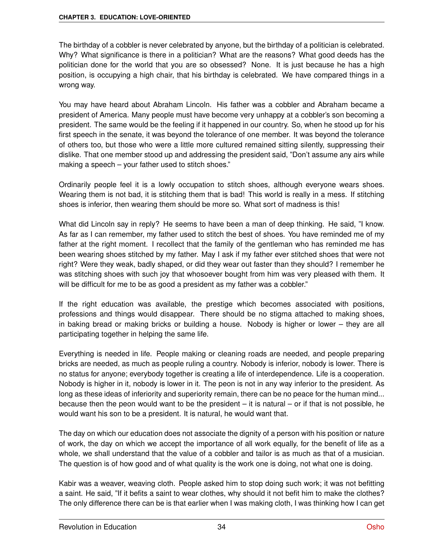The birthday of a cobbler is never celebrated by anyone, but the birthday of a politician is celebrated. Why? What significance is there in a politician? What are the reasons? What good deeds has the politician done for the world that you are so obsessed? None. It is just because he has a high position, is occupying a high chair, that his birthday is celebrated. We have compared things in a wrong way.

You may have heard about Abraham Lincoln. His father was a cobbler and Abraham became a president of America. Many people must have become very unhappy at a cobbler's son becoming a president. The same would be the feeling if it happened in our country. So, when he stood up for his first speech in the senate, it was beyond the tolerance of one member. It was beyond the tolerance of others too, but those who were a little more cultured remained sitting silently, suppressing their dislike. That one member stood up and addressing the president said, "Don't assume any airs while making a speech – your father used to stitch shoes."

Ordinarily people feel it is a lowly occupation to stitch shoes, although everyone wears shoes. Wearing them is not bad, it is stitching them that is bad! This world is really in a mess. If stitching shoes is inferior, then wearing them should be more so. What sort of madness is this!

What did Lincoln say in reply? He seems to have been a man of deep thinking. He said, "I know. As far as I can remember, my father used to stitch the best of shoes. You have reminded me of my father at the right moment. I recollect that the family of the gentleman who has reminded me has been wearing shoes stitched by my father. May I ask if my father ever stitched shoes that were not right? Were they weak, badly shaped, or did they wear out faster than they should? I remember he was stitching shoes with such joy that whosoever bought from him was very pleased with them. It will be difficult for me to be as good a president as my father was a cobbler."

If the right education was available, the prestige which becomes associated with positions, professions and things would disappear. There should be no stigma attached to making shoes, in baking bread or making bricks or building a house. Nobody is higher or lower – they are all participating together in helping the same life.

Everything is needed in life. People making or cleaning roads are needed, and people preparing bricks are needed, as much as people ruling a country. Nobody is inferior, nobody is lower. There is no status for anyone; everybody together is creating a life of interdependence. Life is a cooperation. Nobody is higher in it, nobody is lower in it. The peon is not in any way inferior to the president. As long as these ideas of inferiority and superiority remain, there can be no peace for the human mind... because then the peon would want to be the president  $-$  it is natural  $-$  or if that is not possible, he would want his son to be a president. It is natural, he would want that.

The day on which our education does not associate the dignity of a person with his position or nature of work, the day on which we accept the importance of all work equally, for the benefit of life as a whole, we shall understand that the value of a cobbler and tailor is as much as that of a musician. The question is of how good and of what quality is the work one is doing, not what one is doing.

Kabir was a weaver, weaving cloth. People asked him to stop doing such work; it was not befitting a saint. He said, "If it befits a saint to wear clothes, why should it not befit him to make the clothes? The only difference there can be is that earlier when I was making cloth, I was thinking how I can get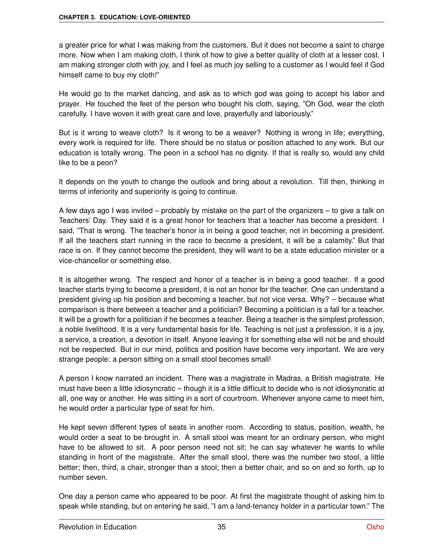a greater price for what I was making from the customers. But it does not become a saint to charge more. Now when I am making cloth, I think of how to give a better quality of cloth at a lesser cost. I am making stronger cloth with joy, and I feel as much joy selling to a customer as I would feel if God himself came to buy my cloth!"

He would go to the market dancing, and ask as to which god was going to accept his labor and prayer. He touched the feet of the person who bought his cloth, saying, "Oh God, wear the cloth carefully. I have woven it with great care and love, prayerfully and laboriously."

But is it wrong to weave cloth? Is it wrong to be a weaver? Nothing is wrong in life; everything, every work is required for life. There should be no status or position attached to any work. But our education is totally wrong. The peon in a school has no dignity. If that is really so, would any child like to be a peon?

It depends on the youth to change the outlook and bring about a revolution. Till then, thinking in terms of inferiority and superiority is going to continue.

A few days ago I was invited – probably by mistake on the part of the organizers – to give a talk on Teachers' Day. They said it is a great honor for teachers that a teacher has become a president. I said, "That is wrong. The teacher's honor is in being a good teacher, not in becoming a president. If all the teachers start running in the race to become a president, it will be a calamity." But that race is on. If they cannot become the president, they will want to be a state education minister or a vice-chancellor or something else.

It is altogether wrong. The respect and honor of a teacher is in being a good teacher. If a good teacher starts trying to become a president, it is not an honor for the teacher. One can understand a president giving up his position and becoming a teacher, but not vice versa. Why? – because what comparison is there between a teacher and a politician? Becoming a politician is a fall for a teacher. It will be a growth for a politician if he becomes a teacher. Being a teacher is the simplest profession, a noble livelihood. It is a very fundamental basis for life. Teaching is not just a profession, it is a joy, a service, a creation, a devotion in itself. Anyone leaving it for something else will not be and should not be respected. But in our mind, politics and position have become very important. We are very strange people: a person sitting on a small stool becomes small!

A person I know narrated an incident. There was a magistrate in Madras, a British magistrate. He must have been a little idiosyncratic – though it is a little difficult to decide who is not idiosyncratic at all, one way or another. He was sitting in a sort of courtroom. Whenever anyone came to meet him, he would order a particular type of seat for him.

He kept seven different types of seats in another room. According to status, position, wealth, he would order a seat to be brought in. A small stool was meant for an ordinary person, who might have to be allowed to sit. A poor person need not sit; he can say whatever he wants to while standing in front of the magistrate. After the small stool, there was the number two stool, a little better; then, third, a chair, stronger than a stool; then a better chair, and so on and so forth, up to number seven.

One day a person came who appeared to be poor. At first the magistrate thought of asking him to speak while standing, but on entering he said, "I am a land-tenancy holder in a particular town." The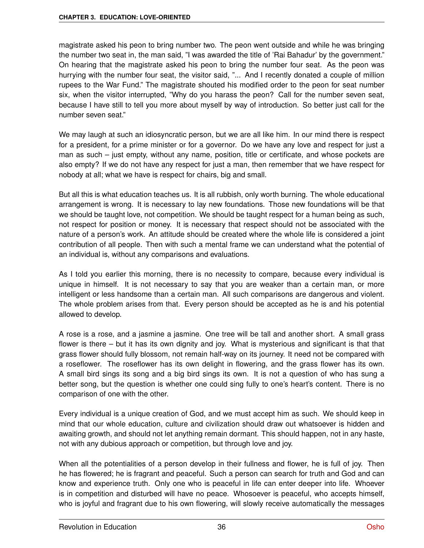magistrate asked his peon to bring number two. The peon went outside and while he was bringing the number two seat in, the man said, "I was awarded the title of 'Rai Bahadur' by the government." On hearing that the magistrate asked his peon to bring the number four seat. As the peon was hurrying with the number four seat, the visitor said, "... And I recently donated a couple of million rupees to the War Fund." The magistrate shouted his modified order to the peon for seat number six, when the visitor interrupted, "Why do you harass the peon? Call for the number seven seat, because I have still to tell you more about myself by way of introduction. So better just call for the number seven seat."

We may laugh at such an idiosyncratic person, but we are all like him. In our mind there is respect for a president, for a prime minister or for a governor. Do we have any love and respect for just a man as such – just empty, without any name, position, title or certificate, and whose pockets are also empty? If we do not have any respect for just a man, then remember that we have respect for nobody at all; what we have is respect for chairs, big and small.

But all this is what education teaches us. It is all rubbish, only worth burning. The whole educational arrangement is wrong. It is necessary to lay new foundations. Those new foundations will be that we should be taught love, not competition. We should be taught respect for a human being as such, not respect for position or money. It is necessary that respect should not be associated with the nature of a person's work. An attitude should be created where the whole life is considered a joint contribution of all people. Then with such a mental frame we can understand what the potential of an individual is, without any comparisons and evaluations.

As I told you earlier this morning, there is no necessity to compare, because every individual is unique in himself. It is not necessary to say that you are weaker than a certain man, or more intelligent or less handsome than a certain man. All such comparisons are dangerous and violent. The whole problem arises from that. Every person should be accepted as he is and his potential allowed to develop.

A rose is a rose, and a jasmine a jasmine. One tree will be tall and another short. A small grass flower is there – but it has its own dignity and joy. What is mysterious and significant is that that grass flower should fully blossom, not remain half-way on its journey. It need not be compared with a roseflower. The roseflower has its own delight in flowering, and the grass flower has its own. A small bird sings its song and a big bird sings its own. It is not a question of who has sung a better song, but the question is whether one could sing fully to one's heart's content. There is no comparison of one with the other.

Every individual is a unique creation of God, and we must accept him as such. We should keep in mind that our whole education, culture and civilization should draw out whatsoever is hidden and awaiting growth, and should not let anything remain dormant. This should happen, not in any haste, not with any dubious approach or competition, but through love and joy.

When all the potentialities of a person develop in their fullness and flower, he is full of joy. Then he has flowered; he is fragrant and peaceful. Such a person can search for truth and God and can know and experience truth. Only one who is peaceful in life can enter deeper into life. Whoever is in competition and disturbed will have no peace. Whosoever is peaceful, who accepts himself, who is joyful and fragrant due to his own flowering, will slowly receive automatically the messages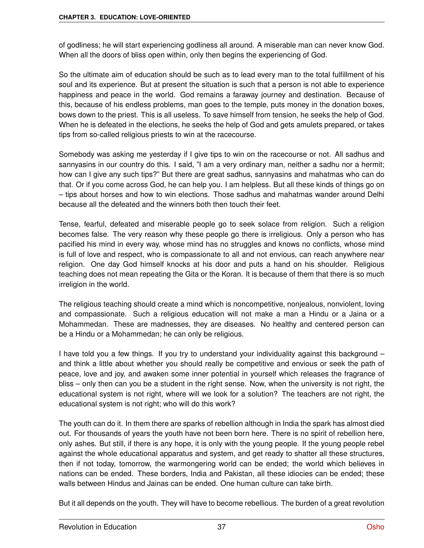of godliness; he will start experiencing godliness all around. A miserable man can never know God. When all the doors of bliss open within, only then begins the experiencing of God.

So the ultimate aim of education should be such as to lead every man to the total fulfillment of his soul and its experience. But at present the situation is such that a person is not able to experience happiness and peace in the world. God remains a faraway journey and destination. Because of this, because of his endless problems, man goes to the temple, puts money in the donation boxes, bows down to the priest. This is all useless. To save himself from tension, he seeks the help of God. When he is defeated in the elections, he seeks the help of God and gets amulets prepared, or takes tips from so-called religious priests to win at the racecourse.

Somebody was asking me yesterday if I give tips to win on the racecourse or not. All sadhus and sannyasins in our country do this. I said, "I am a very ordinary man, neither a sadhu nor a hermit; how can I give any such tips?" But there are great sadhus, sannyasins and mahatmas who can do that. Or if you come across God, he can help you. I am helpless. But all these kinds of things go on – tips about horses and how to win elections. Those sadhus and mahatmas wander around Delhi because all the defeated and the winners both then touch their feet.

Tense, fearful, defeated and miserable people go to seek solace from religion. Such a religion becomes false. The very reason why these people go there is irreligious. Only a person who has pacified his mind in every way, whose mind has no struggles and knows no conflicts, whose mind is full of love and respect, who is compassionate to all and not envious, can reach anywhere near religion. One day God himself knocks at his door and puts a hand on his shoulder. Religious teaching does not mean repeating the Gita or the Koran. It is because of them that there is so much irreligion in the world.

The religious teaching should create a mind which is noncompetitive, nonjealous, nonviolent, loving and compassionate. Such a religious education will not make a man a Hindu or a Jaina or a Mohammedan. These are madnesses, they are diseases. No healthy and centered person can be a Hindu or a Mohammedan; he can only be religious.

I have told you a few things. If you try to understand your individuality against this background – and think a little about whether you should really be competitive and envious or seek the path of peace, love and joy, and awaken some inner potential in yourself which releases the fragrance of bliss – only then can you be a student in the right sense. Now, when the university is not right, the educational system is not right, where will we look for a solution? The teachers are not right, the educational system is not right; who will do this work?

The youth can do it. In them there are sparks of rebellion although in India the spark has almost died out. For thousands of years the youth have not been born here. There is no spirit of rebellion here, only ashes. But still, if there is any hope, it is only with the young people. If the young people rebel against the whole educational apparatus and system, and get ready to shatter all these structures, then if not today, tomorrow, the warmongering world can be ended; the world which believes in nations can be ended. These borders, India and Pakistan, all these idiocies can be ended; these walls between Hindus and Jainas can be ended. One human culture can take birth.

But it all depends on the youth. They will have to become rebellious. The burden of a great revolution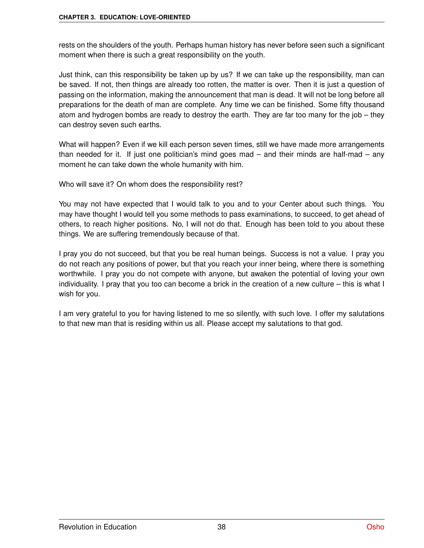rests on the shoulders of the youth. Perhaps human history has never before seen such a significant moment when there is such a great responsibility on the youth.

Just think, can this responsibility be taken up by us? If we can take up the responsibility, man can be saved. If not, then things are already too rotten, the matter is over. Then it is just a question of passing on the information, making the announcement that man is dead. It will not be long before all preparations for the death of man are complete. Any time we can be finished. Some fifty thousand atom and hydrogen bombs are ready to destroy the earth. They are far too many for the job – they can destroy seven such earths.

What will happen? Even if we kill each person seven times, still we have made more arrangements than needed for it. If just one politician's mind goes mad – and their minds are half-mad – any moment he can take down the whole humanity with him.

Who will save it? On whom does the responsibility rest?

You may not have expected that I would talk to you and to your Center about such things. You may have thought I would tell you some methods to pass examinations, to succeed, to get ahead of others, to reach higher positions. No, I will not do that. Enough has been told to you about these things. We are suffering tremendously because of that.

I pray you do not succeed, but that you be real human beings. Success is not a value. I pray you do not reach any positions of power, but that you reach your inner being, where there is something worthwhile. I pray you do not compete with anyone, but awaken the potential of loving your own individuality. I pray that you too can become a brick in the creation of a new culture – this is what I wish for you.

I am very grateful to you for having listened to me so silently, with such love. I offer my salutations to that new man that is residing within us all. Please accept my salutations to that god.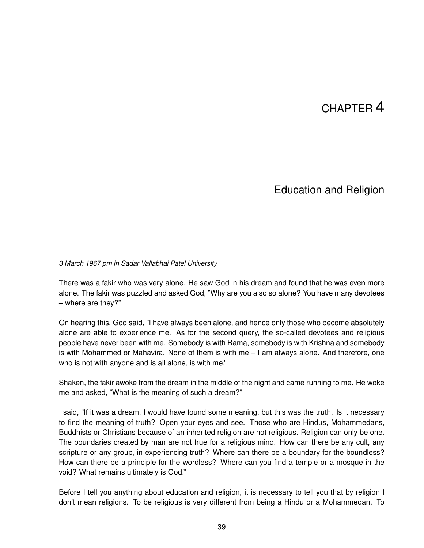# CHAPTER 4

### Education and Religion

*3 March 1967 pm in Sadar Vallabhai Patel University*

There was a fakir who was very alone. He saw God in his dream and found that he was even more alone. The fakir was puzzled and asked God, "Why are you also so alone? You have many devotees – where are they?"

On hearing this, God said, "I have always been alone, and hence only those who become absolutely alone are able to experience me. As for the second query, the so-called devotees and religious people have never been with me. Somebody is with Rama, somebody is with Krishna and somebody is with Mohammed or Mahavira. None of them is with me – I am always alone. And therefore, one who is not with anyone and is all alone, is with me."

Shaken, the fakir awoke from the dream in the middle of the night and came running to me. He woke me and asked, "What is the meaning of such a dream?"

I said, "If it was a dream, I would have found some meaning, but this was the truth. Is it necessary to find the meaning of truth? Open your eyes and see. Those who are Hindus, Mohammedans, Buddhists or Christians because of an inherited religion are not religious. Religion can only be one. The boundaries created by man are not true for a religious mind. How can there be any cult, any scripture or any group, in experiencing truth? Where can there be a boundary for the boundless? How can there be a principle for the wordless? Where can you find a temple or a mosque in the void? What remains ultimately is God."

Before I tell you anything about education and religion, it is necessary to tell you that by religion I don't mean religions. To be religious is very different from being a Hindu or a Mohammedan. To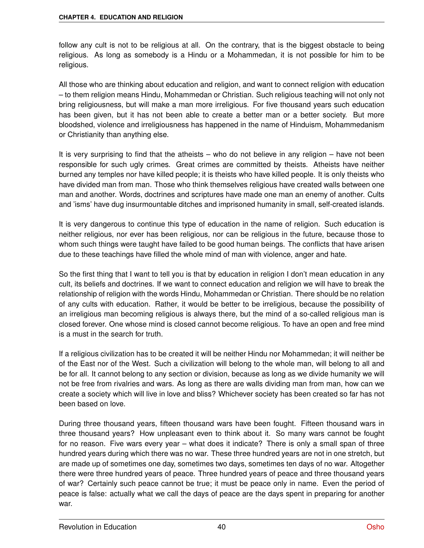follow any cult is not to be religious at all. On the contrary, that is the biggest obstacle to being religious. As long as somebody is a Hindu or a Mohammedan, it is not possible for him to be religious.

All those who are thinking about education and religion, and want to connect religion with education – to them religion means Hindu, Mohammedan or Christian. Such religious teaching will not only not bring religiousness, but will make a man more irreligious. For five thousand years such education has been given, but it has not been able to create a better man or a better society. But more bloodshed, violence and irreligiousness has happened in the name of Hinduism, Mohammedanism or Christianity than anything else.

It is very surprising to find that the atheists – who do not believe in any religion – have not been responsible for such ugly crimes. Great crimes are committed by theists. Atheists have neither burned any temples nor have killed people; it is theists who have killed people. It is only theists who have divided man from man. Those who think themselves religious have created walls between one man and another. Words, doctrines and scriptures have made one man an enemy of another. Cults and 'isms' have dug insurmountable ditches and imprisoned humanity in small, self-created islands.

It is very dangerous to continue this type of education in the name of religion. Such education is neither religious, nor ever has been religious, nor can be religious in the future, because those to whom such things were taught have failed to be good human beings. The conflicts that have arisen due to these teachings have filled the whole mind of man with violence, anger and hate.

So the first thing that I want to tell you is that by education in religion I don't mean education in any cult, its beliefs and doctrines. If we want to connect education and religion we will have to break the relationship of religion with the words Hindu, Mohammedan or Christian. There should be no relation of any cults with education. Rather, it would be better to be irreligious, because the possibility of an irreligious man becoming religious is always there, but the mind of a so-called religious man is closed forever. One whose mind is closed cannot become religious. To have an open and free mind is a must in the search for truth.

If a religious civilization has to be created it will be neither Hindu nor Mohammedan; it will neither be of the East nor of the West. Such a civilization will belong to the whole man, will belong to all and be for all. It cannot belong to any section or division, because as long as we divide humanity we will not be free from rivalries and wars. As long as there are walls dividing man from man, how can we create a society which will live in love and bliss? Whichever society has been created so far has not been based on love.

During three thousand years, fifteen thousand wars have been fought. Fifteen thousand wars in three thousand years? How unpleasant even to think about it. So many wars cannot be fought for no reason. Five wars every year – what does it indicate? There is only a small span of three hundred years during which there was no war. These three hundred years are not in one stretch, but are made up of sometimes one day, sometimes two days, sometimes ten days of no war. Altogether there were three hundred years of peace. Three hundred years of peace and three thousand years of war? Certainly such peace cannot be true; it must be peace only in name. Even the period of peace is false: actually what we call the days of peace are the days spent in preparing for another war.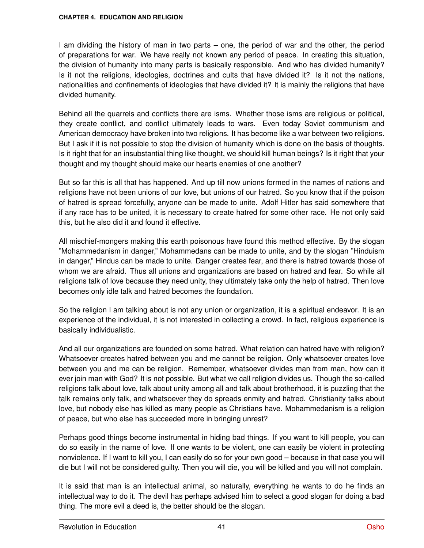I am dividing the history of man in two parts – one, the period of war and the other, the period of preparations for war. We have really not known any period of peace. In creating this situation, the division of humanity into many parts is basically responsible. And who has divided humanity? Is it not the religions, ideologies, doctrines and cults that have divided it? Is it not the nations, nationalities and confinements of ideologies that have divided it? It is mainly the religions that have divided humanity.

Behind all the quarrels and conflicts there are isms. Whether those isms are religious or political, they create conflict, and conflict ultimately leads to wars. Even today Soviet communism and American democracy have broken into two religions. It has become like a war between two religions. But I ask if it is not possible to stop the division of humanity which is done on the basis of thoughts. Is it right that for an insubstantial thing like thought, we should kill human beings? Is it right that your thought and my thought should make our hearts enemies of one another?

But so far this is all that has happened. And up till now unions formed in the names of nations and religions have not been unions of our love, but unions of our hatred. So you know that if the poison of hatred is spread forcefully, anyone can be made to unite. Adolf Hitler has said somewhere that if any race has to be united, it is necessary to create hatred for some other race. He not only said this, but he also did it and found it effective.

All mischief-mongers making this earth poisonous have found this method effective. By the slogan "Mohammedanism in danger," Mohammedans can be made to unite, and by the slogan "Hinduism in danger," Hindus can be made to unite. Danger creates fear, and there is hatred towards those of whom we are afraid. Thus all unions and organizations are based on hatred and fear. So while all religions talk of love because they need unity, they ultimately take only the help of hatred. Then love becomes only idle talk and hatred becomes the foundation.

So the religion I am talking about is not any union or organization, it is a spiritual endeavor. It is an experience of the individual, it is not interested in collecting a crowd. In fact, religious experience is basically individualistic.

And all our organizations are founded on some hatred. What relation can hatred have with religion? Whatsoever creates hatred between you and me cannot be religion. Only whatsoever creates love between you and me can be religion. Remember, whatsoever divides man from man, how can it ever join man with God? It is not possible. But what we call religion divides us. Though the so-called religions talk about love, talk about unity among all and talk about brotherhood, it is puzzling that the talk remains only talk, and whatsoever they do spreads enmity and hatred. Christianity talks about love, but nobody else has killed as many people as Christians have. Mohammedanism is a religion of peace, but who else has succeeded more in bringing unrest?

Perhaps good things become instrumental in hiding bad things. If you want to kill people, you can do so easily in the name of love. If one wants to be violent, one can easily be violent in protecting nonviolence. If I want to kill you, I can easily do so for your own good – because in that case you will die but I will not be considered guilty. Then you will die, you will be killed and you will not complain.

It is said that man is an intellectual animal, so naturally, everything he wants to do he finds an intellectual way to do it. The devil has perhaps advised him to select a good slogan for doing a bad thing. The more evil a deed is, the better should be the slogan.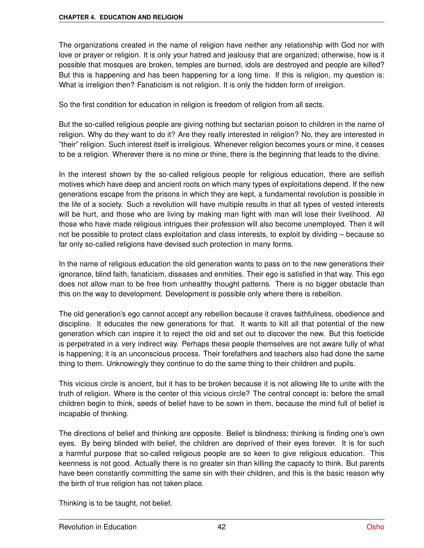The organizations created in the name of religion have neither any relationship with God nor with love or prayer or religion. It is only your hatred and jealousy that are organized; otherwise, how is it possible that mosques are broken, temples are burned, idols are destroyed and people are killed? But this is happening and has been happening for a long time. If this is religion, my question is: What is irreligion then? Fanaticism is not religion. It is only the hidden form of irreligion.

So the first condition for education in religion is freedom of religion from all sects.

But the so-called religious people are giving nothing but sectarian poison to children in the name of religion. Why do they want to do it? Are they really interested in religion? No, they are interested in "their" religion. Such interest itself is irreligious. Whenever religion becomes yours or mine, it ceases to be a religion. Wherever there is no mine or thine, there is the beginning that leads to the divine.

In the interest shown by the so-called religious people for religious education, there are selfish motives which have deep and ancient roots on which many types of exploitations depend. If the new generations escape from the prisons in which they are kept, a fundamental revolution is possible in the life of a society. Such a revolution will have multiple results in that all types of vested interests will be hurt, and those who are living by making man fight with man will lose their livelihood. All those who have made religious intrigues their profession will also become unemployed. Then it will not be possible to protect class exploitation and class interests, to exploit by dividing – because so far only so-called religions have devised such protection in many forms.

In the name of religious education the old generation wants to pass on to the new generations their ignorance, blind faith, fanaticism, diseases and enmities. Their ego is satisfied in that way. This ego does not allow man to be free from unhealthy thought patterns. There is no bigger obstacle than this on the way to development. Development is possible only where there is rebellion.

The old generation's ego cannot accept any rebellion because it craves faithfulness, obedience and discipline. It educates the new generations for that. It wants to kill all that potential of the new generation which can inspire it to reject the old and set out to discover the new. But this foeticide is perpetrated in a very indirect way. Perhaps these people themselves are not aware fully of what is happening; it is an unconscious process. Their forefathers and teachers also had done the same thing to them. Unknowingly they continue to do the same thing to their children and pupils.

This vicious circle is ancient, but it has to be broken because it is not allowing life to unite with the truth of religion. Where is the center of this vicious circle? The central concept is: before the small children begin to think, seeds of belief have to be sown in them, because the mind full of belief is incapable of thinking.

The directions of belief and thinking are opposite. Belief is blindness; thinking is finding one's own eyes. By being blinded with belief, the children are deprived of their eyes forever. It is for such a harmful purpose that so-called religious people are so keen to give religious education. This keenness is not good. Actually there is no greater sin than killing the capacity to think. But parents have been constantly committing the same sin with their children, and this is the basic reason why the birth of true religion has not taken place.

Thinking is to be taught, not belief.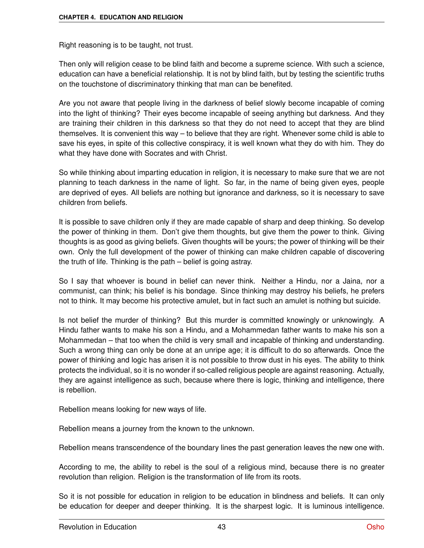Right reasoning is to be taught, not trust.

Then only will religion cease to be blind faith and become a supreme science. With such a science, education can have a beneficial relationship. It is not by blind faith, but by testing the scientific truths on the touchstone of discriminatory thinking that man can be benefited.

Are you not aware that people living in the darkness of belief slowly become incapable of coming into the light of thinking? Their eyes become incapable of seeing anything but darkness. And they are training their children in this darkness so that they do not need to accept that they are blind themselves. It is convenient this way – to believe that they are right. Whenever some child is able to save his eyes, in spite of this collective conspiracy, it is well known what they do with him. They do what they have done with Socrates and with Christ.

So while thinking about imparting education in religion, it is necessary to make sure that we are not planning to teach darkness in the name of light. So far, in the name of being given eyes, people are deprived of eyes. All beliefs are nothing but ignorance and darkness, so it is necessary to save children from beliefs.

It is possible to save children only if they are made capable of sharp and deep thinking. So develop the power of thinking in them. Don't give them thoughts, but give them the power to think. Giving thoughts is as good as giving beliefs. Given thoughts will be yours; the power of thinking will be their own. Only the full development of the power of thinking can make children capable of discovering the truth of life. Thinking is the path – belief is going astray.

So I say that whoever is bound in belief can never think. Neither a Hindu, nor a Jaina, nor a communist, can think; his belief is his bondage. Since thinking may destroy his beliefs, he prefers not to think. It may become his protective amulet, but in fact such an amulet is nothing but suicide.

Is not belief the murder of thinking? But this murder is committed knowingly or unknowingly. A Hindu father wants to make his son a Hindu, and a Mohammedan father wants to make his son a Mohammedan – that too when the child is very small and incapable of thinking and understanding. Such a wrong thing can only be done at an unripe age; it is difficult to do so afterwards. Once the power of thinking and logic has arisen it is not possible to throw dust in his eyes. The ability to think protects the individual, so it is no wonder if so-called religious people are against reasoning. Actually, they are against intelligence as such, because where there is logic, thinking and intelligence, there is rebellion.

Rebellion means looking for new ways of life.

Rebellion means a journey from the known to the unknown.

Rebellion means transcendence of the boundary lines the past generation leaves the new one with.

According to me, the ability to rebel is the soul of a religious mind, because there is no greater revolution than religion. Religion is the transformation of life from its roots.

So it is not possible for education in religion to be education in blindness and beliefs. It can only be education for deeper and deeper thinking. It is the sharpest logic. It is luminous intelligence.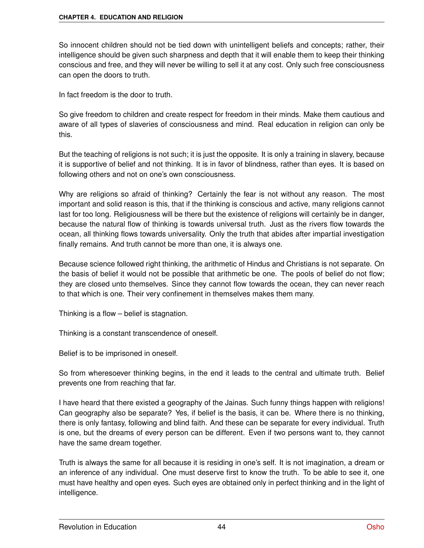So innocent children should not be tied down with unintelligent beliefs and concepts; rather, their intelligence should be given such sharpness and depth that it will enable them to keep their thinking conscious and free, and they will never be willing to sell it at any cost. Only such free consciousness can open the doors to truth.

In fact freedom is the door to truth.

So give freedom to children and create respect for freedom in their minds. Make them cautious and aware of all types of slaveries of consciousness and mind. Real education in religion can only be this.

But the teaching of religions is not such; it is just the opposite. It is only a training in slavery, because it is supportive of belief and not thinking. It is in favor of blindness, rather than eyes. It is based on following others and not on one's own consciousness.

Why are religions so afraid of thinking? Certainly the fear is not without any reason. The most important and solid reason is this, that if the thinking is conscious and active, many religions cannot last for too long. Religiousness will be there but the existence of religions will certainly be in danger, because the natural flow of thinking is towards universal truth. Just as the rivers flow towards the ocean, all thinking flows towards universality. Only the truth that abides after impartial investigation finally remains. And truth cannot be more than one, it is always one.

Because science followed right thinking, the arithmetic of Hindus and Christians is not separate. On the basis of belief it would not be possible that arithmetic be one. The pools of belief do not flow; they are closed unto themselves. Since they cannot flow towards the ocean, they can never reach to that which is one. Their very confinement in themselves makes them many.

Thinking is a flow – belief is stagnation.

Thinking is a constant transcendence of oneself.

Belief is to be imprisoned in oneself.

So from wheresoever thinking begins, in the end it leads to the central and ultimate truth. Belief prevents one from reaching that far.

I have heard that there existed a geography of the Jainas. Such funny things happen with religions! Can geography also be separate? Yes, if belief is the basis, it can be. Where there is no thinking, there is only fantasy, following and blind faith. And these can be separate for every individual. Truth is one, but the dreams of every person can be different. Even if two persons want to, they cannot have the same dream together.

Truth is always the same for all because it is residing in one's self. It is not imagination, a dream or an inference of any individual. One must deserve first to know the truth. To be able to see it, one must have healthy and open eyes. Such eyes are obtained only in perfect thinking and in the light of intelligence.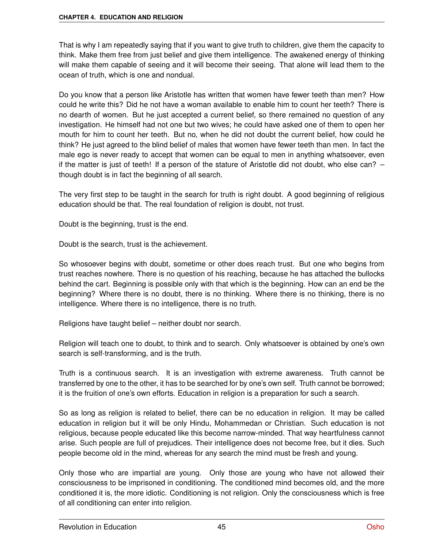That is why I am repeatedly saying that if you want to give truth to children, give them the capacity to think. Make them free from just belief and give them intelligence. The awakened energy of thinking will make them capable of seeing and it will become their seeing. That alone will lead them to the ocean of truth, which is one and nondual.

Do you know that a person like Aristotle has written that women have fewer teeth than men? How could he write this? Did he not have a woman available to enable him to count her teeth? There is no dearth of women. But he just accepted a current belief, so there remained no question of any investigation. He himself had not one but two wives; he could have asked one of them to open her mouth for him to count her teeth. But no, when he did not doubt the current belief, how could he think? He just agreed to the blind belief of males that women have fewer teeth than men. In fact the male ego is never ready to accept that women can be equal to men in anything whatsoever, even if the matter is just of teeth! If a person of the stature of Aristotle did not doubt, who else can? – though doubt is in fact the beginning of all search.

The very first step to be taught in the search for truth is right doubt. A good beginning of religious education should be that. The real foundation of religion is doubt, not trust.

Doubt is the beginning, trust is the end.

Doubt is the search, trust is the achievement.

So whosoever begins with doubt, sometime or other does reach trust. But one who begins from trust reaches nowhere. There is no question of his reaching, because he has attached the bullocks behind the cart. Beginning is possible only with that which is the beginning. How can an end be the beginning? Where there is no doubt, there is no thinking. Where there is no thinking, there is no intelligence. Where there is no intelligence, there is no truth.

Religions have taught belief – neither doubt nor search.

Religion will teach one to doubt, to think and to search. Only whatsoever is obtained by one's own search is self-transforming, and is the truth.

Truth is a continuous search. It is an investigation with extreme awareness. Truth cannot be transferred by one to the other, it has to be searched for by one's own self. Truth cannot be borrowed; it is the fruition of one's own efforts. Education in religion is a preparation for such a search.

So as long as religion is related to belief, there can be no education in religion. It may be called education in religion but it will be only Hindu, Mohammedan or Christian. Such education is not religious, because people educated like this become narrow-minded. That way heartfulness cannot arise. Such people are full of prejudices. Their intelligence does not become free, but it dies. Such people become old in the mind, whereas for any search the mind must be fresh and young.

Only those who are impartial are young. Only those are young who have not allowed their consciousness to be imprisoned in conditioning. The conditioned mind becomes old, and the more conditioned it is, the more idiotic. Conditioning is not religion. Only the consciousness which is free of all conditioning can enter into religion.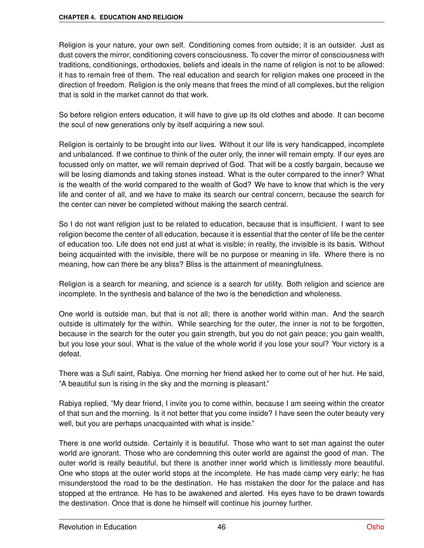Religion is your nature, your own self. Conditioning comes from outside; it is an outsider. Just as dust covers the mirror, conditioning covers consciousness. To cover the mirror of consciousness with traditions, conditionings, orthodoxies, beliefs and ideals in the name of religion is not to be allowed: it has to remain free of them. The real education and search for religion makes one proceed in the direction of freedom. Religion is the only means that frees the mind of all complexes, but the religion that is sold in the market cannot do that work.

So before religion enters education, it will have to give up its old clothes and abode. It can become the soul of new generations only by itself acquiring a new soul.

Religion is certainly to be brought into our lives. Without it our life is very handicapped, incomplete and unbalanced. If we continue to think of the outer only, the inner will remain empty. If our eyes are focussed only on matter, we will remain deprived of God. That will be a costly bargain, because we will be losing diamonds and taking stones instead. What is the outer compared to the inner? What is the wealth of the world compared to the wealth of God? We have to know that which is the very life and center of all, and we have to make its search our central concern, because the search for the center can never be completed without making the search central.

So I do not want religion just to be related to education, because that is insufficient. I want to see religion become the center of all education, because it is essential that the center of life be the center of education too. Life does not end just at what is visible; in reality, the invisible is its basis. Without being acquainted with the invisible, there will be no purpose or meaning in life. Where there is no meaning, how can there be any bliss? Bliss is the attainment of meaningfulness.

Religion is a search for meaning, and science is a search for utility. Both religion and science are incomplete. In the synthesis and balance of the two is the benediction and wholeness.

One world is outside man, but that is not all; there is another world within man. And the search outside is ultimately for the within. While searching for the outer, the inner is not to be forgotten, because in the search for the outer you gain strength, but you do not gain peace; you gain wealth, but you lose your soul. What is the value of the whole world if you lose your soul? Your victory is a defeat.

There was a Sufi saint, Rabiya. One morning her friend asked her to come out of her hut. He said, "A beautiful sun is rising in the sky and the morning is pleasant."

Rabiya replied, "My dear friend, I invite you to come within, because I am seeing within the creator of that sun and the morning. Is it not better that you come inside? I have seen the outer beauty very well, but you are perhaps unacquainted with what is inside."

There is one world outside. Certainly it is beautiful. Those who want to set man against the outer world are ignorant. Those who are condemning this outer world are against the good of man. The outer world is really beautiful, but there is another inner world which is limitlessly more beautiful. One who stops at the outer world stops at the incomplete. He has made camp very early; he has misunderstood the road to be the destination. He has mistaken the door for the palace and has stopped at the entrance. He has to be awakened and alerted. His eyes have to be drawn towards the destination. Once that is done he himself will continue his journey further.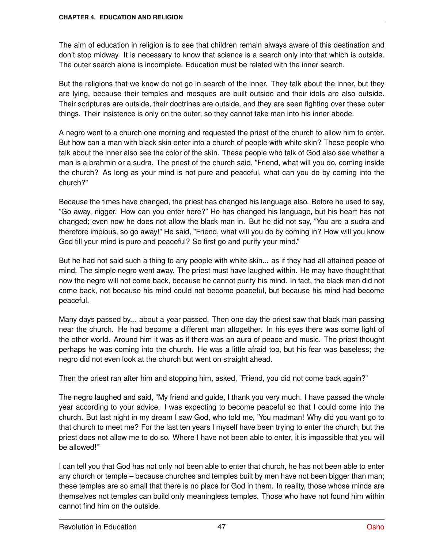The aim of education in religion is to see that children remain always aware of this destination and don't stop midway. It is necessary to know that science is a search only into that which is outside. The outer search alone is incomplete. Education must be related with the inner search.

But the religions that we know do not go in search of the inner. They talk about the inner, but they are lying, because their temples and mosques are built outside and their idols are also outside. Their scriptures are outside, their doctrines are outside, and they are seen fighting over these outer things. Their insistence is only on the outer, so they cannot take man into his inner abode.

A negro went to a church one morning and requested the priest of the church to allow him to enter. But how can a man with black skin enter into a church of people with white skin? These people who talk about the inner also see the color of the skin. These people who talk of God also see whether a man is a brahmin or a sudra. The priest of the church said, "Friend, what will you do, coming inside the church? As long as your mind is not pure and peaceful, what can you do by coming into the church?"

Because the times have changed, the priest has changed his language also. Before he used to say, "Go away, nigger. How can you enter here?" He has changed his language, but his heart has not changed; even now he does not allow the black man in. But he did not say, "You are a sudra and therefore impious, so go away!" He said, "Friend, what will you do by coming in? How will you know God till your mind is pure and peaceful? So first go and purify your mind."

But he had not said such a thing to any people with white skin... as if they had all attained peace of mind. The simple negro went away. The priest must have laughed within. He may have thought that now the negro will not come back, because he cannot purify his mind. In fact, the black man did not come back, not because his mind could not become peaceful, but because his mind had become peaceful.

Many days passed by... about a year passed. Then one day the priest saw that black man passing near the church. He had become a different man altogether. In his eyes there was some light of the other world. Around him it was as if there was an aura of peace and music. The priest thought perhaps he was coming into the church. He was a little afraid too, but his fear was baseless; the negro did not even look at the church but went on straight ahead.

Then the priest ran after him and stopping him, asked, "Friend, you did not come back again?"

The negro laughed and said, "My friend and guide, I thank you very much. I have passed the whole year according to your advice. I was expecting to become peaceful so that I could come into the church. But last night in my dream I saw God, who told me, 'You madman! Why did you want go to that church to meet me? For the last ten years I myself have been trying to enter the church, but the priest does not allow me to do so. Where I have not been able to enter, it is impossible that you will be allowed!'"

I can tell you that God has not only not been able to enter that church, he has not been able to enter any church or temple – because churches and temples built by men have not been bigger than man; these temples are so small that there is no place for God in them. In reality, those whose minds are themselves not temples can build only meaningless temples. Those who have not found him within cannot find him on the outside.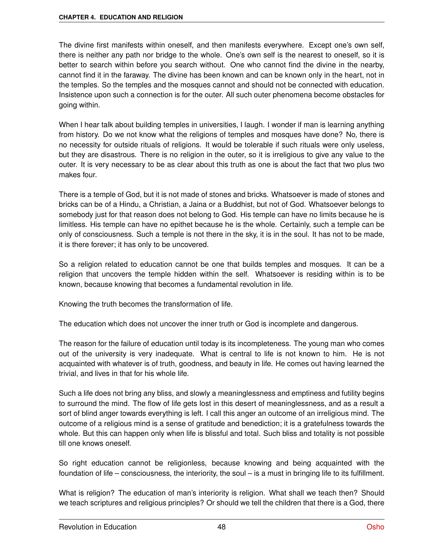The divine first manifests within oneself, and then manifests everywhere. Except one's own self, there is neither any path nor bridge to the whole. One's own self is the nearest to oneself, so it is better to search within before you search without. One who cannot find the divine in the nearby, cannot find it in the faraway. The divine has been known and can be known only in the heart, not in the temples. So the temples and the mosques cannot and should not be connected with education. Insistence upon such a connection is for the outer. All such outer phenomena become obstacles for going within.

When I hear talk about building temples in universities, I laugh. I wonder if man is learning anything from history. Do we not know what the religions of temples and mosques have done? No, there is no necessity for outside rituals of religions. It would be tolerable if such rituals were only useless, but they are disastrous. There is no religion in the outer, so it is irreligious to give any value to the outer. It is very necessary to be as clear about this truth as one is about the fact that two plus two makes four.

There is a temple of God, but it is not made of stones and bricks. Whatsoever is made of stones and bricks can be of a Hindu, a Christian, a Jaina or a Buddhist, but not of God. Whatsoever belongs to somebody just for that reason does not belong to God. His temple can have no limits because he is limitless. His temple can have no epithet because he is the whole. Certainly, such a temple can be only of consciousness. Such a temple is not there in the sky, it is in the soul. It has not to be made, it is there forever; it has only to be uncovered.

So a religion related to education cannot be one that builds temples and mosques. It can be a religion that uncovers the temple hidden within the self. Whatsoever is residing within is to be known, because knowing that becomes a fundamental revolution in life.

Knowing the truth becomes the transformation of life.

The education which does not uncover the inner truth or God is incomplete and dangerous.

The reason for the failure of education until today is its incompleteness. The young man who comes out of the university is very inadequate. What is central to life is not known to him. He is not acquainted with whatever is of truth, goodness, and beauty in life. He comes out having learned the trivial, and lives in that for his whole life.

Such a life does not bring any bliss, and slowly a meaninglessness and emptiness and futility begins to surround the mind. The flow of life gets lost in this desert of meaninglessness, and as a result a sort of blind anger towards everything is left. I call this anger an outcome of an irreligious mind. The outcome of a religious mind is a sense of gratitude and benediction; it is a gratefulness towards the whole. But this can happen only when life is blissful and total. Such bliss and totality is not possible till one knows oneself.

So right education cannot be religionless, because knowing and being acquainted with the foundation of life – consciousness, the interiority, the soul – is a must in bringing life to its fulfillment.

What is religion? The education of man's interiority is religion. What shall we teach then? Should we teach scriptures and religious principles? Or should we tell the children that there is a God, there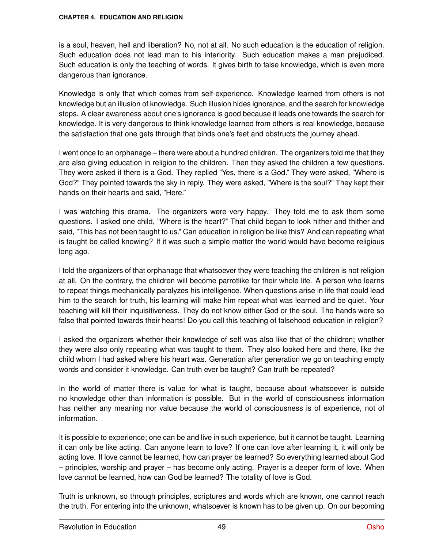is a soul, heaven, hell and liberation? No, not at all. No such education is the education of religion. Such education does not lead man to his interiority. Such education makes a man prejudiced. Such education is only the teaching of words. It gives birth to false knowledge, which is even more dangerous than ignorance.

Knowledge is only that which comes from self-experience. Knowledge learned from others is not knowledge but an illusion of knowledge. Such illusion hides ignorance, and the search for knowledge stops. A clear awareness about one's ignorance is good because it leads one towards the search for knowledge. It is very dangerous to think knowledge learned from others is real knowledge, because the satisfaction that one gets through that binds one's feet and obstructs the journey ahead.

I went once to an orphanage – there were about a hundred children. The organizers told me that they are also giving education in religion to the children. Then they asked the children a few questions. They were asked if there is a God. They replied "Yes, there is a God." They were asked, "Where is God?" They pointed towards the sky in reply. They were asked, "Where is the soul?" They kept their hands on their hearts and said, "Here."

I was watching this drama. The organizers were very happy. They told me to ask them some questions. I asked one child, "Where is the heart?" That child began to look hither and thither and said, "This has not been taught to us." Can education in religion be like this? And can repeating what is taught be called knowing? If it was such a simple matter the world would have become religious long ago.

I told the organizers of that orphanage that whatsoever they were teaching the children is not religion at all. On the contrary, the children will become parrotlike for their whole life. A person who learns to repeat things mechanically paralyzes his intelligence. When questions arise in life that could lead him to the search for truth, his learning will make him repeat what was learned and be quiet. Your teaching will kill their inquisitiveness. They do not know either God or the soul. The hands were so false that pointed towards their hearts! Do you call this teaching of falsehood education in religion?

I asked the organizers whether their knowledge of self was also like that of the children; whether they were also only repeating what was taught to them. They also looked here and there, like the child whom I had asked where his heart was. Generation after generation we go on teaching empty words and consider it knowledge. Can truth ever be taught? Can truth be repeated?

In the world of matter there is value for what is taught, because about whatsoever is outside no knowledge other than information is possible. But in the world of consciousness information has neither any meaning nor value because the world of consciousness is of experience, not of information.

It is possible to experience; one can be and live in such experience, but it cannot be taught. Learning it can only be like acting. Can anyone learn to love? If one can love after learning it, it will only be acting love. If love cannot be learned, how can prayer be learned? So everything learned about God – principles, worship and prayer – has become only acting. Prayer is a deeper form of love. When love cannot be learned, how can God be learned? The totality of love is God.

Truth is unknown, so through principles, scriptures and words which are known, one cannot reach the truth. For entering into the unknown, whatsoever is known has to be given up. On our becoming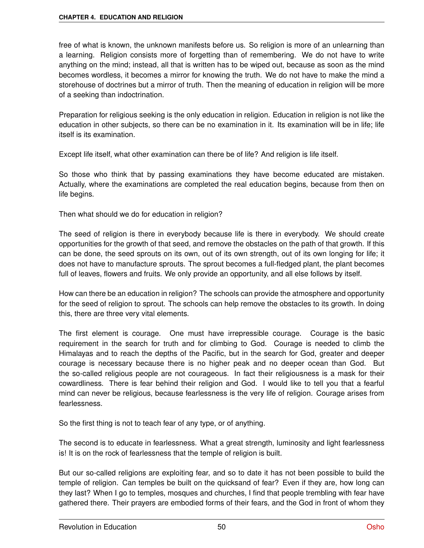free of what is known, the unknown manifests before us. So religion is more of an unlearning than a learning. Religion consists more of forgetting than of remembering. We do not have to write anything on the mind; instead, all that is written has to be wiped out, because as soon as the mind becomes wordless, it becomes a mirror for knowing the truth. We do not have to make the mind a storehouse of doctrines but a mirror of truth. Then the meaning of education in religion will be more of a seeking than indoctrination.

Preparation for religious seeking is the only education in religion. Education in religion is not like the education in other subjects, so there can be no examination in it. Its examination will be in life; life itself is its examination.

Except life itself, what other examination can there be of life? And religion is life itself.

So those who think that by passing examinations they have become educated are mistaken. Actually, where the examinations are completed the real education begins, because from then on life begins.

Then what should we do for education in religion?

The seed of religion is there in everybody because life is there in everybody. We should create opportunities for the growth of that seed, and remove the obstacles on the path of that growth. If this can be done, the seed sprouts on its own, out of its own strength, out of its own longing for life; it does not have to manufacture sprouts. The sprout becomes a full-fledged plant, the plant becomes full of leaves, flowers and fruits. We only provide an opportunity, and all else follows by itself.

How can there be an education in religion? The schools can provide the atmosphere and opportunity for the seed of religion to sprout. The schools can help remove the obstacles to its growth. In doing this, there are three very vital elements.

The first element is courage. One must have irrepressible courage. Courage is the basic requirement in the search for truth and for climbing to God. Courage is needed to climb the Himalayas and to reach the depths of the Pacific, but in the search for God, greater and deeper courage is necessary because there is no higher peak and no deeper ocean than God. But the so-called religious people are not courageous. In fact their religiousness is a mask for their cowardliness. There is fear behind their religion and God. I would like to tell you that a fearful mind can never be religious, because fearlessness is the very life of religion. Courage arises from fearlessness.

So the first thing is not to teach fear of any type, or of anything.

The second is to educate in fearlessness. What a great strength, luminosity and light fearlessness is! It is on the rock of fearlessness that the temple of religion is built.

But our so-called religions are exploiting fear, and so to date it has not been possible to build the temple of religion. Can temples be built on the quicksand of fear? Even if they are, how long can they last? When I go to temples, mosques and churches, I find that people trembling with fear have gathered there. Their prayers are embodied forms of their fears, and the God in front of whom they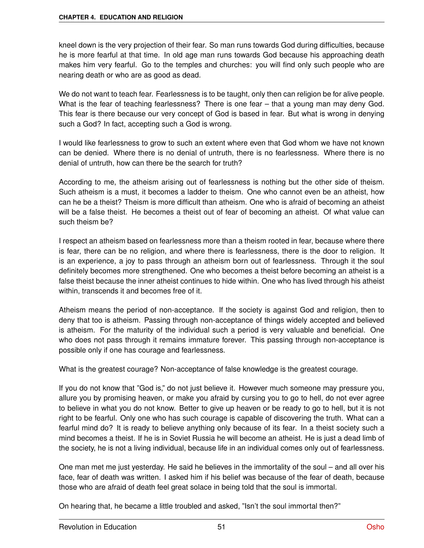kneel down is the very projection of their fear. So man runs towards God during difficulties, because he is more fearful at that time. In old age man runs towards God because his approaching death makes him very fearful. Go to the temples and churches: you will find only such people who are nearing death or who are as good as dead.

We do not want to teach fear. Fearlessness is to be taught, only then can religion be for alive people. What is the fear of teaching fearlessness? There is one fear – that a young man may deny God. This fear is there because our very concept of God is based in fear. But what is wrong in denying such a God? In fact, accepting such a God is wrong.

I would like fearlessness to grow to such an extent where even that God whom we have not known can be denied. Where there is no denial of untruth, there is no fearlessness. Where there is no denial of untruth, how can there be the search for truth?

According to me, the atheism arising out of fearlessness is nothing but the other side of theism. Such atheism is a must, it becomes a ladder to theism. One who cannot even be an atheist, how can he be a theist? Theism is more difficult than atheism. One who is afraid of becoming an atheist will be a false theist. He becomes a theist out of fear of becoming an atheist. Of what value can such theism be?

I respect an atheism based on fearlessness more than a theism rooted in fear, because where there is fear, there can be no religion, and where there is fearlessness, there is the door to religion. It is an experience, a joy to pass through an atheism born out of fearlessness. Through it the soul definitely becomes more strengthened. One who becomes a theist before becoming an atheist is a false theist because the inner atheist continues to hide within. One who has lived through his atheist within, transcends it and becomes free of it.

Atheism means the period of non-acceptance. If the society is against God and religion, then to deny that too is atheism. Passing through non-acceptance of things widely accepted and believed is atheism. For the maturity of the individual such a period is very valuable and beneficial. One who does not pass through it remains immature forever. This passing through non-acceptance is possible only if one has courage and fearlessness.

What is the greatest courage? Non-acceptance of false knowledge is the greatest courage.

If you do not know that "God is," do not just believe it. However much someone may pressure you, allure you by promising heaven, or make you afraid by cursing you to go to hell, do not ever agree to believe in what you do not know. Better to give up heaven or be ready to go to hell, but it is not right to be fearful. Only one who has such courage is capable of discovering the truth. What can a fearful mind do? It is ready to believe anything only because of its fear. In a theist society such a mind becomes a theist. If he is in Soviet Russia he will become an atheist. He is just a dead limb of the society, he is not a living individual, because life in an individual comes only out of fearlessness.

One man met me just yesterday. He said he believes in the immortality of the soul – and all over his face, fear of death was written. I asked him if his belief was because of the fear of death, because those who are afraid of death feel great solace in being told that the soul is immortal.

On hearing that, he became a little troubled and asked, "Isn't the soul immortal then?"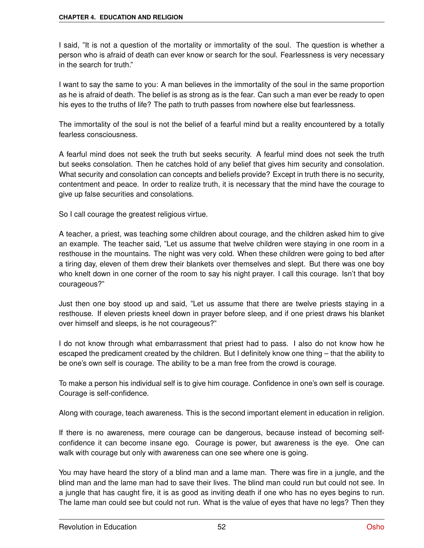I said, "It is not a question of the mortality or immortality of the soul. The question is whether a person who is afraid of death can ever know or search for the soul. Fearlessness is very necessary in the search for truth."

I want to say the same to you: A man believes in the immortality of the soul in the same proportion as he is afraid of death. The belief is as strong as is the fear. Can such a man ever be ready to open his eyes to the truths of life? The path to truth passes from nowhere else but fearlessness.

The immortality of the soul is not the belief of a fearful mind but a reality encountered by a totally fearless consciousness.

A fearful mind does not seek the truth but seeks security. A fearful mind does not seek the truth but seeks consolation. Then he catches hold of any belief that gives him security and consolation. What security and consolation can concepts and beliefs provide? Except in truth there is no security, contentment and peace. In order to realize truth, it is necessary that the mind have the courage to give up false securities and consolations.

So I call courage the greatest religious virtue.

A teacher, a priest, was teaching some children about courage, and the children asked him to give an example. The teacher said, "Let us assume that twelve children were staying in one room in a resthouse in the mountains. The night was very cold. When these children were going to bed after a tiring day, eleven of them drew their blankets over themselves and slept. But there was one boy who knelt down in one corner of the room to say his night prayer. I call this courage. Isn't that boy courageous?"

Just then one boy stood up and said, "Let us assume that there are twelve priests staying in a resthouse. If eleven priests kneel down in prayer before sleep, and if one priest draws his blanket over himself and sleeps, is he not courageous?"

I do not know through what embarrassment that priest had to pass. I also do not know how he escaped the predicament created by the children. But I definitely know one thing – that the ability to be one's own self is courage. The ability to be a man free from the crowd is courage.

To make a person his individual self is to give him courage. Confidence in one's own self is courage. Courage is self-confidence.

Along with courage, teach awareness. This is the second important element in education in religion.

If there is no awareness, mere courage can be dangerous, because instead of becoming selfconfidence it can become insane ego. Courage is power, but awareness is the eye. One can walk with courage but only with awareness can one see where one is going.

You may have heard the story of a blind man and a lame man. There was fire in a jungle, and the blind man and the lame man had to save their lives. The blind man could run but could not see. In a jungle that has caught fire, it is as good as inviting death if one who has no eyes begins to run. The lame man could see but could not run. What is the value of eyes that have no legs? Then they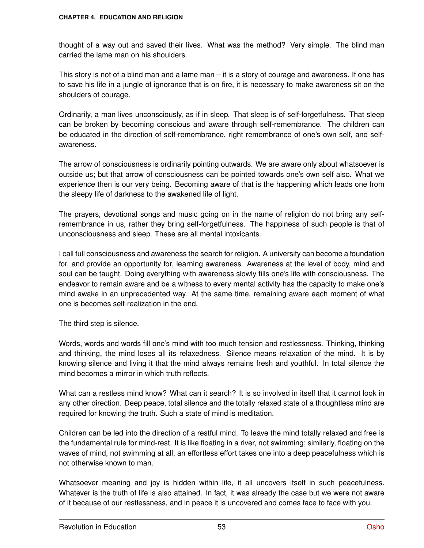thought of a way out and saved their lives. What was the method? Very simple. The blind man carried the lame man on his shoulders.

This story is not of a blind man and a lame man – it is a story of courage and awareness. If one has to save his life in a jungle of ignorance that is on fire, it is necessary to make awareness sit on the shoulders of courage.

Ordinarily, a man lives unconsciously, as if in sleep. That sleep is of self-forgetfulness. That sleep can be broken by becoming conscious and aware through self-remembrance. The children can be educated in the direction of self-remembrance, right remembrance of one's own self, and selfawareness.

The arrow of consciousness is ordinarily pointing outwards. We are aware only about whatsoever is outside us; but that arrow of consciousness can be pointed towards one's own self also. What we experience then is our very being. Becoming aware of that is the happening which leads one from the sleepy life of darkness to the awakened life of light.

The prayers, devotional songs and music going on in the name of religion do not bring any selfremembrance in us, rather they bring self-forgetfulness. The happiness of such people is that of unconsciousness and sleep. These are all mental intoxicants.

I call full consciousness and awareness the search for religion. A university can become a foundation for, and provide an opportunity for, learning awareness. Awareness at the level of body, mind and soul can be taught. Doing everything with awareness slowly fills one's life with consciousness. The endeavor to remain aware and be a witness to every mental activity has the capacity to make one's mind awake in an unprecedented way. At the same time, remaining aware each moment of what one is becomes self-realization in the end.

The third step is silence.

Words, words and words fill one's mind with too much tension and restlessness. Thinking, thinking and thinking, the mind loses all its relaxedness. Silence means relaxation of the mind. It is by knowing silence and living it that the mind always remains fresh and youthful. In total silence the mind becomes a mirror in which truth reflects.

What can a restless mind know? What can it search? It is so involved in itself that it cannot look in any other direction. Deep peace, total silence and the totally relaxed state of a thoughtless mind are required for knowing the truth. Such a state of mind is meditation.

Children can be led into the direction of a restful mind. To leave the mind totally relaxed and free is the fundamental rule for mind-rest. It is like floating in a river, not swimming; similarly, floating on the waves of mind, not swimming at all, an effortless effort takes one into a deep peacefulness which is not otherwise known to man.

Whatsoever meaning and joy is hidden within life, it all uncovers itself in such peacefulness. Whatever is the truth of life is also attained. In fact, it was already the case but we were not aware of it because of our restlessness, and in peace it is uncovered and comes face to face with you.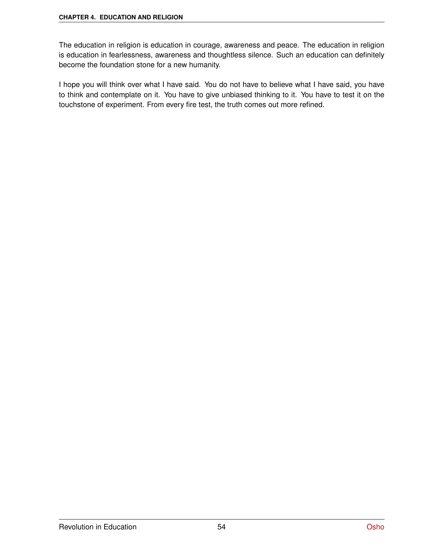The education in religion is education in courage, awareness and peace. The education in religion is education in fearlessness, awareness and thoughtless silence. Such an education can definitely become the foundation stone for a new humanity.

I hope you will think over what I have said. You do not have to believe what I have said, you have to think and contemplate on it. You have to give unbiased thinking to it. You have to test it on the touchstone of experiment. From every fire test, the truth comes out more refined.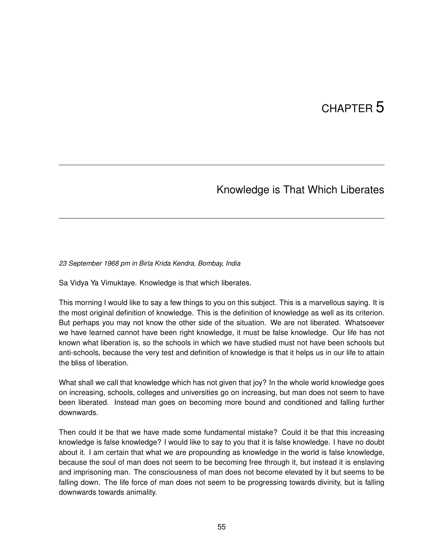# CHAPTER<sup>5</sup>

### Knowledge is That Which Liberates

#### *23 September 1968 pm in Birla Krida Kendra, Bombay, India*

Sa Vidya Ya Vimuktaye. Knowledge is that which liberates.

This morning I would like to say a few things to you on this subject. This is a marvellous saying. It is the most original definition of knowledge. This is the definition of knowledge as well as its criterion. But perhaps you may not know the other side of the situation. We are not liberated. Whatsoever we have learned cannot have been right knowledge, it must be false knowledge. Our life has not known what liberation is, so the schools in which we have studied must not have been schools but anti-schools, because the very test and definition of knowledge is that it helps us in our life to attain the bliss of liberation.

What shall we call that knowledge which has not given that joy? In the whole world knowledge goes on increasing, schools, colleges and universities go on increasing, but man does not seem to have been liberated. Instead man goes on becoming more bound and conditioned and falling further downwards.

Then could it be that we have made some fundamental mistake? Could it be that this increasing knowledge is false knowledge? I would like to say to you that it is false knowledge. I have no doubt about it. I am certain that what we are propounding as knowledge in the world is false knowledge, because the soul of man does not seem to be becoming free through it, but instead it is enslaving and imprisoning man. The consciousness of man does not become elevated by it but seems to be falling down. The life force of man does not seem to be progressing towards divinity, but is falling downwards towards animality.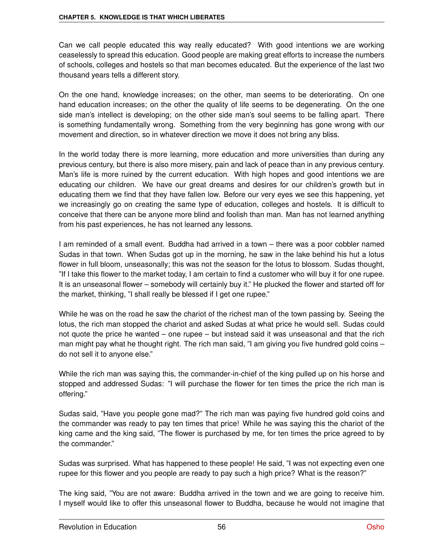Can we call people educated this way really educated? With good intentions we are working ceaselessly to spread this education. Good people are making great efforts to increase the numbers of schools, colleges and hostels so that man becomes educated. But the experience of the last two thousand years tells a different story.

On the one hand, knowledge increases; on the other, man seems to be deteriorating. On one hand education increases; on the other the quality of life seems to be degenerating. On the one side man's intellect is developing; on the other side man's soul seems to be falling apart. There is something fundamentally wrong. Something from the very beginning has gone wrong with our movement and direction, so in whatever direction we move it does not bring any bliss.

In the world today there is more learning, more education and more universities than during any previous century, but there is also more misery, pain and lack of peace than in any previous century. Man's life is more ruined by the current education. With high hopes and good intentions we are educating our children. We have our great dreams and desires for our children's growth but in educating them we find that they have fallen low. Before our very eyes we see this happening, yet we increasingly go on creating the same type of education, colleges and hostels. It is difficult to conceive that there can be anyone more blind and foolish than man. Man has not learned anything from his past experiences, he has not learned any lessons.

I am reminded of a small event. Buddha had arrived in a town – there was a poor cobbler named Sudas in that town. When Sudas got up in the morning, he saw in the lake behind his hut a lotus flower in full bloom, unseasonally; this was not the season for the lotus to blossom. Sudas thought, "If I take this flower to the market today, I am certain to find a customer who will buy it for one rupee. It is an unseasonal flower – somebody will certainly buy it." He plucked the flower and started off for the market, thinking, "I shall really be blessed if I get one rupee."

While he was on the road he saw the chariot of the richest man of the town passing by. Seeing the lotus, the rich man stopped the chariot and asked Sudas at what price he would sell. Sudas could not quote the price he wanted – one rupee – but instead said it was unseasonal and that the rich man might pay what he thought right. The rich man said, "I am giving you five hundred gold coins – do not sell it to anyone else."

While the rich man was saying this, the commander-in-chief of the king pulled up on his horse and stopped and addressed Sudas: "I will purchase the flower for ten times the price the rich man is offering."

Sudas said, "Have you people gone mad?" The rich man was paying five hundred gold coins and the commander was ready to pay ten times that price! While he was saying this the chariot of the king came and the king said, "The flower is purchased by me, for ten times the price agreed to by the commander."

Sudas was surprised. What has happened to these people! He said, "I was not expecting even one rupee for this flower and you people are ready to pay such a high price? What is the reason?"

The king said, "You are not aware: Buddha arrived in the town and we are going to receive him. I myself would like to offer this unseasonal flower to Buddha, because he would not imagine that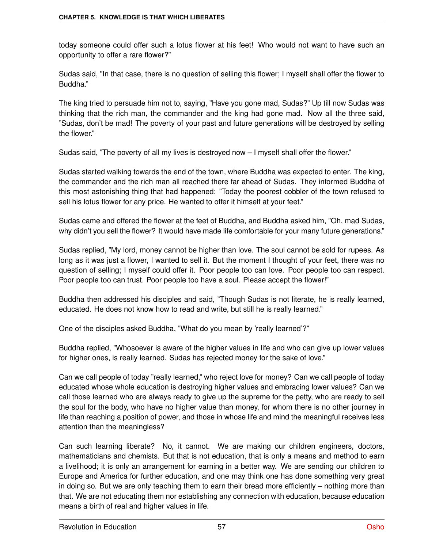today someone could offer such a lotus flower at his feet! Who would not want to have such an opportunity to offer a rare flower?"

Sudas said, "In that case, there is no question of selling this flower; I myself shall offer the flower to Buddha."

The king tried to persuade him not to, saying, "Have you gone mad, Sudas?" Up till now Sudas was thinking that the rich man, the commander and the king had gone mad. Now all the three said, "Sudas, don't be mad! The poverty of your past and future generations will be destroyed by selling the flower."

Sudas said, "The poverty of all my lives is destroyed now – I myself shall offer the flower."

Sudas started walking towards the end of the town, where Buddha was expected to enter. The king, the commander and the rich man all reached there far ahead of Sudas. They informed Buddha of this most astonishing thing that had happened: "Today the poorest cobbler of the town refused to sell his lotus flower for any price. He wanted to offer it himself at your feet."

Sudas came and offered the flower at the feet of Buddha, and Buddha asked him, "Oh, mad Sudas, why didn't you sell the flower? It would have made life comfortable for your many future generations."

Sudas replied, "My lord, money cannot be higher than love. The soul cannot be sold for rupees. As long as it was just a flower, I wanted to sell it. But the moment I thought of your feet, there was no question of selling; I myself could offer it. Poor people too can love. Poor people too can respect. Poor people too can trust. Poor people too have a soul. Please accept the flower!"

Buddha then addressed his disciples and said, "Though Sudas is not literate, he is really learned, educated. He does not know how to read and write, but still he is really learned."

One of the disciples asked Buddha, "What do you mean by 'really learned'?"

Buddha replied, "Whosoever is aware of the higher values in life and who can give up lower values for higher ones, is really learned. Sudas has rejected money for the sake of love."

Can we call people of today "really learned," who reject love for money? Can we call people of today educated whose whole education is destroying higher values and embracing lower values? Can we call those learned who are always ready to give up the supreme for the petty, who are ready to sell the soul for the body, who have no higher value than money, for whom there is no other journey in life than reaching a position of power, and those in whose life and mind the meaningful receives less attention than the meaningless?

Can such learning liberate? No, it cannot. We are making our children engineers, doctors, mathematicians and chemists. But that is not education, that is only a means and method to earn a livelihood; it is only an arrangement for earning in a better way. We are sending our children to Europe and America for further education, and one may think one has done something very great in doing so. But we are only teaching them to earn their bread more efficiently – nothing more than that. We are not educating them nor establishing any connection with education, because education means a birth of real and higher values in life.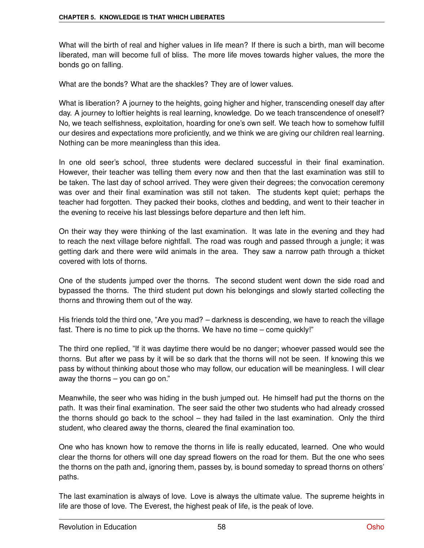What will the birth of real and higher values in life mean? If there is such a birth, man will become liberated, man will become full of bliss. The more life moves towards higher values, the more the bonds go on falling.

What are the bonds? What are the shackles? They are of lower values.

What is liberation? A journey to the heights, going higher and higher, transcending oneself day after day. A journey to loftier heights is real learning, knowledge. Do we teach transcendence of oneself? No, we teach selfishness, exploitation, hoarding for one's own self. We teach how to somehow fulfill our desires and expectations more proficiently, and we think we are giving our children real learning. Nothing can be more meaningless than this idea.

In one old seer's school, three students were declared successful in their final examination. However, their teacher was telling them every now and then that the last examination was still to be taken. The last day of school arrived. They were given their degrees; the convocation ceremony was over and their final examination was still not taken. The students kept quiet; perhaps the teacher had forgotten. They packed their books, clothes and bedding, and went to their teacher in the evening to receive his last blessings before departure and then left him.

On their way they were thinking of the last examination. It was late in the evening and they had to reach the next village before nightfall. The road was rough and passed through a jungle; it was getting dark and there were wild animals in the area. They saw a narrow path through a thicket covered with lots of thorns.

One of the students jumped over the thorns. The second student went down the side road and bypassed the thorns. The third student put down his belongings and slowly started collecting the thorns and throwing them out of the way.

His friends told the third one, "Are you mad? – darkness is descending, we have to reach the village fast. There is no time to pick up the thorns. We have no time – come quickly!"

The third one replied, "If it was daytime there would be no danger; whoever passed would see the thorns. But after we pass by it will be so dark that the thorns will not be seen. If knowing this we pass by without thinking about those who may follow, our education will be meaningless. I will clear away the thorns – you can go on."

Meanwhile, the seer who was hiding in the bush jumped out. He himself had put the thorns on the path. It was their final examination. The seer said the other two students who had already crossed the thorns should go back to the school – they had failed in the last examination. Only the third student, who cleared away the thorns, cleared the final examination too.

One who has known how to remove the thorns in life is really educated, learned. One who would clear the thorns for others will one day spread flowers on the road for them. But the one who sees the thorns on the path and, ignoring them, passes by, is bound someday to spread thorns on others' paths.

The last examination is always of love. Love is always the ultimate value. The supreme heights in life are those of love. The Everest, the highest peak of life, is the peak of love.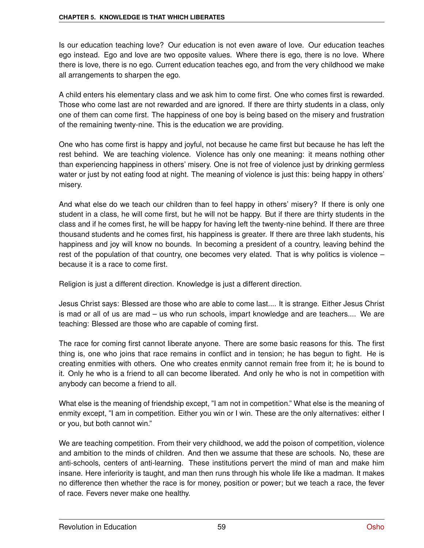Is our education teaching love? Our education is not even aware of love. Our education teaches ego instead. Ego and love are two opposite values. Where there is ego, there is no love. Where there is love, there is no ego. Current education teaches ego, and from the very childhood we make all arrangements to sharpen the ego.

A child enters his elementary class and we ask him to come first. One who comes first is rewarded. Those who come last are not rewarded and are ignored. If there are thirty students in a class, only one of them can come first. The happiness of one boy is being based on the misery and frustration of the remaining twenty-nine. This is the education we are providing.

One who has come first is happy and joyful, not because he came first but because he has left the rest behind. We are teaching violence. Violence has only one meaning: it means nothing other than experiencing happiness in others' misery. One is not free of violence just by drinking germless water or just by not eating food at night. The meaning of violence is just this: being happy in others' misery.

And what else do we teach our children than to feel happy in others' misery? If there is only one student in a class, he will come first, but he will not be happy. But if there are thirty students in the class and if he comes first, he will be happy for having left the twenty-nine behind. If there are three thousand students and he comes first, his happiness is greater. If there are three lakh students, his happiness and joy will know no bounds. In becoming a president of a country, leaving behind the rest of the population of that country, one becomes very elated. That is why politics is violence – because it is a race to come first.

Religion is just a different direction. Knowledge is just a different direction.

Jesus Christ says: Blessed are those who are able to come last.... It is strange. Either Jesus Christ is mad or all of us are mad – us who run schools, impart knowledge and are teachers.... We are teaching: Blessed are those who are capable of coming first.

The race for coming first cannot liberate anyone. There are some basic reasons for this. The first thing is, one who joins that race remains in conflict and in tension; he has begun to fight. He is creating enmities with others. One who creates enmity cannot remain free from it; he is bound to it. Only he who is a friend to all can become liberated. And only he who is not in competition with anybody can become a friend to all.

What else is the meaning of friendship except, "I am not in competition." What else is the meaning of enmity except, "I am in competition. Either you win or I win. These are the only alternatives: either I or you, but both cannot win."

We are teaching competition. From their very childhood, we add the poison of competition, violence and ambition to the minds of children. And then we assume that these are schools. No, these are anti-schools, centers of anti-learning. These institutions pervert the mind of man and make him insane. Here inferiority is taught, and man then runs through his whole life like a madman. It makes no difference then whether the race is for money, position or power; but we teach a race, the fever of race. Fevers never make one healthy.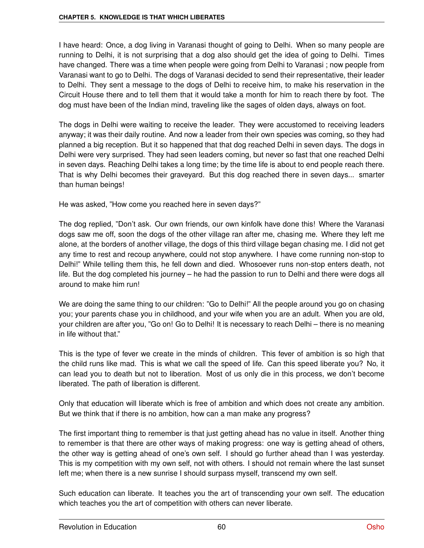I have heard: Once, a dog living in Varanasi thought of going to Delhi. When so many people are running to Delhi, it is not surprising that a dog also should get the idea of going to Delhi. Times have changed. There was a time when people were going from Delhi to Varanasi ; now people from Varanasi want to go to Delhi. The dogs of Varanasi decided to send their representative, their leader to Delhi. They sent a message to the dogs of Delhi to receive him, to make his reservation in the Circuit House there and to tell them that it would take a month for him to reach there by foot. The dog must have been of the Indian mind, traveling like the sages of olden days, always on foot.

The dogs in Delhi were waiting to receive the leader. They were accustomed to receiving leaders anyway; it was their daily routine. And now a leader from their own species was coming, so they had planned a big reception. But it so happened that that dog reached Delhi in seven days. The dogs in Delhi were very surprised. They had seen leaders coming, but never so fast that one reached Delhi in seven days. Reaching Delhi takes a long time; by the time life is about to end people reach there. That is why Delhi becomes their graveyard. But this dog reached there in seven days... smarter than human beings!

He was asked, "How come you reached here in seven days?"

The dog replied, "Don't ask. Our own friends, our own kinfolk have done this! Where the Varanasi dogs saw me off, soon the dogs of the other village ran after me, chasing me. Where they left me alone, at the borders of another village, the dogs of this third village began chasing me. I did not get any time to rest and recoup anywhere, could not stop anywhere. I have come running non-stop to Delhi!" While telling them this, he fell down and died. Whosoever runs non-stop enters death, not life. But the dog completed his journey – he had the passion to run to Delhi and there were dogs all around to make him run!

We are doing the same thing to our children: "Go to Delhi!" All the people around you go on chasing you; your parents chase you in childhood, and your wife when you are an adult. When you are old, your children are after you, "Go on! Go to Delhi! It is necessary to reach Delhi – there is no meaning in life without that."

This is the type of fever we create in the minds of children. This fever of ambition is so high that the child runs like mad. This is what we call the speed of life. Can this speed liberate you? No, it can lead you to death but not to liberation. Most of us only die in this process, we don't become liberated. The path of liberation is different.

Only that education will liberate which is free of ambition and which does not create any ambition. But we think that if there is no ambition, how can a man make any progress?

The first important thing to remember is that just getting ahead has no value in itself. Another thing to remember is that there are other ways of making progress: one way is getting ahead of others, the other way is getting ahead of one's own self. I should go further ahead than I was yesterday. This is my competition with my own self, not with others. I should not remain where the last sunset left me; when there is a new sunrise I should surpass myself, transcend my own self.

Such education can liberate. It teaches you the art of transcending your own self. The education which teaches you the art of competition with others can never liberate.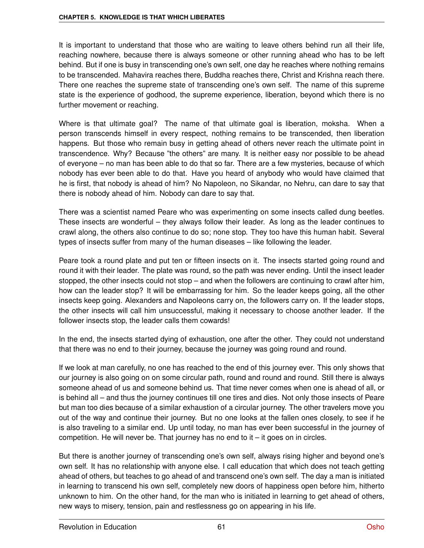It is important to understand that those who are waiting to leave others behind run all their life, reaching nowhere, because there is always someone or other running ahead who has to be left behind. But if one is busy in transcending one's own self, one day he reaches where nothing remains to be transcended. Mahavira reaches there, Buddha reaches there, Christ and Krishna reach there. There one reaches the supreme state of transcending one's own self. The name of this supreme state is the experience of godhood, the supreme experience, liberation, beyond which there is no further movement or reaching.

Where is that ultimate goal? The name of that ultimate goal is liberation, moksha. When a person transcends himself in every respect, nothing remains to be transcended, then liberation happens. But those who remain busy in getting ahead of others never reach the ultimate point in transcendence. Why? Because "the others" are many. It is neither easy nor possible to be ahead of everyone – no man has been able to do that so far. There are a few mysteries, because of which nobody has ever been able to do that. Have you heard of anybody who would have claimed that he is first, that nobody is ahead of him? No Napoleon, no Sikandar, no Nehru, can dare to say that there is nobody ahead of him. Nobody can dare to say that.

There was a scientist named Peare who was experimenting on some insects called dung beetles. These insects are wonderful – they always follow their leader. As long as the leader continues to crawl along, the others also continue to do so; none stop. They too have this human habit. Several types of insects suffer from many of the human diseases – like following the leader.

Peare took a round plate and put ten or fifteen insects on it. The insects started going round and round it with their leader. The plate was round, so the path was never ending. Until the insect leader stopped, the other insects could not stop – and when the followers are continuing to crawl after him, how can the leader stop? It will be embarrassing for him. So the leader keeps going, all the other insects keep going. Alexanders and Napoleons carry on, the followers carry on. If the leader stops, the other insects will call him unsuccessful, making it necessary to choose another leader. If the follower insects stop, the leader calls them cowards!

In the end, the insects started dying of exhaustion, one after the other. They could not understand that there was no end to their journey, because the journey was going round and round.

If we look at man carefully, no one has reached to the end of this journey ever. This only shows that our journey is also going on on some circular path, round and round and round. Still there is always someone ahead of us and someone behind us. That time never comes when one is ahead of all, or is behind all – and thus the journey continues till one tires and dies. Not only those insects of Peare but man too dies because of a similar exhaustion of a circular journey. The other travelers move you out of the way and continue their journey. But no one looks at the fallen ones closely, to see if he is also traveling to a similar end. Up until today, no man has ever been successful in the journey of competition. He will never be. That journey has no end to it  $-$  it goes on in circles.

But there is another journey of transcending one's own self, always rising higher and beyond one's own self. It has no relationship with anyone else. I call education that which does not teach getting ahead of others, but teaches to go ahead of and transcend one's own self. The day a man is initiated in learning to transcend his own self, completely new doors of happiness open before him, hitherto unknown to him. On the other hand, for the man who is initiated in learning to get ahead of others, new ways to misery, tension, pain and restlessness go on appearing in his life.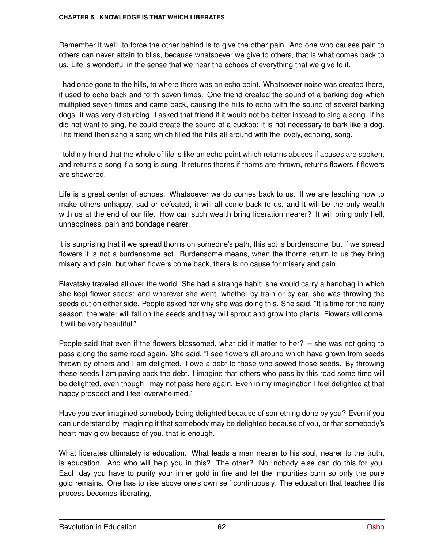Remember it well: to force the other behind is to give the other pain. And one who causes pain to others can never attain to bliss, because whatsoever we give to others, that is what comes back to us. Life is wonderful in the sense that we hear the echoes of everything that we give to it.

I had once gone to the hills, to where there was an echo point. Whatsoever noise was created there, it used to echo back and forth seven times. One friend created the sound of a barking dog which multiplied seven times and came back, causing the hills to echo with the sound of several barking dogs. It was very disturbing. I asked that friend if it would not be better instead to sing a song. If he did not want to sing, he could create the sound of a cuckoo; it is not necessary to bark like a dog. The friend then sang a song which filled the hills all around with the lovely, echoing, song.

I told my friend that the whole of life is like an echo point which returns abuses if abuses are spoken, and returns a song if a song is sung. It returns thorns if thorns are thrown, returns flowers if flowers are showered.

Life is a great center of echoes. Whatsoever we do comes back to us. If we are teaching how to make others unhappy, sad or defeated, it will all come back to us, and it will be the only wealth with us at the end of our life. How can such wealth bring liberation nearer? It will bring only hell, unhappiness, pain and bondage nearer.

It is surprising that if we spread thorns on someone's path, this act is burdensome, but if we spread flowers it is not a burdensome act. Burdensome means, when the thorns return to us they bring misery and pain, but when flowers come back, there is no cause for misery and pain.

Blavatsky traveled all over the world. She had a strange habit: she would carry a handbag in which she kept flower seeds; and wherever she went, whether by train or by car, she was throwing the seeds out on either side. People asked her why she was doing this. She said, "It is time for the rainy season; the water will fall on the seeds and they will sprout and grow into plants. Flowers will come. It will be very beautiful."

People said that even if the flowers blossomed, what did it matter to her? – she was not going to pass along the same road again. She said, "I see flowers all around which have grown from seeds thrown by others and I am delighted. I owe a debt to those who sowed those seeds. By throwing these seeds I am paying back the debt. I imagine that others who pass by this road some time will be delighted, even though I may not pass here again. Even in my imagination I feel delighted at that happy prospect and I feel overwhelmed."

Have you ever imagined somebody being delighted because of something done by you? Even if you can understand by imagining it that somebody may be delighted because of you, or that somebody's heart may glow because of you, that is enough.

What liberates ultimately is education. What leads a man nearer to his soul, nearer to the truth, is education. And who will help you in this? The other? No, nobody else can do this for you. Each day you have to purify your inner gold in fire and let the impurities burn so only the pure gold remains. One has to rise above one's own self continuously. The education that teaches this process becomes liberating.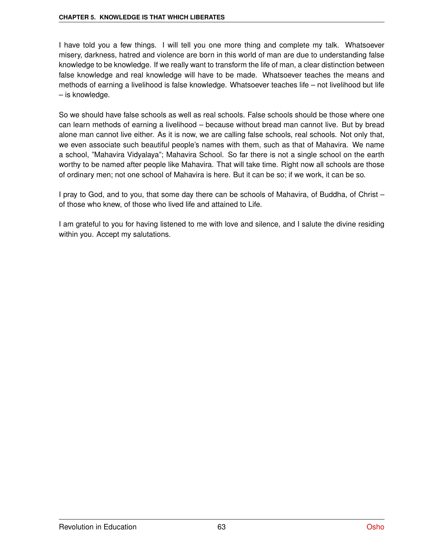I have told you a few things. I will tell you one more thing and complete my talk. Whatsoever misery, darkness, hatred and violence are born in this world of man are due to understanding false knowledge to be knowledge. If we really want to transform the life of man, a clear distinction between false knowledge and real knowledge will have to be made. Whatsoever teaches the means and methods of earning a livelihood is false knowledge. Whatsoever teaches life – not livelihood but life – is knowledge.

So we should have false schools as well as real schools. False schools should be those where one can learn methods of earning a livelihood – because without bread man cannot live. But by bread alone man cannot live either. As it is now, we are calling false schools, real schools. Not only that, we even associate such beautiful people's names with them, such as that of Mahavira. We name a school, "Mahavira Vidyalaya"; Mahavira School. So far there is not a single school on the earth worthy to be named after people like Mahavira. That will take time. Right now all schools are those of ordinary men; not one school of Mahavira is here. But it can be so; if we work, it can be so.

I pray to God, and to you, that some day there can be schools of Mahavira, of Buddha, of Christ – of those who knew, of those who lived life and attained to Life.

I am grateful to you for having listened to me with love and silence, and I salute the divine residing within you. Accept my salutations.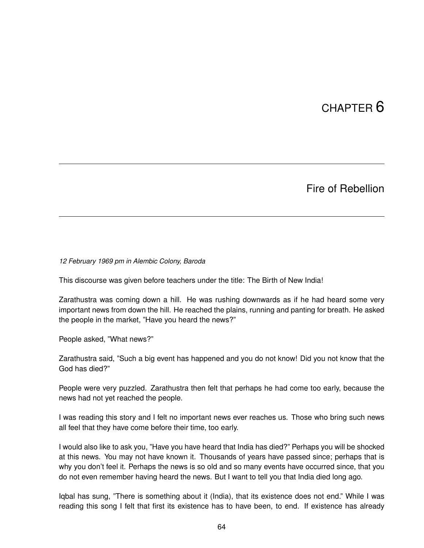# CHAPTER 6

### Fire of Rebellion

*12 February 1969 pm in Alembic Colony, Baroda*

This discourse was given before teachers under the title: The Birth of New India!

Zarathustra was coming down a hill. He was rushing downwards as if he had heard some very important news from down the hill. He reached the plains, running and panting for breath. He asked the people in the market, "Have you heard the news?"

People asked, "What news?"

Zarathustra said, "Such a big event has happened and you do not know! Did you not know that the God has died?"

People were very puzzled. Zarathustra then felt that perhaps he had come too early, because the news had not yet reached the people.

I was reading this story and I felt no important news ever reaches us. Those who bring such news all feel that they have come before their time, too early.

I would also like to ask you, "Have you have heard that India has died?" Perhaps you will be shocked at this news. You may not have known it. Thousands of years have passed since; perhaps that is why you don't feel it. Perhaps the news is so old and so many events have occurred since, that you do not even remember having heard the news. But I want to tell you that India died long ago.

Iqbal has sung, "There is something about it (India), that its existence does not end." While I was reading this song I felt that first its existence has to have been, to end. If existence has already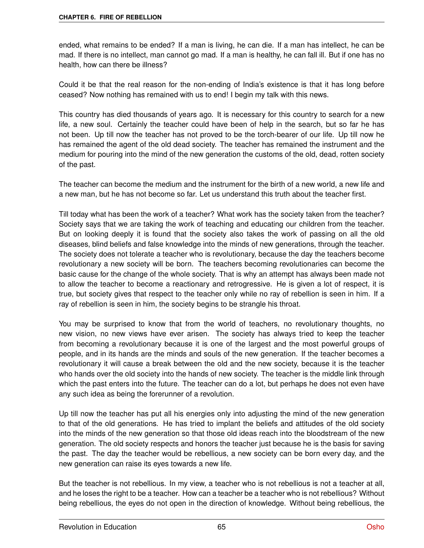ended, what remains to be ended? If a man is living, he can die. If a man has intellect, he can be mad. If there is no intellect, man cannot go mad. If a man is healthy, he can fall ill. But if one has no health, how can there be illness?

Could it be that the real reason for the non-ending of India's existence is that it has long before ceased? Now nothing has remained with us to end! I begin my talk with this news.

This country has died thousands of years ago. It is necessary for this country to search for a new life, a new soul. Certainly the teacher could have been of help in the search, but so far he has not been. Up till now the teacher has not proved to be the torch-bearer of our life. Up till now he has remained the agent of the old dead society. The teacher has remained the instrument and the medium for pouring into the mind of the new generation the customs of the old, dead, rotten society of the past.

The teacher can become the medium and the instrument for the birth of a new world, a new life and a new man, but he has not become so far. Let us understand this truth about the teacher first.

Till today what has been the work of a teacher? What work has the society taken from the teacher? Society says that we are taking the work of teaching and educating our children from the teacher. But on looking deeply it is found that the society also takes the work of passing on all the old diseases, blind beliefs and false knowledge into the minds of new generations, through the teacher. The society does not tolerate a teacher who is revolutionary, because the day the teachers become revolutionary a new society will be born. The teachers becoming revolutionaries can become the basic cause for the change of the whole society. That is why an attempt has always been made not to allow the teacher to become a reactionary and retrogressive. He is given a lot of respect, it is true, but society gives that respect to the teacher only while no ray of rebellion is seen in him. If a ray of rebellion is seen in him, the society begins to be strangle his throat.

You may be surprised to know that from the world of teachers, no revolutionary thoughts, no new vision, no new views have ever arisen. The society has always tried to keep the teacher from becoming a revolutionary because it is one of the largest and the most powerful groups of people, and in its hands are the minds and souls of the new generation. If the teacher becomes a revolutionary it will cause a break between the old and the new society, because it is the teacher who hands over the old society into the hands of new society. The teacher is the middle link through which the past enters into the future. The teacher can do a lot, but perhaps he does not even have any such idea as being the forerunner of a revolution.

Up till now the teacher has put all his energies only into adjusting the mind of the new generation to that of the old generations. He has tried to implant the beliefs and attitudes of the old society into the minds of the new generation so that those old ideas reach into the bloodstream of the new generation. The old society respects and honors the teacher just because he is the basis for saving the past. The day the teacher would be rebellious, a new society can be born every day, and the new generation can raise its eyes towards a new life.

But the teacher is not rebellious. In my view, a teacher who is not rebellious is not a teacher at all, and he loses the right to be a teacher. How can a teacher be a teacher who is not rebellious? Without being rebellious, the eyes do not open in the direction of knowledge. Without being rebellious, the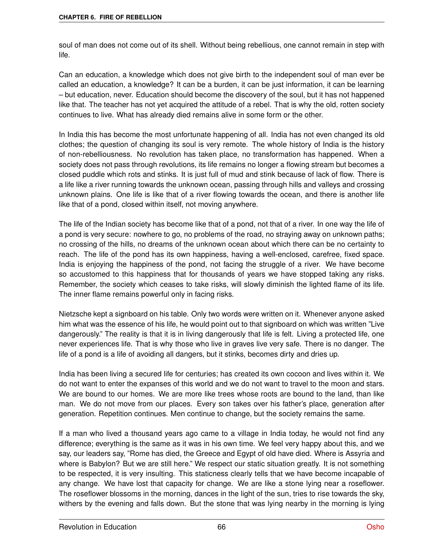soul of man does not come out of its shell. Without being rebellious, one cannot remain in step with life.

Can an education, a knowledge which does not give birth to the independent soul of man ever be called an education, a knowledge? It can be a burden, it can be just information, it can be learning – but education, never. Education should become the discovery of the soul, but it has not happened like that. The teacher has not yet acquired the attitude of a rebel. That is why the old, rotten society continues to live. What has already died remains alive in some form or the other.

In India this has become the most unfortunate happening of all. India has not even changed its old clothes; the question of changing its soul is very remote. The whole history of India is the history of non-rebelliousness. No revolution has taken place, no transformation has happened. When a society does not pass through revolutions, its life remains no longer a flowing stream but becomes a closed puddle which rots and stinks. It is just full of mud and stink because of lack of flow. There is a life like a river running towards the unknown ocean, passing through hills and valleys and crossing unknown plains. One life is like that of a river flowing towards the ocean, and there is another life like that of a pond, closed within itself, not moving anywhere.

The life of the Indian society has become like that of a pond, not that of a river. In one way the life of a pond is very secure: nowhere to go, no problems of the road, no straying away on unknown paths; no crossing of the hills, no dreams of the unknown ocean about which there can be no certainty to reach. The life of the pond has its own happiness, having a well-enclosed, carefree, fixed space. India is enjoying the happiness of the pond, not facing the struggle of a river. We have become so accustomed to this happiness that for thousands of years we have stopped taking any risks. Remember, the society which ceases to take risks, will slowly diminish the lighted flame of its life. The inner flame remains powerful only in facing risks.

Nietzsche kept a signboard on his table. Only two words were written on it. Whenever anyone asked him what was the essence of his life, he would point out to that signboard on which was written "Live dangerously." The reality is that it is in living dangerously that life is felt. Living a protected life, one never experiences life. That is why those who live in graves live very safe. There is no danger. The life of a pond is a life of avoiding all dangers, but it stinks, becomes dirty and dries up.

India has been living a secured life for centuries; has created its own cocoon and lives within it. We do not want to enter the expanses of this world and we do not want to travel to the moon and stars. We are bound to our homes. We are more like trees whose roots are bound to the land, than like man. We do not move from our places. Every son takes over his father's place, generation after generation. Repetition continues. Men continue to change, but the society remains the same.

If a man who lived a thousand years ago came to a village in India today, he would not find any difference; everything is the same as it was in his own time. We feel very happy about this, and we say, our leaders say, "Rome has died, the Greece and Egypt of old have died. Where is Assyria and where is Babylon? But we are still here." We respect our static situation greatly. It is not something to be respected, it is very insulting. This staticness clearly tells that we have become incapable of any change. We have lost that capacity for change. We are like a stone lying near a roseflower. The roseflower blossoms in the morning, dances in the light of the sun, tries to rise towards the sky, withers by the evening and falls down. But the stone that was lying nearby in the morning is lying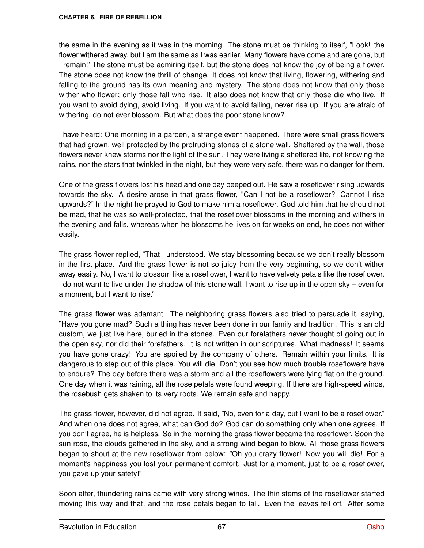the same in the evening as it was in the morning. The stone must be thinking to itself, "Look! the flower withered away, but I am the same as I was earlier. Many flowers have come and are gone, but I remain." The stone must be admiring itself, but the stone does not know the joy of being a flower. The stone does not know the thrill of change. It does not know that living, flowering, withering and falling to the ground has its own meaning and mystery. The stone does not know that only those wither who flower; only those fall who rise. It also does not know that only those die who live. If you want to avoid dying, avoid living. If you want to avoid falling, never rise up. If you are afraid of withering, do not ever blossom. But what does the poor stone know?

I have heard: One morning in a garden, a strange event happened. There were small grass flowers that had grown, well protected by the protruding stones of a stone wall. Sheltered by the wall, those flowers never knew storms nor the light of the sun. They were living a sheltered life, not knowing the rains, nor the stars that twinkled in the night, but they were very safe, there was no danger for them.

One of the grass flowers lost his head and one day peeped out. He saw a roseflower rising upwards towards the sky. A desire arose in that grass flower, "Can I not be a roseflower? Cannot I rise upwards?" In the night he prayed to God to make him a roseflower. God told him that he should not be mad, that he was so well-protected, that the roseflower blossoms in the morning and withers in the evening and falls, whereas when he blossoms he lives on for weeks on end, he does not wither easily.

The grass flower replied, "That I understood. We stay blossoming because we don't really blossom in the first place. And the grass flower is not so juicy from the very beginning, so we don't wither away easily. No, I want to blossom like a roseflower, I want to have velvety petals like the roseflower. I do not want to live under the shadow of this stone wall, I want to rise up in the open sky – even for a moment, but I want to rise."

The grass flower was adamant. The neighboring grass flowers also tried to persuade it, saying, "Have you gone mad? Such a thing has never been done in our family and tradition. This is an old custom, we just live here, buried in the stones. Even our forefathers never thought of going out in the open sky, nor did their forefathers. It is not written in our scriptures. What madness! It seems you have gone crazy! You are spoiled by the company of others. Remain within your limits. It is dangerous to step out of this place. You will die. Don't you see how much trouble roseflowers have to endure? The day before there was a storm and all the roseflowers were lying flat on the ground. One day when it was raining, all the rose petals were found weeping. If there are high-speed winds, the rosebush gets shaken to its very roots. We remain safe and happy.

The grass flower, however, did not agree. It said, "No, even for a day, but I want to be a roseflower." And when one does not agree, what can God do? God can do something only when one agrees. If you don't agree, he is helpless. So in the morning the grass flower became the roseflower. Soon the sun rose, the clouds gathered in the sky, and a strong wind began to blow. All those grass flowers began to shout at the new roseflower from below: "Oh you crazy flower! Now you will die! For a moment's happiness you lost your permanent comfort. Just for a moment, just to be a roseflower, you gave up your safety!"

Soon after, thundering rains came with very strong winds. The thin stems of the roseflower started moving this way and that, and the rose petals began to fall. Even the leaves fell off. After some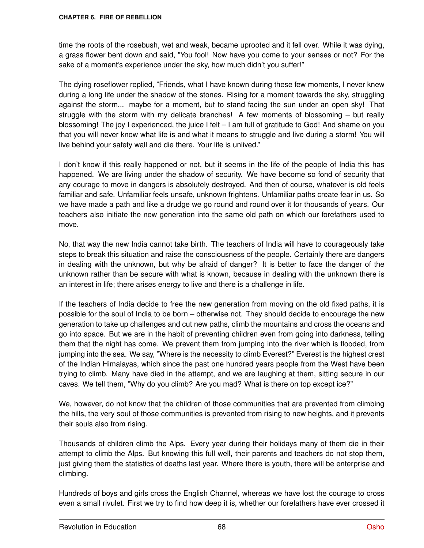time the roots of the rosebush, wet and weak, became uprooted and it fell over. While it was dying, a grass flower bent down and said, "You fool! Now have you come to your senses or not? For the sake of a moment's experience under the sky, how much didn't you suffer!"

The dying roseflower replied, "Friends, what I have known during these few moments, I never knew during a long life under the shadow of the stones. Rising for a moment towards the sky, struggling against the storm... maybe for a moment, but to stand facing the sun under an open sky! That struggle with the storm with my delicate branches! A few moments of blossoming – but really blossoming! The joy I experienced, the juice I felt – I am full of gratitude to God! And shame on you that you will never know what life is and what it means to struggle and live during a storm! You will live behind your safety wall and die there. Your life is unlived."

I don't know if this really happened or not, but it seems in the life of the people of India this has happened. We are living under the shadow of security. We have become so fond of security that any courage to move in dangers is absolutely destroyed. And then of course, whatever is old feels familiar and safe. Unfamiliar feels unsafe, unknown frightens. Unfamiliar paths create fear in us. So we have made a path and like a drudge we go round and round over it for thousands of years. Our teachers also initiate the new generation into the same old path on which our forefathers used to move.

No, that way the new India cannot take birth. The teachers of India will have to courageously take steps to break this situation and raise the consciousness of the people. Certainly there are dangers in dealing with the unknown, but why be afraid of danger? It is better to face the danger of the unknown rather than be secure with what is known, because in dealing with the unknown there is an interest in life; there arises energy to live and there is a challenge in life.

If the teachers of India decide to free the new generation from moving on the old fixed paths, it is possible for the soul of India to be born – otherwise not. They should decide to encourage the new generation to take up challenges and cut new paths, climb the mountains and cross the oceans and go into space. But we are in the habit of preventing children even from going into darkness, telling them that the night has come. We prevent them from jumping into the river which is flooded, from jumping into the sea. We say, "Where is the necessity to climb Everest?" Everest is the highest crest of the Indian Himalayas, which since the past one hundred years people from the West have been trying to climb. Many have died in the attempt, and we are laughing at them, sitting secure in our caves. We tell them, "Why do you climb? Are you mad? What is there on top except ice?"

We, however, do not know that the children of those communities that are prevented from climbing the hills, the very soul of those communities is prevented from rising to new heights, and it prevents their souls also from rising.

Thousands of children climb the Alps. Every year during their holidays many of them die in their attempt to climb the Alps. But knowing this full well, their parents and teachers do not stop them, just giving them the statistics of deaths last year. Where there is youth, there will be enterprise and climbing.

Hundreds of boys and girls cross the English Channel, whereas we have lost the courage to cross even a small rivulet. First we try to find how deep it is, whether our forefathers have ever crossed it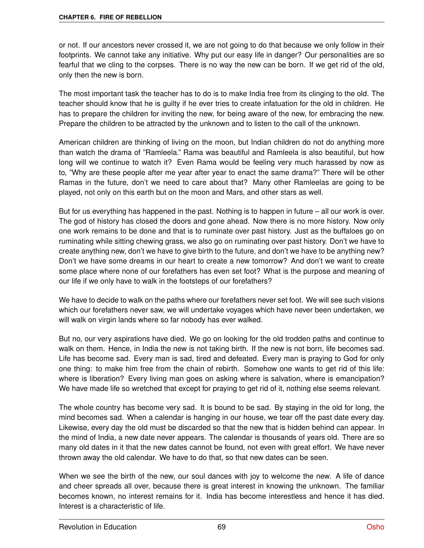or not. If our ancestors never crossed it, we are not going to do that because we only follow in their footprints. We cannot take any initiative. Why put our easy life in danger? Our personalities are so fearful that we cling to the corpses. There is no way the new can be born. If we get rid of the old, only then the new is born.

The most important task the teacher has to do is to make India free from its clinging to the old. The teacher should know that he is guilty if he ever tries to create infatuation for the old in children. He has to prepare the children for inviting the new, for being aware of the new, for embracing the new. Prepare the children to be attracted by the unknown and to listen to the call of the unknown.

American children are thinking of living on the moon, but Indian children do not do anything more than watch the drama of "Ramleela." Rama was beautiful and Ramleela is also beautiful, but how long will we continue to watch it? Even Rama would be feeling very much harassed by now as to, "Why are these people after me year after year to enact the same drama?" There will be other Ramas in the future, don't we need to care about that? Many other Ramleelas are going to be played, not only on this earth but on the moon and Mars, and other stars as well.

But for us everything has happened in the past. Nothing is to happen in future – all our work is over. The god of history has closed the doors and gone ahead. Now there is no more history. Now only one work remains to be done and that is to ruminate over past history. Just as the buffaloes go on ruminating while sitting chewing grass, we also go on ruminating over past history. Don't we have to create anything new, don't we have to give birth to the future, and don't we have to be anything new? Don't we have some dreams in our heart to create a new tomorrow? And don't we want to create some place where none of our forefathers has even set foot? What is the purpose and meaning of our life if we only have to walk in the footsteps of our forefathers?

We have to decide to walk on the paths where our forefathers never set foot. We will see such visions which our forefathers never saw, we will undertake voyages which have never been undertaken, we will walk on virgin lands where so far nobody has ever walked.

But no, our very aspirations have died. We go on looking for the old trodden paths and continue to walk on them. Hence, in India the new is not taking birth. If the new is not born, life becomes sad. Life has become sad. Every man is sad, tired and defeated. Every man is praying to God for only one thing: to make him free from the chain of rebirth. Somehow one wants to get rid of this life: where is liberation? Every living man goes on asking where is salvation, where is emancipation? We have made life so wretched that except for praying to get rid of it, nothing else seems relevant.

The whole country has become very sad. It is bound to be sad. By staying in the old for long, the mind becomes sad. When a calendar is hanging in our house, we tear off the past date every day. Likewise, every day the old must be discarded so that the new that is hidden behind can appear. In the mind of India, a new date never appears. The calendar is thousands of years old. There are so many old dates in it that the new dates cannot be found, not even with great effort. We have never thrown away the old calendar. We have to do that, so that new dates can be seen.

When we see the birth of the new, our soul dances with joy to welcome the new. A life of dance and cheer spreads all over, because there is great interest in knowing the unknown. The familiar becomes known, no interest remains for it. India has become interestless and hence it has died. Interest is a characteristic of life.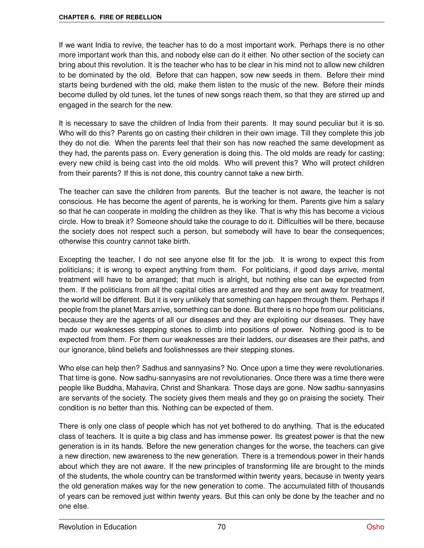If we want India to revive, the teacher has to do a most important work. Perhaps there is no other more important work than this, and nobody else can do it either. No other section of the society can bring about this revolution. It is the teacher who has to be clear in his mind not to allow new children to be dominated by the old. Before that can happen, sow new seeds in them. Before their mind starts being burdened with the old, make them listen to the music of the new. Before their minds become dulled by old tunes, let the tunes of new songs reach them, so that they are stirred up and engaged in the search for the new.

It is necessary to save the children of India from their parents. It may sound peculiar but it is so. Who will do this? Parents go on casting their children in their own image. Till they complete this job they do not die. When the parents feel that their son has now reached the same development as they had, the parents pass on. Every generation is doing this. The old molds are ready for casting; every new child is being cast into the old molds. Who will prevent this? Who will protect children from their parents? If this is not done, this country cannot take a new birth.

The teacher can save the children from parents. But the teacher is not aware, the teacher is not conscious. He has become the agent of parents, he is working for them. Parents give him a salary so that he can cooperate in molding the children as they like. That is why this has become a vicious circle. How to break it? Someone should take the courage to do it. Difficulties will be there, because the society does not respect such a person, but somebody will have to bear the consequences; otherwise this country cannot take birth.

Excepting the teacher, I do not see anyone else fit for the job. It is wrong to expect this from politicians; it is wrong to expect anything from them. For politicians, if good days arrive, mental treatment will have to be arranged; that much is alright, but nothing else can be expected from them. If the politicians from all the capital cities are arrested and they are sent away for treatment, the world will be different. But it is very unlikely that something can happen through them. Perhaps if people from the planet Mars arrive, something can be done. But there is no hope from our politicians, because they are the agents of all our diseases and they are exploiting our diseases. They have made our weaknesses stepping stones to climb into positions of power. Nothing good is to be expected from them. For them our weaknesses are their ladders, our diseases are their paths, and our ignorance, blind beliefs and foolishnesses are their stepping stones.

Who else can help then? Sadhus and sannyasins? No. Once upon a time they were revolutionaries. That time is gone. Now sadhu-sannyasins are not revolutionaries. Once there was a time there were people like Buddha, Mahavira, Christ and Shankara. Those days are gone. Now sadhu-sannyasins are servants of the society. The society gives them meals and they go on praising the society. Their condition is no better than this. Nothing can be expected of them.

There is only one class of people which has not yet bothered to do anything. That is the educated class of teachers. It is quite a big class and has immense power. Its greatest power is that the new generation is in its hands. Before the new generation changes for the worse, the teachers can give a new direction, new awareness to the new generation. There is a tremendous power in their hands about which they are not aware. If the new principles of transforming life are brought to the minds of the students, the whole country can be transformed within twenty years, because in twenty years the old generation makes way for the new generation to come. The accumulated filth of thousands of years can be removed just within twenty years. But this can only be done by the teacher and no one else.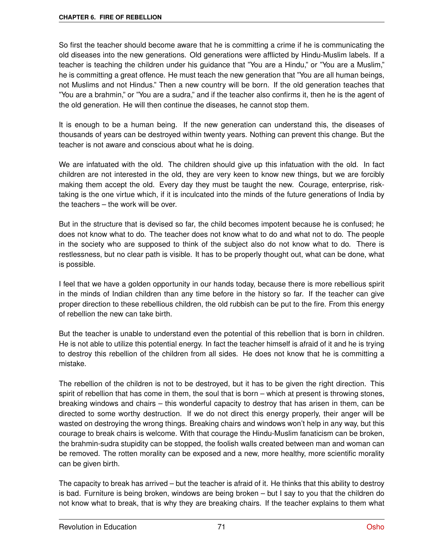So first the teacher should become aware that he is committing a crime if he is communicating the old diseases into the new generations. Old generations were afflicted by Hindu-Muslim labels. If a teacher is teaching the children under his guidance that "You are a Hindu," or "You are a Muslim," he is committing a great offence. He must teach the new generation that "You are all human beings, not Muslims and not Hindus." Then a new country will be born. If the old generation teaches that "You are a brahmin," or "You are a sudra," and if the teacher also confirms it, then he is the agent of the old generation. He will then continue the diseases, he cannot stop them.

It is enough to be a human being. If the new generation can understand this, the diseases of thousands of years can be destroyed within twenty years. Nothing can prevent this change. But the teacher is not aware and conscious about what he is doing.

We are infatuated with the old. The children should give up this infatuation with the old. In fact children are not interested in the old, they are very keen to know new things, but we are forcibly making them accept the old. Every day they must be taught the new. Courage, enterprise, risktaking is the one virtue which, if it is inculcated into the minds of the future generations of India by the teachers – the work will be over.

But in the structure that is devised so far, the child becomes impotent because he is confused; he does not know what to do. The teacher does not know what to do and what not to do. The people in the society who are supposed to think of the subject also do not know what to do. There is restlessness, but no clear path is visible. It has to be properly thought out, what can be done, what is possible.

I feel that we have a golden opportunity in our hands today, because there is more rebellious spirit in the minds of Indian children than any time before in the history so far. If the teacher can give proper direction to these rebellious children, the old rubbish can be put to the fire. From this energy of rebellion the new can take birth.

But the teacher is unable to understand even the potential of this rebellion that is born in children. He is not able to utilize this potential energy. In fact the teacher himself is afraid of it and he is trying to destroy this rebellion of the children from all sides. He does not know that he is committing a mistake.

The rebellion of the children is not to be destroyed, but it has to be given the right direction. This spirit of rebellion that has come in them, the soul that is born – which at present is throwing stones, breaking windows and chairs – this wonderful capacity to destroy that has arisen in them, can be directed to some worthy destruction. If we do not direct this energy properly, their anger will be wasted on destroying the wrong things. Breaking chairs and windows won't help in any way, but this courage to break chairs is welcome. With that courage the Hindu-Muslim fanaticism can be broken, the brahmin-sudra stupidity can be stopped, the foolish walls created between man and woman can be removed. The rotten morality can be exposed and a new, more healthy, more scientific morality can be given birth.

The capacity to break has arrived – but the teacher is afraid of it. He thinks that this ability to destroy is bad. Furniture is being broken, windows are being broken – but I say to you that the children do not know what to break, that is why they are breaking chairs. If the teacher explains to them what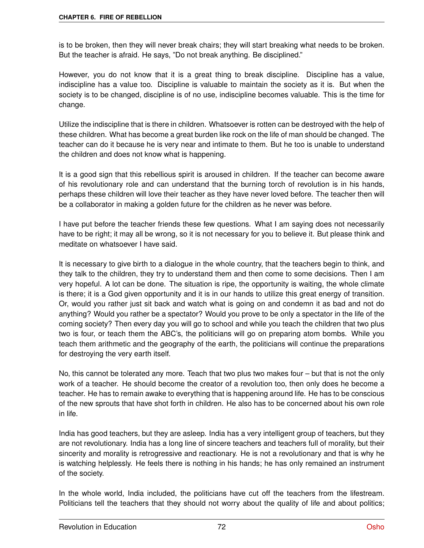is to be broken, then they will never break chairs; they will start breaking what needs to be broken. But the teacher is afraid. He says, "Do not break anything. Be disciplined."

However, you do not know that it is a great thing to break discipline. Discipline has a value, indiscipline has a value too. Discipline is valuable to maintain the society as it is. But when the society is to be changed, discipline is of no use, indiscipline becomes valuable. This is the time for change.

Utilize the indiscipline that is there in children. Whatsoever is rotten can be destroyed with the help of these children. What has become a great burden like rock on the life of man should be changed. The teacher can do it because he is very near and intimate to them. But he too is unable to understand the children and does not know what is happening.

It is a good sign that this rebellious spirit is aroused in children. If the teacher can become aware of his revolutionary role and can understand that the burning torch of revolution is in his hands, perhaps these children will love their teacher as they have never loved before. The teacher then will be a collaborator in making a golden future for the children as he never was before.

I have put before the teacher friends these few questions. What I am saying does not necessarily have to be right; it may all be wrong, so it is not necessary for you to believe it. But please think and meditate on whatsoever I have said.

It is necessary to give birth to a dialogue in the whole country, that the teachers begin to think, and they talk to the children, they try to understand them and then come to some decisions. Then I am very hopeful. A lot can be done. The situation is ripe, the opportunity is waiting, the whole climate is there; it is a God given opportunity and it is in our hands to utilize this great energy of transition. Or, would you rather just sit back and watch what is going on and condemn it as bad and not do anything? Would you rather be a spectator? Would you prove to be only a spectator in the life of the coming society? Then every day you will go to school and while you teach the children that two plus two is four, or teach them the ABC's, the politicians will go on preparing atom bombs. While you teach them arithmetic and the geography of the earth, the politicians will continue the preparations for destroying the very earth itself.

No, this cannot be tolerated any more. Teach that two plus two makes four – but that is not the only work of a teacher. He should become the creator of a revolution too, then only does he become a teacher. He has to remain awake to everything that is happening around life. He has to be conscious of the new sprouts that have shot forth in children. He also has to be concerned about his own role in life.

India has good teachers, but they are asleep. India has a very intelligent group of teachers, but they are not revolutionary. India has a long line of sincere teachers and teachers full of morality, but their sincerity and morality is retrogressive and reactionary. He is not a revolutionary and that is why he is watching helplessly. He feels there is nothing in his hands; he has only remained an instrument of the society.

In the whole world, India included, the politicians have cut off the teachers from the lifestream. Politicians tell the teachers that they should not worry about the quality of life and about politics;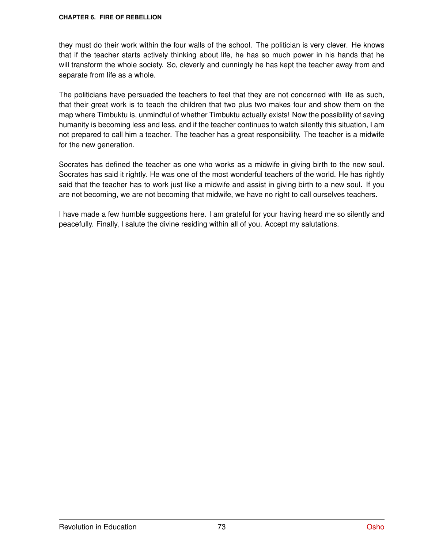they must do their work within the four walls of the school. The politician is very clever. He knows that if the teacher starts actively thinking about life, he has so much power in his hands that he will transform the whole society. So, cleverly and cunningly he has kept the teacher away from and separate from life as a whole.

The politicians have persuaded the teachers to feel that they are not concerned with life as such, that their great work is to teach the children that two plus two makes four and show them on the map where Timbuktu is, unmindful of whether Timbuktu actually exists! Now the possibility of saving humanity is becoming less and less, and if the teacher continues to watch silently this situation, I am not prepared to call him a teacher. The teacher has a great responsibility. The teacher is a midwife for the new generation.

Socrates has defined the teacher as one who works as a midwife in giving birth to the new soul. Socrates has said it rightly. He was one of the most wonderful teachers of the world. He has rightly said that the teacher has to work just like a midwife and assist in giving birth to a new soul. If you are not becoming, we are not becoming that midwife, we have no right to call ourselves teachers.

I have made a few humble suggestions here. I am grateful for your having heard me so silently and peacefully. Finally, I salute the divine residing within all of you. Accept my salutations.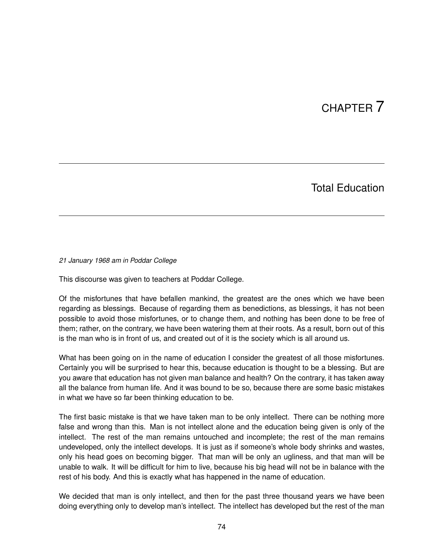## CHAPTER 7

### Total Education

*21 January 1968 am in Poddar College*

This discourse was given to teachers at Poddar College.

Of the misfortunes that have befallen mankind, the greatest are the ones which we have been regarding as blessings. Because of regarding them as benedictions, as blessings, it has not been possible to avoid those misfortunes, or to change them, and nothing has been done to be free of them; rather, on the contrary, we have been watering them at their roots. As a result, born out of this is the man who is in front of us, and created out of it is the society which is all around us.

What has been going on in the name of education I consider the greatest of all those misfortunes. Certainly you will be surprised to hear this, because education is thought to be a blessing. But are you aware that education has not given man balance and health? On the contrary, it has taken away all the balance from human life. And it was bound to be so, because there are some basic mistakes in what we have so far been thinking education to be.

The first basic mistake is that we have taken man to be only intellect. There can be nothing more false and wrong than this. Man is not intellect alone and the education being given is only of the intellect. The rest of the man remains untouched and incomplete; the rest of the man remains undeveloped, only the intellect develops. It is just as if someone's whole body shrinks and wastes, only his head goes on becoming bigger. That man will be only an ugliness, and that man will be unable to walk. It will be difficult for him to live, because his big head will not be in balance with the rest of his body. And this is exactly what has happened in the name of education.

We decided that man is only intellect, and then for the past three thousand years we have been doing everything only to develop man's intellect. The intellect has developed but the rest of the man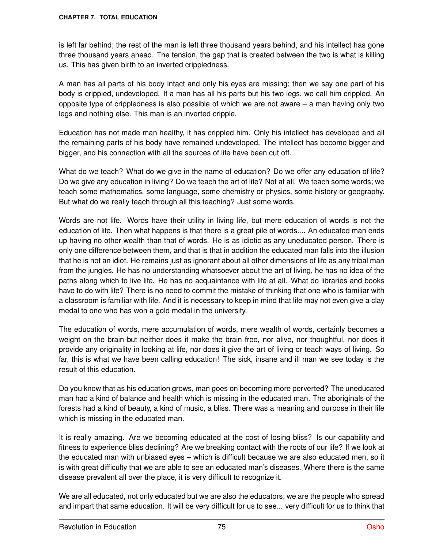is left far behind; the rest of the man is left three thousand years behind, and his intellect has gone three thousand years ahead. The tension, the gap that is created between the two is what is killing us. This has given birth to an inverted crippledness.

A man has all parts of his body intact and only his eyes are missing; then we say one part of his body is crippled, undeveloped. If a man has all his parts but his two legs, we call him crippled. An opposite type of crippledness is also possible of which we are not aware – a man having only two legs and nothing else. This man is an inverted cripple.

Education has not made man healthy, it has crippled him. Only his intellect has developed and all the remaining parts of his body have remained undeveloped. The intellect has become bigger and bigger, and his connection with all the sources of life have been cut off.

What do we teach? What do we give in the name of education? Do we offer any education of life? Do we give any education in living? Do we teach the art of life? Not at all. We teach some words; we teach some mathematics, some language, some chemistry or physics, some history or geography. But what do we really teach through all this teaching? Just some words.

Words are not life. Words have their utility in living life, but mere education of words is not the education of life. Then what happens is that there is a great pile of words.... An educated man ends up having no other wealth than that of words. He is as idiotic as any uneducated person. There is only one difference between them, and that is that in addition the educated man falls into the illusion that he is not an idiot. He remains just as ignorant about all other dimensions of life as any tribal man from the jungles. He has no understanding whatsoever about the art of living, he has no idea of the paths along which to live life. He has no acquaintance with life at all. What do libraries and books have to do with life? There is no need to commit the mistake of thinking that one who is familiar with a classroom is familiar with life. And it is necessary to keep in mind that life may not even give a clay medal to one who has won a gold medal in the university.

The education of words, mere accumulation of words, mere wealth of words, certainly becomes a weight on the brain but neither does it make the brain free, nor alive, nor thoughtful, nor does it provide any originality in looking at life, nor does it give the art of living or teach ways of living. So far, this is what we have been calling education! The sick, insane and ill man we see today is the result of this education.

Do you know that as his education grows, man goes on becoming more perverted? The uneducated man had a kind of balance and health which is missing in the educated man. The aboriginals of the forests had a kind of beauty, a kind of music, a bliss. There was a meaning and purpose in their life which is missing in the educated man.

It is really amazing. Are we becoming educated at the cost of losing bliss? Is our capability and fitness to experience bliss declining? Are we breaking contact with the roots of our life? If we look at the educated man with unbiased eyes – which is difficult because we are also educated men, so it is with great difficulty that we are able to see an educated man's diseases. Where there is the same disease prevalent all over the place, it is very difficult to recognize it.

We are all educated, not only educated but we are also the educators; we are the people who spread and impart that same education. It will be very difficult for us to see... very difficult for us to think that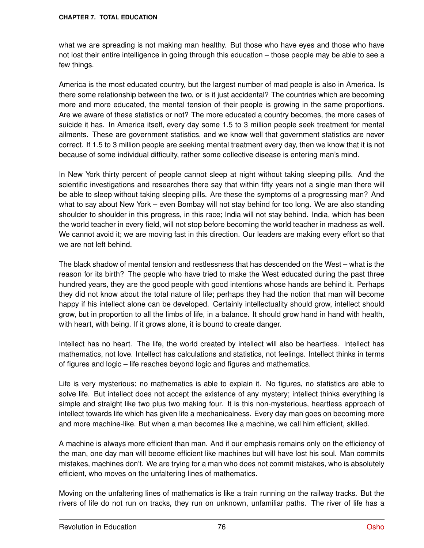what we are spreading is not making man healthy. But those who have eyes and those who have not lost their entire intelligence in going through this education – those people may be able to see a few things.

America is the most educated country, but the largest number of mad people is also in America. Is there some relationship between the two, or is it just accidental? The countries which are becoming more and more educated, the mental tension of their people is growing in the same proportions. Are we aware of these statistics or not? The more educated a country becomes, the more cases of suicide it has. In America itself, every day some 1.5 to 3 million people seek treatment for mental ailments. These are government statistics, and we know well that government statistics are never correct. If 1.5 to 3 million people are seeking mental treatment every day, then we know that it is not because of some individual difficulty, rather some collective disease is entering man's mind.

In New York thirty percent of people cannot sleep at night without taking sleeping pills. And the scientific investigations and researches there say that within fifty years not a single man there will be able to sleep without taking sleeping pills. Are these the symptoms of a progressing man? And what to say about New York – even Bombay will not stay behind for too long. We are also standing shoulder to shoulder in this progress, in this race; India will not stay behind. India, which has been the world teacher in every field, will not stop before becoming the world teacher in madness as well. We cannot avoid it; we are moving fast in this direction. Our leaders are making every effort so that we are not left behind.

The black shadow of mental tension and restlessness that has descended on the West – what is the reason for its birth? The people who have tried to make the West educated during the past three hundred years, they are the good people with good intentions whose hands are behind it. Perhaps they did not know about the total nature of life; perhaps they had the notion that man will become happy if his intellect alone can be developed. Certainly intellectuality should grow, intellect should grow, but in proportion to all the limbs of life, in a balance. It should grow hand in hand with health, with heart, with being. If it grows alone, it is bound to create danger.

Intellect has no heart. The life, the world created by intellect will also be heartless. Intellect has mathematics, not love. Intellect has calculations and statistics, not feelings. Intellect thinks in terms of figures and logic – life reaches beyond logic and figures and mathematics.

Life is very mysterious; no mathematics is able to explain it. No figures, no statistics are able to solve life. But intellect does not accept the existence of any mystery; intellect thinks everything is simple and straight like two plus two making four. It is this non-mysterious, heartless approach of intellect towards life which has given life a mechanicalness. Every day man goes on becoming more and more machine-like. But when a man becomes like a machine, we call him efficient, skilled.

A machine is always more efficient than man. And if our emphasis remains only on the efficiency of the man, one day man will become efficient like machines but will have lost his soul. Man commits mistakes, machines don't. We are trying for a man who does not commit mistakes, who is absolutely efficient, who moves on the unfaltering lines of mathematics.

Moving on the unfaltering lines of mathematics is like a train running on the railway tracks. But the rivers of life do not run on tracks, they run on unknown, unfamiliar paths. The river of life has a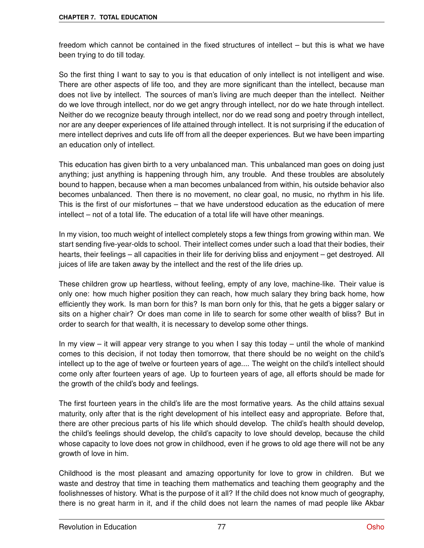freedom which cannot be contained in the fixed structures of intellect – but this is what we have been trying to do till today.

So the first thing I want to say to you is that education of only intellect is not intelligent and wise. There are other aspects of life too, and they are more significant than the intellect, because man does not live by intellect. The sources of man's living are much deeper than the intellect. Neither do we love through intellect, nor do we get angry through intellect, nor do we hate through intellect. Neither do we recognize beauty through intellect, nor do we read song and poetry through intellect, nor are any deeper experiences of life attained through intellect. It is not surprising if the education of mere intellect deprives and cuts life off from all the deeper experiences. But we have been imparting an education only of intellect.

This education has given birth to a very unbalanced man. This unbalanced man goes on doing just anything; just anything is happening through him, any trouble. And these troubles are absolutely bound to happen, because when a man becomes unbalanced from within, his outside behavior also becomes unbalanced. Then there is no movement, no clear goal, no music, no rhythm in his life. This is the first of our misfortunes – that we have understood education as the education of mere intellect – not of a total life. The education of a total life will have other meanings.

In my vision, too much weight of intellect completely stops a few things from growing within man. We start sending five-year-olds to school. Their intellect comes under such a load that their bodies, their hearts, their feelings – all capacities in their life for deriving bliss and enjoyment – get destroyed. All juices of life are taken away by the intellect and the rest of the life dries up.

These children grow up heartless, without feeling, empty of any love, machine-like. Their value is only one: how much higher position they can reach, how much salary they bring back home, how efficiently they work. Is man born for this? Is man born only for this, that he gets a bigger salary or sits on a higher chair? Or does man come in life to search for some other wealth of bliss? But in order to search for that wealth, it is necessary to develop some other things.

In my view – it will appear very strange to you when I say this today – until the whole of mankind comes to this decision, if not today then tomorrow, that there should be no weight on the child's intellect up to the age of twelve or fourteen years of age.... The weight on the child's intellect should come only after fourteen years of age. Up to fourteen years of age, all efforts should be made for the growth of the child's body and feelings.

The first fourteen years in the child's life are the most formative years. As the child attains sexual maturity, only after that is the right development of his intellect easy and appropriate. Before that, there are other precious parts of his life which should develop. The child's health should develop, the child's feelings should develop, the child's capacity to love should develop, because the child whose capacity to love does not grow in childhood, even if he grows to old age there will not be any growth of love in him.

Childhood is the most pleasant and amazing opportunity for love to grow in children. But we waste and destroy that time in teaching them mathematics and teaching them geography and the foolishnesses of history. What is the purpose of it all? If the child does not know much of geography, there is no great harm in it, and if the child does not learn the names of mad people like Akbar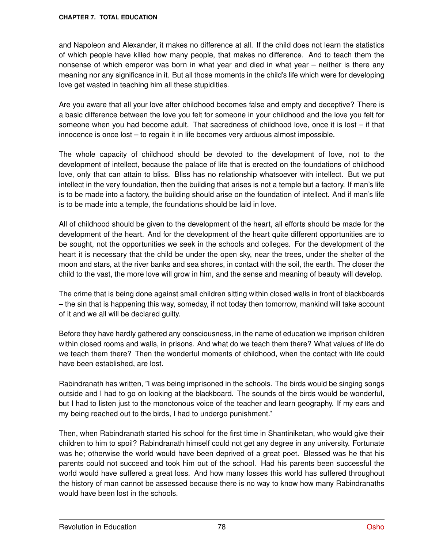and Napoleon and Alexander, it makes no difference at all. If the child does not learn the statistics of which people have killed how many people, that makes no difference. And to teach them the nonsense of which emperor was born in what year and died in what year – neither is there any meaning nor any significance in it. But all those moments in the child's life which were for developing love get wasted in teaching him all these stupidities.

Are you aware that all your love after childhood becomes false and empty and deceptive? There is a basic difference between the love you felt for someone in your childhood and the love you felt for someone when you had become adult. That sacredness of childhood love, once it is lost – if that innocence is once lost – to regain it in life becomes very arduous almost impossible.

The whole capacity of childhood should be devoted to the development of love, not to the development of intellect, because the palace of life that is erected on the foundations of childhood love, only that can attain to bliss. Bliss has no relationship whatsoever with intellect. But we put intellect in the very foundation, then the building that arises is not a temple but a factory. If man's life is to be made into a factory, the building should arise on the foundation of intellect. And if man's life is to be made into a temple, the foundations should be laid in love.

All of childhood should be given to the development of the heart, all efforts should be made for the development of the heart. And for the development of the heart quite different opportunities are to be sought, not the opportunities we seek in the schools and colleges. For the development of the heart it is necessary that the child be under the open sky, near the trees, under the shelter of the moon and stars, at the river banks and sea shores, in contact with the soil, the earth. The closer the child to the vast, the more love will grow in him, and the sense and meaning of beauty will develop.

The crime that is being done against small children sitting within closed walls in front of blackboards – the sin that is happening this way, someday, if not today then tomorrow, mankind will take account of it and we all will be declared guilty.

Before they have hardly gathered any consciousness, in the name of education we imprison children within closed rooms and walls, in prisons. And what do we teach them there? What values of life do we teach them there? Then the wonderful moments of childhood, when the contact with life could have been established, are lost.

Rabindranath has written, "I was being imprisoned in the schools. The birds would be singing songs outside and I had to go on looking at the blackboard. The sounds of the birds would be wonderful, but I had to listen just to the monotonous voice of the teacher and learn geography. If my ears and my being reached out to the birds, I had to undergo punishment."

Then, when Rabindranath started his school for the first time in Shantiniketan, who would give their children to him to spoil? Rabindranath himself could not get any degree in any university. Fortunate was he; otherwise the world would have been deprived of a great poet. Blessed was he that his parents could not succeed and took him out of the school. Had his parents been successful the world would have suffered a great loss. And how many losses this world has suffered throughout the history of man cannot be assessed because there is no way to know how many Rabindranaths would have been lost in the schools.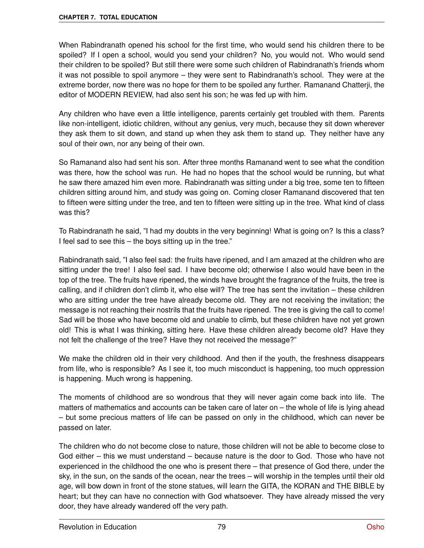When Rabindranath opened his school for the first time, who would send his children there to be spoiled? If I open a school, would you send your children? No, you would not. Who would send their children to be spoiled? But still there were some such children of Rabindranath's friends whom it was not possible to spoil anymore – they were sent to Rabindranath's school. They were at the extreme border, now there was no hope for them to be spoiled any further. Ramanand Chatterji, the editor of MODERN REVIEW, had also sent his son; he was fed up with him.

Any children who have even a little intelligence, parents certainly get troubled with them. Parents like non-intelligent, idiotic children, without any genius, very much, because they sit down wherever they ask them to sit down, and stand up when they ask them to stand up. They neither have any soul of their own, nor any being of their own.

So Ramanand also had sent his son. After three months Ramanand went to see what the condition was there, how the school was run. He had no hopes that the school would be running, but what he saw there amazed him even more. Rabindranath was sitting under a big tree, some ten to fifteen children sitting around him, and study was going on. Coming closer Ramanand discovered that ten to fifteen were sitting under the tree, and ten to fifteen were sitting up in the tree. What kind of class was this?

To Rabindranath he said, "I had my doubts in the very beginning! What is going on? Is this a class? I feel sad to see this – the boys sitting up in the tree."

Rabindranath said, "I also feel sad: the fruits have ripened, and I am amazed at the children who are sitting under the tree! I also feel sad. I have become old; otherwise I also would have been in the top of the tree. The fruits have ripened, the winds have brought the fragrance of the fruits, the tree is calling, and if children don't climb it, who else will? The tree has sent the invitation – these children who are sitting under the tree have already become old. They are not receiving the invitation; the message is not reaching their nostrils that the fruits have ripened. The tree is giving the call to come! Sad will be those who have become old and unable to climb, but these children have not yet grown old! This is what I was thinking, sitting here. Have these children already become old? Have they not felt the challenge of the tree? Have they not received the message?"

We make the children old in their very childhood. And then if the youth, the freshness disappears from life, who is responsible? As I see it, too much misconduct is happening, too much oppression is happening. Much wrong is happening.

The moments of childhood are so wondrous that they will never again come back into life. The matters of mathematics and accounts can be taken care of later on – the whole of life is lying ahead – but some precious matters of life can be passed on only in the childhood, which can never be passed on later.

The children who do not become close to nature, those children will not be able to become close to God either – this we must understand – because nature is the door to God. Those who have not experienced in the childhood the one who is present there – that presence of God there, under the sky, in the sun, on the sands of the ocean, near the trees – will worship in the temples until their old age, will bow down in front of the stone statues, will learn the GITA, the KORAN and THE BIBLE by heart; but they can have no connection with God whatsoever. They have already missed the very door, they have already wandered off the very path.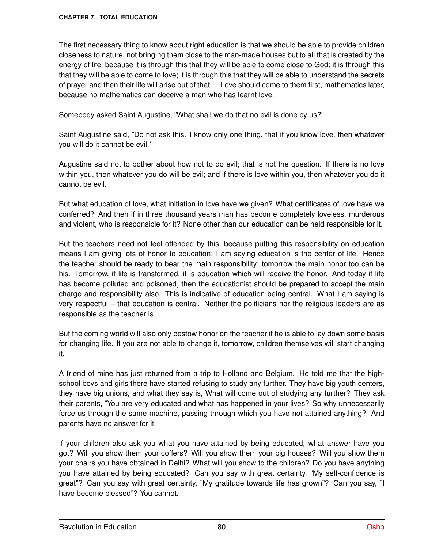The first necessary thing to know about right education is that we should be able to provide children closeness to nature, not bringing them close to the man-made houses but to all that is created by the energy of life, because it is through this that they will be able to come close to God; it is through this that they will be able to come to love; it is through this that they will be able to understand the secrets of prayer and then their life will arise out of that.... Love should come to them first, mathematics later, because no mathematics can deceive a man who has learnt love.

Somebody asked Saint Augustine, "What shall we do that no evil is done by us?"

Saint Augustine said, "Do not ask this. I know only one thing, that if you know love, then whatever you will do it cannot be evil."

Augustine said not to bother about how not to do evil; that is not the question. If there is no love within you, then whatever you do will be evil; and if there is love within you, then whatever you do it cannot be evil.

But what education of love, what initiation in love have we given? What certificates of love have we conferred? And then if in three thousand years man has become completely loveless, murderous and violent, who is responsible for it? None other than our education can be held responsible for it.

But the teachers need not feel offended by this, because putting this responsibility on education means I am giving lots of honor to education; I am saying education is the center of life. Hence the teacher should be ready to bear the main responsibility; tomorrow the main honor too can be his. Tomorrow, if life is transformed, it is education which will receive the honor. And today if life has become polluted and poisoned, then the educationist should be prepared to accept the main charge and responsibility also. This is indicative of education being central. What I am saying is very respectful – that education is central. Neither the politicians nor the religious leaders are as responsible as the teacher is.

But the coming world will also only bestow honor on the teacher if he is able to lay down some basis for changing life. If you are not able to change it, tomorrow, children themselves will start changing it.

A friend of mine has just returned from a trip to Holland and Belgium. He told me that the highschool boys and girls there have started refusing to study any further. They have big youth centers, they have big unions, and what they say is, What will come out of studying any further? They ask their parents, "You are very educated and what has happened in your lives? So why unnecessarily force us through the same machine, passing through which you have not attained anything?" And parents have no answer for it.

If your children also ask you what you have attained by being educated, what answer have you got? Will you show them your coffers? Will you show them your big houses? Will you show them your chairs you have obtained in Delhi? What will you show to the children? Do you have anything you have attained by being educated? Can you say with great certainty, "My self-confidence is great"? Can you say with great certainty, "My gratitude towards life has grown"? Can you say, "I have become blessed"? You cannot.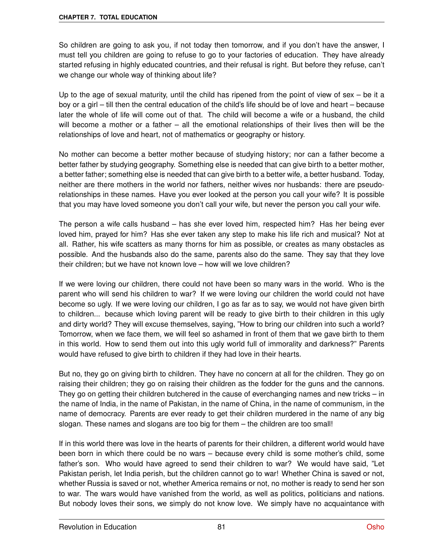So children are going to ask you, if not today then tomorrow, and if you don't have the answer, I must tell you children are going to refuse to go to your factories of education. They have already started refusing in highly educated countries, and their refusal is right. But before they refuse, can't we change our whole way of thinking about life?

Up to the age of sexual maturity, until the child has ripened from the point of view of sex – be it a boy or a girl – till then the central education of the child's life should be of love and heart – because later the whole of life will come out of that. The child will become a wife or a husband, the child will become a mother or a father – all the emotional relationships of their lives then will be the relationships of love and heart, not of mathematics or geography or history.

No mother can become a better mother because of studying history; nor can a father become a better father by studying geography. Something else is needed that can give birth to a better mother, a better father; something else is needed that can give birth to a better wife, a better husband. Today, neither are there mothers in the world nor fathers, neither wives nor husbands: there are pseudorelationships in these names. Have you ever looked at the person you call your wife? It is possible that you may have loved someone you don't call your wife, but never the person you call your wife.

The person a wife calls husband – has she ever loved him, respected him? Has her being ever loved him, prayed for him? Has she ever taken any step to make his life rich and musical? Not at all. Rather, his wife scatters as many thorns for him as possible, or creates as many obstacles as possible. And the husbands also do the same, parents also do the same. They say that they love their children; but we have not known love – how will we love children?

If we were loving our children, there could not have been so many wars in the world. Who is the parent who will send his children to war? If we were loving our children the world could not have become so ugly. If we were loving our children, I go as far as to say, we would not have given birth to children... because which loving parent will be ready to give birth to their children in this ugly and dirty world? They will excuse themselves, saying, "How to bring our children into such a world? Tomorrow, when we face them, we will feel so ashamed in front of them that we gave birth to them in this world. How to send them out into this ugly world full of immorality and darkness?" Parents would have refused to give birth to children if they had love in their hearts.

But no, they go on giving birth to children. They have no concern at all for the children. They go on raising their children; they go on raising their children as the fodder for the guns and the cannons. They go on getting their children butchered in the cause of everchanging names and new tricks – in the name of India, in the name of Pakistan, in the name of China, in the name of communism, in the name of democracy. Parents are ever ready to get their children murdered in the name of any big slogan. These names and slogans are too big for them – the children are too small!

If in this world there was love in the hearts of parents for their children, a different world would have been born in which there could be no wars – because every child is some mother's child, some father's son. Who would have agreed to send their children to war? We would have said, "Let Pakistan perish, let India perish, but the children cannot go to war! Whether China is saved or not, whether Russia is saved or not, whether America remains or not, no mother is ready to send her son to war. The wars would have vanished from the world, as well as politics, politicians and nations. But nobody loves their sons, we simply do not know love. We simply have no acquaintance with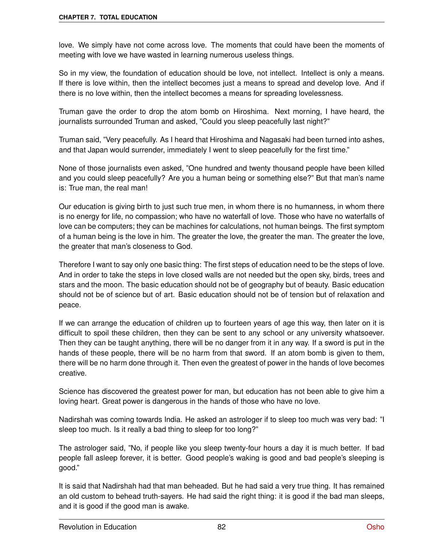love. We simply have not come across love. The moments that could have been the moments of meeting with love we have wasted in learning numerous useless things.

So in my view, the foundation of education should be love, not intellect. Intellect is only a means. If there is love within, then the intellect becomes just a means to spread and develop love. And if there is no love within, then the intellect becomes a means for spreading lovelessness.

Truman gave the order to drop the atom bomb on Hiroshima. Next morning, I have heard, the journalists surrounded Truman and asked, "Could you sleep peacefully last night?"

Truman said, "Very peacefully. As I heard that Hiroshima and Nagasaki had been turned into ashes, and that Japan would surrender, immediately I went to sleep peacefully for the first time."

None of those journalists even asked, "One hundred and twenty thousand people have been killed and you could sleep peacefully? Are you a human being or something else?" But that man's name is: True man, the real man!

Our education is giving birth to just such true men, in whom there is no humanness, in whom there is no energy for life, no compassion; who have no waterfall of love. Those who have no waterfalls of love can be computers; they can be machines for calculations, not human beings. The first symptom of a human being is the love in him. The greater the love, the greater the man. The greater the love, the greater that man's closeness to God.

Therefore I want to say only one basic thing: The first steps of education need to be the steps of love. And in order to take the steps in love closed walls are not needed but the open sky, birds, trees and stars and the moon. The basic education should not be of geography but of beauty. Basic education should not be of science but of art. Basic education should not be of tension but of relaxation and peace.

If we can arrange the education of children up to fourteen years of age this way, then later on it is difficult to spoil these children, then they can be sent to any school or any university whatsoever. Then they can be taught anything, there will be no danger from it in any way. If a sword is put in the hands of these people, there will be no harm from that sword. If an atom bomb is given to them, there will be no harm done through it. Then even the greatest of power in the hands of love becomes creative.

Science has discovered the greatest power for man, but education has not been able to give him a loving heart. Great power is dangerous in the hands of those who have no love.

Nadirshah was coming towards India. He asked an astrologer if to sleep too much was very bad: "I sleep too much. Is it really a bad thing to sleep for too long?"

The astrologer said, "No, if people like you sleep twenty-four hours a day it is much better. If bad people fall asleep forever, it is better. Good people's waking is good and bad people's sleeping is good."

It is said that Nadirshah had that man beheaded. But he had said a very true thing. It has remained an old custom to behead truth-sayers. He had said the right thing: it is good if the bad man sleeps, and it is good if the good man is awake.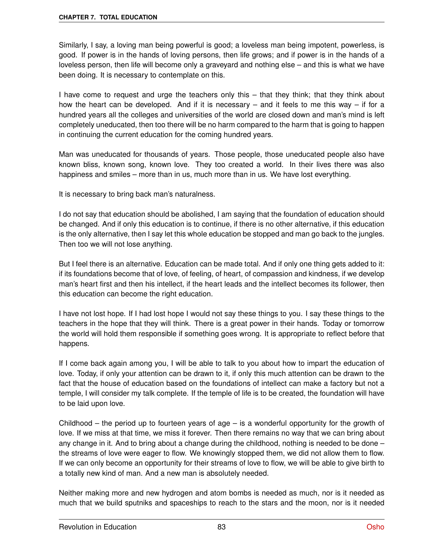Similarly, I say, a loving man being powerful is good; a loveless man being impotent, powerless, is good. If power is in the hands of loving persons, then life grows; and if power is in the hands of a loveless person, then life will become only a graveyard and nothing else – and this is what we have been doing. It is necessary to contemplate on this.

I have come to request and urge the teachers only this – that they think; that they think about how the heart can be developed. And if it is necessary  $-$  and it feels to me this way  $-$  if for a hundred years all the colleges and universities of the world are closed down and man's mind is left completely uneducated, then too there will be no harm compared to the harm that is going to happen in continuing the current education for the coming hundred years.

Man was uneducated for thousands of years. Those people, those uneducated people also have known bliss, known song, known love. They too created a world. In their lives there was also happiness and smiles – more than in us, much more than in us. We have lost everything.

It is necessary to bring back man's naturalness.

I do not say that education should be abolished, I am saying that the foundation of education should be changed. And if only this education is to continue, if there is no other alternative, if this education is the only alternative, then I say let this whole education be stopped and man go back to the jungles. Then too we will not lose anything.

But I feel there is an alternative. Education can be made total. And if only one thing gets added to it: if its foundations become that of love, of feeling, of heart, of compassion and kindness, if we develop man's heart first and then his intellect, if the heart leads and the intellect becomes its follower, then this education can become the right education.

I have not lost hope. If I had lost hope I would not say these things to you. I say these things to the teachers in the hope that they will think. There is a great power in their hands. Today or tomorrow the world will hold them responsible if something goes wrong. It is appropriate to reflect before that happens.

If I come back again among you, I will be able to talk to you about how to impart the education of love. Today, if only your attention can be drawn to it, if only this much attention can be drawn to the fact that the house of education based on the foundations of intellect can make a factory but not a temple, I will consider my talk complete. If the temple of life is to be created, the foundation will have to be laid upon love.

Childhood – the period up to fourteen years of age – is a wonderful opportunity for the growth of love. If we miss at that time, we miss it forever. Then there remains no way that we can bring about any change in it. And to bring about a change during the childhood, nothing is needed to be done – the streams of love were eager to flow. We knowingly stopped them, we did not allow them to flow. If we can only become an opportunity for their streams of love to flow, we will be able to give birth to a totally new kind of man. And a new man is absolutely needed.

Neither making more and new hydrogen and atom bombs is needed as much, nor is it needed as much that we build sputniks and spaceships to reach to the stars and the moon, nor is it needed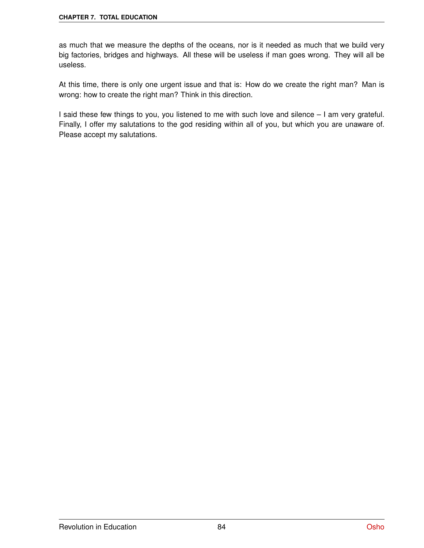as much that we measure the depths of the oceans, nor is it needed as much that we build very big factories, bridges and highways. All these will be useless if man goes wrong. They will all be useless.

At this time, there is only one urgent issue and that is: How do we create the right man? Man is wrong: how to create the right man? Think in this direction.

I said these few things to you, you listened to me with such love and silence – I am very grateful. Finally, I offer my salutations to the god residing within all of you, but which you are unaware of. Please accept my salutations.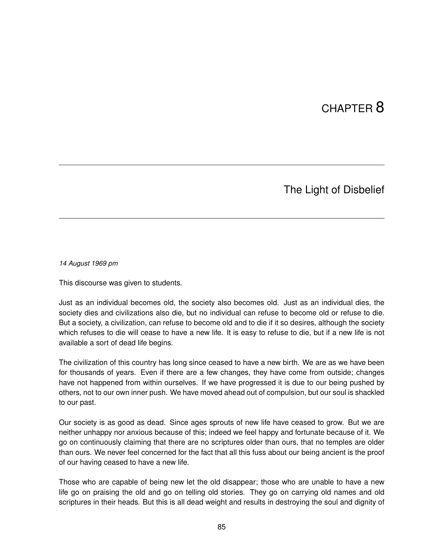## CHAPTER 8

### The Light of Disbelief

*14 August 1969 pm*

This discourse was given to students.

Just as an individual becomes old, the society also becomes old. Just as an individual dies, the society dies and civilizations also die, but no individual can refuse to become old or refuse to die. But a society, a civilization, can refuse to become old and to die if it so desires, although the society which refuses to die will cease to have a new life. It is easy to refuse to die, but if a new life is not available a sort of dead life begins.

The civilization of this country has long since ceased to have a new birth. We are as we have been for thousands of years. Even if there are a few changes, they have come from outside; changes have not happened from within ourselves. If we have progressed it is due to our being pushed by others, not to our own inner push. We have moved ahead out of compulsion, but our soul is shackled to our past.

Our society is as good as dead. Since ages sprouts of new life have ceased to grow. But we are neither unhappy nor anxious because of this; indeed we feel happy and fortunate because of it. We go on continuously claiming that there are no scriptures older than ours, that no temples are older than ours. We never feel concerned for the fact that all this fuss about our being ancient is the proof of our having ceased to have a new life.

Those who are capable of being new let the old disappear; those who are unable to have a new life go on praising the old and go on telling old stories. They go on carrying old names and old scriptures in their heads. But this is all dead weight and results in destroying the soul and dignity of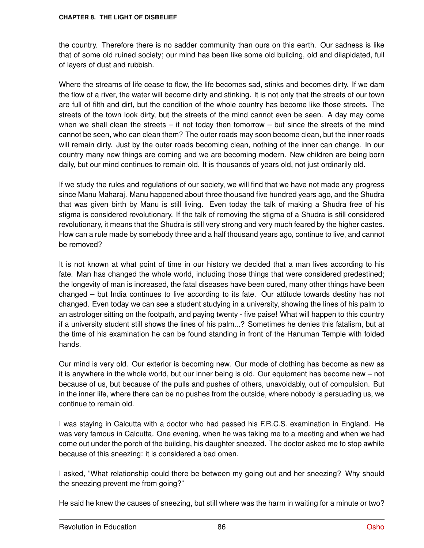the country. Therefore there is no sadder community than ours on this earth. Our sadness is like that of some old ruined society; our mind has been like some old building, old and dilapidated, full of layers of dust and rubbish.

Where the streams of life cease to flow, the life becomes sad, stinks and becomes dirty. If we dam the flow of a river, the water will become dirty and stinking. It is not only that the streets of our town are full of filth and dirt, but the condition of the whole country has become like those streets. The streets of the town look dirty, but the streets of the mind cannot even be seen. A day may come when we shall clean the streets – if not today then tomorrow – but since the streets of the mind cannot be seen, who can clean them? The outer roads may soon become clean, but the inner roads will remain dirty. Just by the outer roads becoming clean, nothing of the inner can change. In our country many new things are coming and we are becoming modern. New children are being born daily, but our mind continues to remain old. It is thousands of years old, not just ordinarily old.

If we study the rules and regulations of our society, we will find that we have not made any progress since Manu Maharaj. Manu happened about three thousand five hundred years ago, and the Shudra that was given birth by Manu is still living. Even today the talk of making a Shudra free of his stigma is considered revolutionary. If the talk of removing the stigma of a Shudra is still considered revolutionary, it means that the Shudra is still very strong and very much feared by the higher castes. How can a rule made by somebody three and a half thousand years ago, continue to live, and cannot be removed?

It is not known at what point of time in our history we decided that a man lives according to his fate. Man has changed the whole world, including those things that were considered predestined; the longevity of man is increased, the fatal diseases have been cured, many other things have been changed – but India continues to live according to its fate. Our attitude towards destiny has not changed. Even today we can see a student studying in a university, showing the lines of his palm to an astrologer sitting on the footpath, and paying twenty - five paise! What will happen to this country if a university student still shows the lines of his palm...? Sometimes he denies this fatalism, but at the time of his examination he can be found standing in front of the Hanuman Temple with folded hands.

Our mind is very old. Our exterior is becoming new. Our mode of clothing has become as new as it is anywhere in the whole world, but our inner being is old. Our equipment has become new – not because of us, but because of the pulls and pushes of others, unavoidably, out of compulsion. But in the inner life, where there can be no pushes from the outside, where nobody is persuading us, we continue to remain old.

I was staying in Calcutta with a doctor who had passed his F.R.C.S. examination in England. He was very famous in Calcutta. One evening, when he was taking me to a meeting and when we had come out under the porch of the building, his daughter sneezed. The doctor asked me to stop awhile because of this sneezing: it is considered a bad omen.

I asked, "What relationship could there be between my going out and her sneezing? Why should the sneezing prevent me from going?"

He said he knew the causes of sneezing, but still where was the harm in waiting for a minute or two?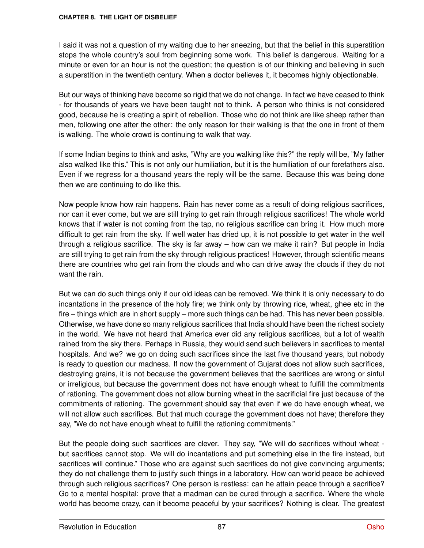I said it was not a question of my waiting due to her sneezing, but that the belief in this superstition stops the whole country's soul from beginning some work. This belief is dangerous. Waiting for a minute or even for an hour is not the question; the question is of our thinking and believing in such a superstition in the twentieth century. When a doctor believes it, it becomes highly objectionable.

But our ways of thinking have become so rigid that we do not change. In fact we have ceased to think - for thousands of years we have been taught not to think. A person who thinks is not considered good, because he is creating a spirit of rebellion. Those who do not think are like sheep rather than men, following one after the other: the only reason for their walking is that the one in front of them is walking. The whole crowd is continuing to walk that way.

If some Indian begins to think and asks, "Why are you walking like this?" the reply will be, "My father also walked like this." This is not only our humiliation, but it is the humiliation of our forefathers also. Even if we regress for a thousand years the reply will be the same. Because this was being done then we are continuing to do like this.

Now people know how rain happens. Rain has never come as a result of doing religious sacrifices, nor can it ever come, but we are still trying to get rain through religious sacrifices! The whole world knows that if water is not coming from the tap, no religious sacrifice can bring it. How much more difficult to get rain from the sky. If well water has dried up, it is not possible to get water in the well through a religious sacrifice. The sky is far away – how can we make it rain? But people in India are still trying to get rain from the sky through religious practices! However, through scientific means there are countries who get rain from the clouds and who can drive away the clouds if they do not want the rain.

But we can do such things only if our old ideas can be removed. We think it is only necessary to do incantations in the presence of the holy fire; we think only by throwing rice, wheat, ghee etc in the fire – things which are in short supply – more such things can be had. This has never been possible. Otherwise, we have done so many religious sacrifices that India should have been the richest society in the world. We have not heard that America ever did any religious sacrifices, but a lot of wealth rained from the sky there. Perhaps in Russia, they would send such believers in sacrifices to mental hospitals. And we? we go on doing such sacrifices since the last five thousand years, but nobody is ready to question our madness. If now the government of Gujarat does not allow such sacrifices, destroying grains, it is not because the government believes that the sacrifices are wrong or sinful or irreligious, but because the government does not have enough wheat to fulfill the commitments of rationing. The government does not allow burning wheat in the sacrificial fire just because of the commitments of rationing. The government should say that even if we do have enough wheat, we will not allow such sacrifices. But that much courage the government does not have; therefore they say, "We do not have enough wheat to fulfill the rationing commitments."

But the people doing such sacrifices are clever. They say, "We will do sacrifices without wheat but sacrifices cannot stop. We will do incantations and put something else in the fire instead, but sacrifices will continue." Those who are against such sacrifices do not give convincing arguments; they do not challenge them to justify such things in a laboratory. How can world peace be achieved through such religious sacrifices? One person is restless: can he attain peace through a sacrifice? Go to a mental hospital: prove that a madman can be cured through a sacrifice. Where the whole world has become crazy, can it become peaceful by your sacrifices? Nothing is clear. The greatest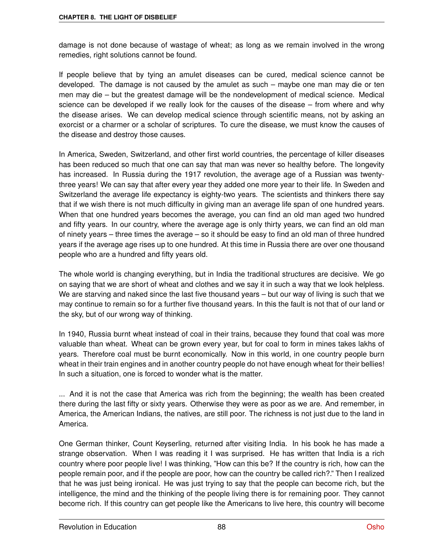damage is not done because of wastage of wheat; as long as we remain involved in the wrong remedies, right solutions cannot be found.

If people believe that by tying an amulet diseases can be cured, medical science cannot be developed. The damage is not caused by the amulet as such – maybe one man may die or ten men may die – but the greatest damage will be the nondevelopment of medical science. Medical science can be developed if we really look for the causes of the disease – from where and why the disease arises. We can develop medical science through scientific means, not by asking an exorcist or a charmer or a scholar of scriptures. To cure the disease, we must know the causes of the disease and destroy those causes.

In America, Sweden, Switzerland, and other first world countries, the percentage of killer diseases has been reduced so much that one can say that man was never so healthy before. The longevity has increased. In Russia during the 1917 revolution, the average age of a Russian was twentythree years! We can say that after every year they added one more year to their life. In Sweden and Switzerland the average life expectancy is eighty-two years. The scientists and thinkers there say that if we wish there is not much difficulty in giving man an average life span of one hundred years. When that one hundred years becomes the average, you can find an old man aged two hundred and fifty years. In our country, where the average age is only thirty years, we can find an old man of ninety years – three times the average – so it should be easy to find an old man of three hundred years if the average age rises up to one hundred. At this time in Russia there are over one thousand people who are a hundred and fifty years old.

The whole world is changing everything, but in India the traditional structures are decisive. We go on saying that we are short of wheat and clothes and we say it in such a way that we look helpless. We are starving and naked since the last five thousand years – but our way of living is such that we may continue to remain so for a further five thousand years. In this the fault is not that of our land or the sky, but of our wrong way of thinking.

In 1940, Russia burnt wheat instead of coal in their trains, because they found that coal was more valuable than wheat. Wheat can be grown every year, but for coal to form in mines takes lakhs of years. Therefore coal must be burnt economically. Now in this world, in one country people burn wheat in their train engines and in another country people do not have enough wheat for their bellies! In such a situation, one is forced to wonder what is the matter.

... And it is not the case that America was rich from the beginning; the wealth has been created there during the last fifty or sixty years. Otherwise they were as poor as we are. And remember, in America, the American Indians, the natives, are still poor. The richness is not just due to the land in America.

One German thinker, Count Keyserling, returned after visiting India. In his book he has made a strange observation. When I was reading it I was surprised. He has written that India is a rich country where poor people live! I was thinking, "How can this be? If the country is rich, how can the people remain poor, and if the people are poor, how can the country be called rich?." Then I realized that he was just being ironical. He was just trying to say that the people can become rich, but the intelligence, the mind and the thinking of the people living there is for remaining poor. They cannot become rich. If this country can get people like the Americans to live here, this country will become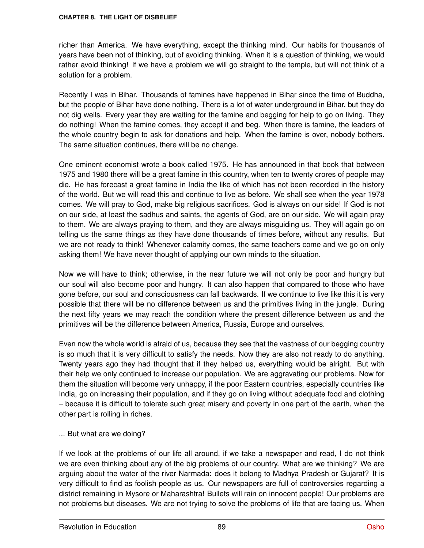richer than America. We have everything, except the thinking mind. Our habits for thousands of years have been not of thinking, but of avoiding thinking. When it is a question of thinking, we would rather avoid thinking! If we have a problem we will go straight to the temple, but will not think of a solution for a problem.

Recently I was in Bihar. Thousands of famines have happened in Bihar since the time of Buddha, but the people of Bihar have done nothing. There is a lot of water underground in Bihar, but they do not dig wells. Every year they are waiting for the famine and begging for help to go on living. They do nothing! When the famine comes, they accept it and beg. When there is famine, the leaders of the whole country begin to ask for donations and help. When the famine is over, nobody bothers. The same situation continues, there will be no change.

One eminent economist wrote a book called 1975. He has announced in that book that between 1975 and 1980 there will be a great famine in this country, when ten to twenty crores of people may die. He has forecast a great famine in India the like of which has not been recorded in the history of the world. But we will read this and continue to live as before. We shall see when the year 1978 comes. We will pray to God, make big religious sacrifices. God is always on our side! If God is not on our side, at least the sadhus and saints, the agents of God, are on our side. We will again pray to them. We are always praying to them, and they are always misguiding us. They will again go on telling us the same things as they have done thousands of times before, without any results. But we are not ready to think! Whenever calamity comes, the same teachers come and we go on only asking them! We have never thought of applying our own minds to the situation.

Now we will have to think; otherwise, in the near future we will not only be poor and hungry but our soul will also become poor and hungry. It can also happen that compared to those who have gone before, our soul and consciousness can fall backwards. If we continue to live like this it is very possible that there will be no difference between us and the primitives living in the jungle. During the next fifty years we may reach the condition where the present difference between us and the primitives will be the difference between America, Russia, Europe and ourselves.

Even now the whole world is afraid of us, because they see that the vastness of our begging country is so much that it is very difficult to satisfy the needs. Now they are also not ready to do anything. Twenty years ago they had thought that if they helped us, everything would be alright. But with their help we only continued to increase our population. We are aggravating our problems. Now for them the situation will become very unhappy, if the poor Eastern countries, especially countries like India, go on increasing their population, and if they go on living without adequate food and clothing – because it is difficult to tolerate such great misery and poverty in one part of the earth, when the other part is rolling in riches.

... But what are we doing?

If we look at the problems of our life all around, if we take a newspaper and read, I do not think we are even thinking about any of the big problems of our country. What are we thinking? We are arguing about the water of the river Narmada: does it belong to Madhya Pradesh or Gujarat? It is very difficult to find as foolish people as us. Our newspapers are full of controversies regarding a district remaining in Mysore or Maharashtra! Bullets will rain on innocent people! Our problems are not problems but diseases. We are not trying to solve the problems of life that are facing us. When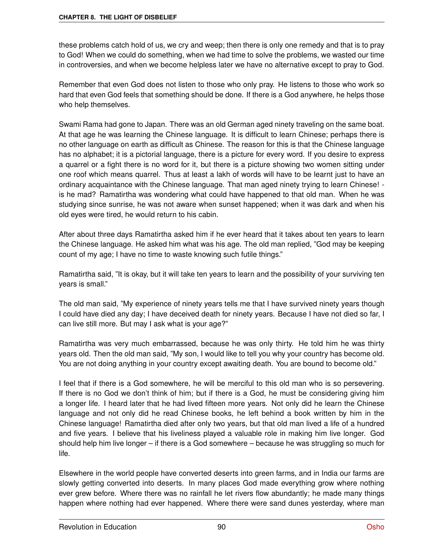these problems catch hold of us, we cry and weep; then there is only one remedy and that is to pray to God! When we could do something, when we had time to solve the problems, we wasted our time in controversies, and when we become helpless later we have no alternative except to pray to God.

Remember that even God does not listen to those who only pray. He listens to those who work so hard that even God feels that something should be done. If there is a God anywhere, he helps those who help themselves.

Swami Rama had gone to Japan. There was an old German aged ninety traveling on the same boat. At that age he was learning the Chinese language. It is difficult to learn Chinese; perhaps there is no other language on earth as difficult as Chinese. The reason for this is that the Chinese language has no alphabet; it is a pictorial language, there is a picture for every word. If you desire to express a quarrel or a fight there is no word for it, but there is a picture showing two women sitting under one roof which means quarrel. Thus at least a lakh of words will have to be learnt just to have an ordinary acquaintance with the Chinese language. That man aged ninety trying to learn Chinese! is he mad? Ramatirtha was wondering what could have happened to that old man. When he was studying since sunrise, he was not aware when sunset happened; when it was dark and when his old eyes were tired, he would return to his cabin.

After about three days Ramatirtha asked him if he ever heard that it takes about ten years to learn the Chinese language. He asked him what was his age. The old man replied, "God may be keeping count of my age; I have no time to waste knowing such futile things."

Ramatirtha said, "It is okay, but it will take ten years to learn and the possibility of your surviving ten years is small."

The old man said, "My experience of ninety years tells me that I have survived ninety years though I could have died any day; I have deceived death for ninety years. Because I have not died so far, I can live still more. But may I ask what is your age?"

Ramatirtha was very much embarrassed, because he was only thirty. He told him he was thirty years old. Then the old man said, "My son, I would like to tell you why your country has become old. You are not doing anything in your country except awaiting death. You are bound to become old."

I feel that if there is a God somewhere, he will be merciful to this old man who is so persevering. If there is no God we don't think of him; but if there is a God, he must be considering giving him a longer life. I heard later that he had lived fifteen more years. Not only did he learn the Chinese language and not only did he read Chinese books, he left behind a book written by him in the Chinese language! Ramatirtha died after only two years, but that old man lived a life of a hundred and five years. I believe that his liveliness played a valuable role in making him live longer. God should help him live longer – if there is a God somewhere – because he was struggling so much for life.

Elsewhere in the world people have converted deserts into green farms, and in India our farms are slowly getting converted into deserts. In many places God made everything grow where nothing ever grew before. Where there was no rainfall he let rivers flow abundantly; he made many things happen where nothing had ever happened. Where there were sand dunes yesterday, where man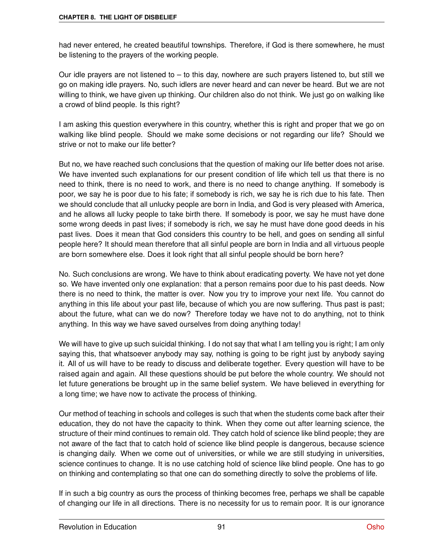had never entered, he created beautiful townships. Therefore, if God is there somewhere, he must be listening to the prayers of the working people.

Our idle prayers are not listened to – to this day, nowhere are such prayers listened to, but still we go on making idle prayers. No, such idlers are never heard and can never be heard. But we are not willing to think, we have given up thinking. Our children also do not think. We just go on walking like a crowd of blind people. Is this right?

I am asking this question everywhere in this country, whether this is right and proper that we go on walking like blind people. Should we make some decisions or not regarding our life? Should we strive or not to make our life better?

But no, we have reached such conclusions that the question of making our life better does not arise. We have invented such explanations for our present condition of life which tell us that there is no need to think, there is no need to work, and there is no need to change anything. If somebody is poor, we say he is poor due to his fate; if somebody is rich, we say he is rich due to his fate. Then we should conclude that all unlucky people are born in India, and God is very pleased with America, and he allows all lucky people to take birth there. If somebody is poor, we say he must have done some wrong deeds in past lives; if somebody is rich, we say he must have done good deeds in his past lives. Does it mean that God considers this country to be hell, and goes on sending all sinful people here? It should mean therefore that all sinful people are born in India and all virtuous people are born somewhere else. Does it look right that all sinful people should be born here?

No. Such conclusions are wrong. We have to think about eradicating poverty. We have not yet done so. We have invented only one explanation: that a person remains poor due to his past deeds. Now there is no need to think, the matter is over. Now you try to improve your next life. You cannot do anything in this life about your past life, because of which you are now suffering. Thus past is past; about the future, what can we do now? Therefore today we have not to do anything, not to think anything. In this way we have saved ourselves from doing anything today!

We will have to give up such suicidal thinking. I do not say that what I am telling you is right; I am only saying this, that whatsoever anybody may say, nothing is going to be right just by anybody saying it. All of us will have to be ready to discuss and deliberate together. Every question will have to be raised again and again. All these questions should be put before the whole country. We should not let future generations be brought up in the same belief system. We have believed in everything for a long time; we have now to activate the process of thinking.

Our method of teaching in schools and colleges is such that when the students come back after their education, they do not have the capacity to think. When they come out after learning science, the structure of their mind continues to remain old. They catch hold of science like blind people; they are not aware of the fact that to catch hold of science like blind people is dangerous, because science is changing daily. When we come out of universities, or while we are still studying in universities, science continues to change. It is no use catching hold of science like blind people. One has to go on thinking and contemplating so that one can do something directly to solve the problems of life.

If in such a big country as ours the process of thinking becomes free, perhaps we shall be capable of changing our life in all directions. There is no necessity for us to remain poor. It is our ignorance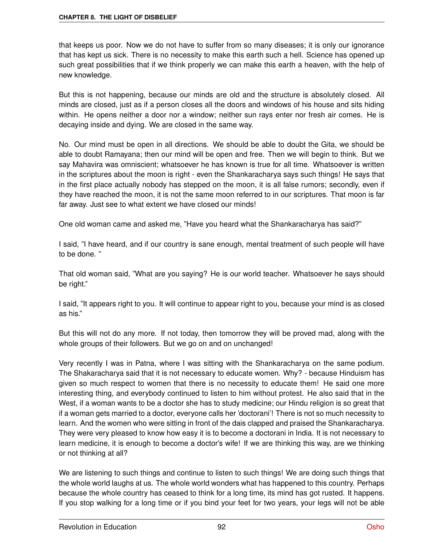that keeps us poor. Now we do not have to suffer from so many diseases; it is only our ignorance that has kept us sick. There is no necessity to make this earth such a hell. Science has opened up such great possibilities that if we think properly we can make this earth a heaven, with the help of new knowledge.

But this is not happening, because our minds are old and the structure is absolutely closed. All minds are closed, just as if a person closes all the doors and windows of his house and sits hiding within. He opens neither a door nor a window; neither sun rays enter nor fresh air comes. He is decaying inside and dying. We are closed in the same way.

No. Our mind must be open in all directions. We should be able to doubt the Gita, we should be able to doubt Ramayana; then our mind will be open and free. Then we will begin to think. But we say Mahavira was omniscient; whatsoever he has known is true for all time. Whatsoever is written in the scriptures about the moon is right - even the Shankaracharya says such things! He says that in the first place actually nobody has stepped on the moon, it is all false rumors; secondly, even if they have reached the moon, it is not the same moon referred to in our scriptures. That moon is far far away. Just see to what extent we have closed our minds!

One old woman came and asked me, "Have you heard what the Shankaracharya has said?"

I said, "I have heard, and if our country is sane enough, mental treatment of such people will have to be done. "

That old woman said, "What are you saying? He is our world teacher. Whatsoever he says should be right."

I said, "It appears right to you. It will continue to appear right to you, because your mind is as closed as his."

But this will not do any more. If not today, then tomorrow they will be proved mad, along with the whole groups of their followers. But we go on and on unchanged!

Very recently I was in Patna, where I was sitting with the Shankaracharya on the same podium. The Shakaracharya said that it is not necessary to educate women. Why? - because Hinduism has given so much respect to women that there is no necessity to educate them! He said one more interesting thing, and everybody continued to listen to him without protest. He also said that in the West, if a woman wants to be a doctor she has to study medicine; our Hindu religion is so great that if a woman gets married to a doctor, everyone calls her 'doctorani'! There is not so much necessity to learn. And the women who were sitting in front of the dais clapped and praised the Shankaracharya. They were very pleased to know how easy it is to become a doctorani in India. It is not necessary to learn medicine, it is enough to become a doctor's wife! If we are thinking this way, are we thinking or not thinking at all?

We are listening to such things and continue to listen to such things! We are doing such things that the whole world laughs at us. The whole world wonders what has happened to this country. Perhaps because the whole country has ceased to think for a long time, its mind has got rusted. It happens. If you stop walking for a long time or if you bind your feet for two years, your legs will not be able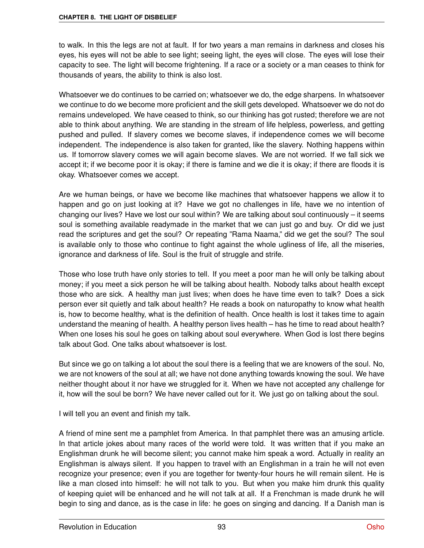to walk. In this the legs are not at fault. If for two years a man remains in darkness and closes his eyes, his eyes will not be able to see light; seeing light, the eyes will close. The eyes will lose their capacity to see. The light will become frightening. If a race or a society or a man ceases to think for thousands of years, the ability to think is also lost.

Whatsoever we do continues to be carried on; whatsoever we do, the edge sharpens. In whatsoever we continue to do we become more proficient and the skill gets developed. Whatsoever we do not do remains undeveloped. We have ceased to think, so our thinking has got rusted; therefore we are not able to think about anything. We are standing in the stream of life helpless, powerless, and getting pushed and pulled. If slavery comes we become slaves, if independence comes we will become independent. The independence is also taken for granted, like the slavery. Nothing happens within us. If tomorrow slavery comes we will again become slaves. We are not worried. If we fall sick we accept it; if we become poor it is okay; if there is famine and we die it is okay; if there are floods it is okay. Whatsoever comes we accept.

Are we human beings, or have we become like machines that whatsoever happens we allow it to happen and go on just looking at it? Have we got no challenges in life, have we no intention of changing our lives? Have we lost our soul within? We are talking about soul continuously – it seems soul is something available readymade in the market that we can just go and buy. Or did we just read the scriptures and get the soul? Or repeating "Rama Naama," did we get the soul? The soul is available only to those who continue to fight against the whole ugliness of life, all the miseries, ignorance and darkness of life. Soul is the fruit of struggle and strife.

Those who lose truth have only stories to tell. If you meet a poor man he will only be talking about money; if you meet a sick person he will be talking about health. Nobody talks about health except those who are sick. A healthy man just lives; when does he have time even to talk? Does a sick person ever sit quietly and talk about health? He reads a book on naturopathy to know what health is, how to become healthy, what is the definition of health. Once health is lost it takes time to again understand the meaning of health. A healthy person lives health – has he time to read about health? When one loses his soul he goes on talking about soul everywhere. When God is lost there begins talk about God. One talks about whatsoever is lost.

But since we go on talking a lot about the soul there is a feeling that we are knowers of the soul. No, we are not knowers of the soul at all; we have not done anything towards knowing the soul. We have neither thought about it nor have we struggled for it. When we have not accepted any challenge for it, how will the soul be born? We have never called out for it. We just go on talking about the soul.

I will tell you an event and finish my talk.

A friend of mine sent me a pamphlet from America. In that pamphlet there was an amusing article. In that article jokes about many races of the world were told. It was written that if you make an Englishman drunk he will become silent; you cannot make him speak a word. Actually in reality an Englishman is always silent. If you happen to travel with an Englishman in a train he will not even recognize your presence; even if you are together for twenty-four hours he will remain silent. He is like a man closed into himself: he will not talk to you. But when you make him drunk this quality of keeping quiet will be enhanced and he will not talk at all. If a Frenchman is made drunk he will begin to sing and dance, as is the case in life: he goes on singing and dancing. If a Danish man is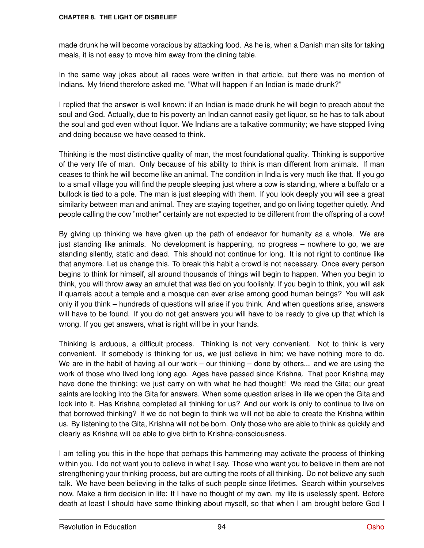made drunk he will become voracious by attacking food. As he is, when a Danish man sits for taking meals, it is not easy to move him away from the dining table.

In the same way jokes about all races were written in that article, but there was no mention of Indians. My friend therefore asked me, "What will happen if an Indian is made drunk?"

I replied that the answer is well known: if an Indian is made drunk he will begin to preach about the soul and God. Actually, due to his poverty an Indian cannot easily get liquor, so he has to talk about the soul and god even without liquor. We Indians are a talkative community; we have stopped living and doing because we have ceased to think.

Thinking is the most distinctive quality of man, the most foundational quality. Thinking is supportive of the very life of man. Only because of his ability to think is man different from animals. If man ceases to think he will become like an animal. The condition in India is very much like that. If you go to a small village you will find the people sleeping just where a cow is standing, where a buffalo or a bullock is tied to a pole. The man is just sleeping with them. If you look deeply you will see a great similarity between man and animal. They are staying together, and go on living together quietly. And people calling the cow "mother" certainly are not expected to be different from the offspring of a cow!

By giving up thinking we have given up the path of endeavor for humanity as a whole. We are just standing like animals. No development is happening, no progress – nowhere to go, we are standing silently, static and dead. This should not continue for long. It is not right to continue like that anymore. Let us change this. To break this habit a crowd is not necessary. Once every person begins to think for himself, all around thousands of things will begin to happen. When you begin to think, you will throw away an amulet that was tied on you foolishly. If you begin to think, you will ask if quarrels about a temple and a mosque can ever arise among good human beings? You will ask only if you think – hundreds of questions will arise if you think. And when questions arise, answers will have to be found. If you do not get answers you will have to be ready to give up that which is wrong. If you get answers, what is right will be in your hands.

Thinking is arduous, a difficult process. Thinking is not very convenient. Not to think is very convenient. If somebody is thinking for us, we just believe in him; we have nothing more to do. We are in the habit of having all our work – our thinking – done by others... and we are using the work of those who lived long long ago. Ages have passed since Krishna. That poor Krishna may have done the thinking; we just carry on with what he had thought! We read the Gita; our great saints are looking into the Gita for answers. When some question arises in life we open the Gita and look into it. Has Krishna completed all thinking for us? And our work is only to continue to live on that borrowed thinking? If we do not begin to think we will not be able to create the Krishna within us. By listening to the Gita, Krishna will not be born. Only those who are able to think as quickly and clearly as Krishna will be able to give birth to Krishna-consciousness.

I am telling you this in the hope that perhaps this hammering may activate the process of thinking within you. I do not want you to believe in what I say. Those who want you to believe in them are not strengthening your thinking process, but are cutting the roots of all thinking. Do not believe any such talk. We have been believing in the talks of such people since lifetimes. Search within yourselves now. Make a firm decision in life: If I have no thought of my own, my life is uselessly spent. Before death at least I should have some thinking about myself, so that when I am brought before God I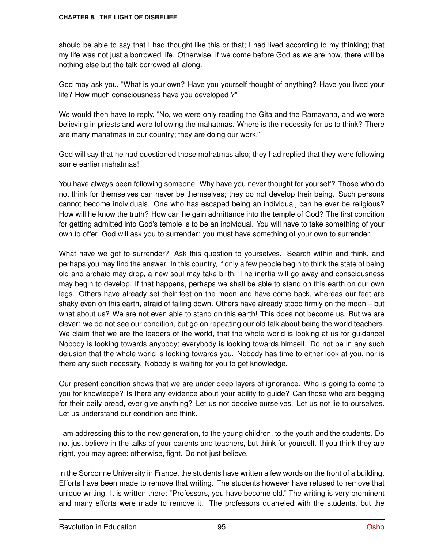should be able to say that I had thought like this or that; I had lived according to my thinking; that my life was not just a borrowed life. Otherwise, if we come before God as we are now, there will be nothing else but the talk borrowed all along.

God may ask you, "What is your own? Have you yourself thought of anything? Have you lived your life? How much consciousness have you developed ?"

We would then have to reply, "No, we were only reading the Gita and the Ramayana, and we were believing in priests and were following the mahatmas. Where is the necessity for us to think? There are many mahatmas in our country; they are doing our work."

God will say that he had questioned those mahatmas also; they had replied that they were following some earlier mahatmas!

You have always been following someone. Why have you never thought for yourself? Those who do not think for themselves can never be themselves; they do not develop their being. Such persons cannot become individuals. One who has escaped being an individual, can he ever be religious? How will he know the truth? How can he gain admittance into the temple of God? The first condition for getting admitted into God's temple is to be an individual. You will have to take something of your own to offer. God will ask you to surrender: you must have something of your own to surrender.

What have we got to surrender? Ask this question to yourselves. Search within and think, and perhaps you may find the answer. In this country, if only a few people begin to think the state of being old and archaic may drop, a new soul may take birth. The inertia will go away and consciousness may begin to develop. If that happens, perhaps we shall be able to stand on this earth on our own legs. Others have already set their feet on the moon and have come back, whereas our feet are shaky even on this earth, afraid of falling down. Others have already stood firmly on the moon – but what about us? We are not even able to stand on this earth! This does not become us. But we are clever: we do not see our condition, but go on repeating our old talk about being the world teachers. We claim that we are the leaders of the world, that the whole world is looking at us for guidance! Nobody is looking towards anybody; everybody is looking towards himself. Do not be in any such delusion that the whole world is looking towards you. Nobody has time to either look at you, nor is there any such necessity. Nobody is waiting for you to get knowledge.

Our present condition shows that we are under deep layers of ignorance. Who is going to come to you for knowledge? Is there any evidence about your ability to guide? Can those who are begging for their daily bread, ever give anything? Let us not deceive ourselves. Let us not lie to ourselves. Let us understand our condition and think.

I am addressing this to the new generation, to the young children, to the youth and the students. Do not just believe in the talks of your parents and teachers, but think for yourself. If you think they are right, you may agree; otherwise, fight. Do not just believe.

In the Sorbonne University in France, the students have written a few words on the front of a building. Efforts have been made to remove that writing. The students however have refused to remove that unique writing. It is written there: "Professors, you have become old." The writing is very prominent and many efforts were made to remove it. The professors quarreled with the students, but the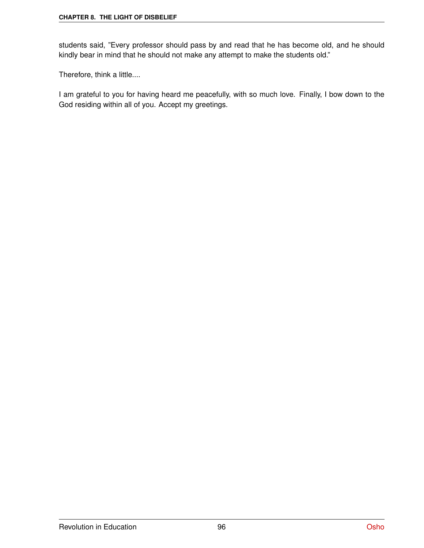students said, "Every professor should pass by and read that he has become old, and he should kindly bear in mind that he should not make any attempt to make the students old."

Therefore, think a little....

I am grateful to you for having heard me peacefully, with so much love. Finally, I bow down to the God residing within all of you. Accept my greetings.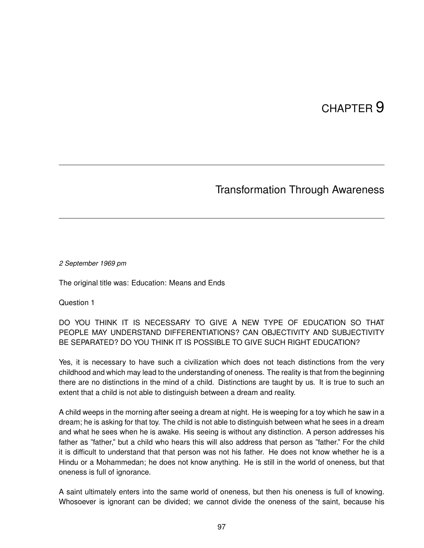# CHAPTER<sup>9</sup>

## Transformation Through Awareness

#### *2 September 1969 pm*

The original title was: Education: Means and Ends

Question 1

DO YOU THINK IT IS NECESSARY TO GIVE A NEW TYPE OF EDUCATION SO THAT PEOPLE MAY UNDERSTAND DIFFERENTIATIONS? CAN OBJECTIVITY AND SUBJECTIVITY BE SEPARATED? DO YOU THINK IT IS POSSIBLE TO GIVE SUCH RIGHT EDUCATION?

Yes, it is necessary to have such a civilization which does not teach distinctions from the very childhood and which may lead to the understanding of oneness. The reality is that from the beginning there are no distinctions in the mind of a child. Distinctions are taught by us. It is true to such an extent that a child is not able to distinguish between a dream and reality.

A child weeps in the morning after seeing a dream at night. He is weeping for a toy which he saw in a dream; he is asking for that toy. The child is not able to distinguish between what he sees in a dream and what he sees when he is awake. His seeing is without any distinction. A person addresses his father as "father," but a child who hears this will also address that person as "father." For the child it is difficult to understand that that person was not his father. He does not know whether he is a Hindu or a Mohammedan; he does not know anything. He is still in the world of oneness, but that oneness is full of ignorance.

A saint ultimately enters into the same world of oneness, but then his oneness is full of knowing. Whosoever is ignorant can be divided; we cannot divide the oneness of the saint, because his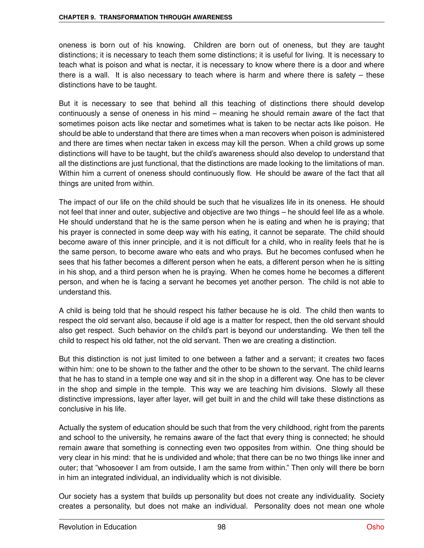oneness is born out of his knowing. Children are born out of oneness, but they are taught distinctions; it is necessary to teach them some distinctions; it is useful for living. It is necessary to teach what is poison and what is nectar, it is necessary to know where there is a door and where there is a wall. It is also necessary to teach where is harm and where there is safety – these distinctions have to be taught.

But it is necessary to see that behind all this teaching of distinctions there should develop continuously a sense of oneness in his mind – meaning he should remain aware of the fact that sometimes poison acts like nectar and sometimes what is taken to be nectar acts like poison. He should be able to understand that there are times when a man recovers when poison is administered and there are times when nectar taken in excess may kill the person. When a child grows up some distinctions will have to be taught, but the child's awareness should also develop to understand that all the distinctions are just functional, that the distinctions are made looking to the limitations of man. Within him a current of oneness should continuously flow. He should be aware of the fact that all things are united from within.

The impact of our life on the child should be such that he visualizes life in its oneness. He should not feel that inner and outer, subjective and objective are two things – he should feel life as a whole. He should understand that he is the same person when he is eating and when he is praying; that his prayer is connected in some deep way with his eating, it cannot be separate. The child should become aware of this inner principle, and it is not difficult for a child, who in reality feels that he is the same person, to become aware who eats and who prays. But he becomes confused when he sees that his father becomes a different person when he eats, a different person when he is sitting in his shop, and a third person when he is praying. When he comes home he becomes a different person, and when he is facing a servant he becomes yet another person. The child is not able to understand this.

A child is being told that he should respect his father because he is old. The child then wants to respect the old servant also, because if old age is a matter for respect, then the old servant should also get respect. Such behavior on the child's part is beyond our understanding. We then tell the child to respect his old father, not the old servant. Then we are creating a distinction.

But this distinction is not just limited to one between a father and a servant; it creates two faces within him: one to be shown to the father and the other to be shown to the servant. The child learns that he has to stand in a temple one way and sit in the shop in a different way. One has to be clever in the shop and simple in the temple. This way we are teaching him divisions. Slowly all these distinctive impressions, layer after layer, will get built in and the child will take these distinctions as conclusive in his life.

Actually the system of education should be such that from the very childhood, right from the parents and school to the university, he remains aware of the fact that every thing is connected; he should remain aware that something is connecting even two opposites from within. One thing should be very clear in his mind: that he is undivided and whole; that there can be no two things like inner and outer; that "whosoever I am from outside, I am the same from within." Then only will there be born in him an integrated individual, an individuality which is not divisible.

Our society has a system that builds up personality but does not create any individuality. Society creates a personality, but does not make an individual. Personality does not mean one whole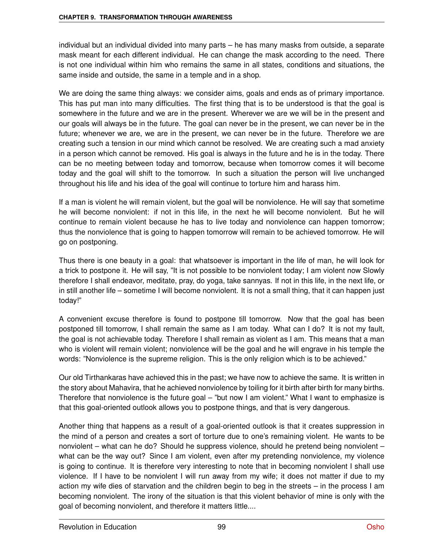individual but an individual divided into many parts – he has many masks from outside, a separate mask meant for each different individual. He can change the mask according to the need. There is not one individual within him who remains the same in all states, conditions and situations, the same inside and outside, the same in a temple and in a shop.

We are doing the same thing always: we consider aims, goals and ends as of primary importance. This has put man into many difficulties. The first thing that is to be understood is that the goal is somewhere in the future and we are in the present. Wherever we are we will be in the present and our goals will always be in the future. The goal can never be in the present, we can never be in the future; whenever we are, we are in the present, we can never be in the future. Therefore we are creating such a tension in our mind which cannot be resolved. We are creating such a mad anxiety in a person which cannot be removed. His goal is always in the future and he is in the today. There can be no meeting between today and tomorrow, because when tomorrow comes it will become today and the goal will shift to the tomorrow. In such a situation the person will live unchanged throughout his life and his idea of the goal will continue to torture him and harass him.

If a man is violent he will remain violent, but the goal will be nonviolence. He will say that sometime he will become nonviolent: if not in this life, in the next he will become nonviolent. But he will continue to remain violent because he has to live today and nonviolence can happen tomorrow; thus the nonviolence that is going to happen tomorrow will remain to be achieved tomorrow. He will go on postponing.

Thus there is one beauty in a goal: that whatsoever is important in the life of man, he will look for a trick to postpone it. He will say, "It is not possible to be nonviolent today; I am violent now Slowly therefore I shall endeavor, meditate, pray, do yoga, take sannyas. If not in this life, in the next life, or in still another life – sometime I will become nonviolent. It is not a small thing, that it can happen just today!"

A convenient excuse therefore is found to postpone till tomorrow. Now that the goal has been postponed till tomorrow, I shall remain the same as I am today. What can I do? It is not my fault, the goal is not achievable today. Therefore I shall remain as violent as I am. This means that a man who is violent will remain violent; nonviolence will be the goal and he will engrave in his temple the words: "Nonviolence is the supreme religion. This is the only religion which is to be achieved."

Our old Tirthankaras have achieved this in the past; we have now to achieve the same. It is written in the story about Mahavira, that he achieved nonviolence by toiling for it birth after birth for many births. Therefore that nonviolence is the future goal – "but now I am violent." What I want to emphasize is that this goal-oriented outlook allows you to postpone things, and that is very dangerous.

Another thing that happens as a result of a goal-oriented outlook is that it creates suppression in the mind of a person and creates a sort of torture due to one's remaining violent. He wants to be nonviolent – what can he do? Should he suppress violence, should he pretend being nonviolent – what can be the way out? Since I am violent, even after my pretending nonviolence, my violence is going to continue. It is therefore very interesting to note that in becoming nonviolent I shall use violence. If I have to be nonviolent I will run away from my wife; it does not matter if due to my action my wife dies of starvation and the children begin to beg in the streets – in the process I am becoming nonviolent. The irony of the situation is that this violent behavior of mine is only with the goal of becoming nonviolent, and therefore it matters little....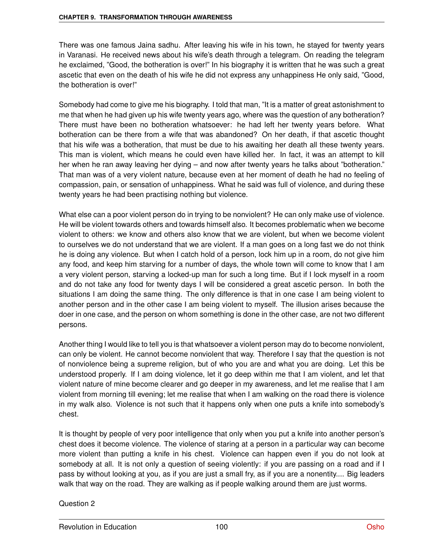There was one famous Jaina sadhu. After leaving his wife in his town, he stayed for twenty years in Varanasi. He received news about his wife's death through a telegram. On reading the telegram he exclaimed, "Good, the botheration is over!" In his biography it is written that he was such a great ascetic that even on the death of his wife he did not express any unhappiness He only said, "Good, the botheration is over!"

Somebody had come to give me his biography. I told that man, "It is a matter of great astonishment to me that when he had given up his wife twenty years ago, where was the question of any botheration? There must have been no botheration whatsoever: he had left her twenty years before. What botheration can be there from a wife that was abandoned? On her death, if that ascetic thought that his wife was a botheration, that must be due to his awaiting her death all these twenty years. This man is violent, which means he could even have killed her. In fact, it was an attempt to kill her when he ran away leaving her dying – and now after twenty years he talks about "botheration." That man was of a very violent nature, because even at her moment of death he had no feeling of compassion, pain, or sensation of unhappiness. What he said was full of violence, and during these twenty years he had been practising nothing but violence.

What else can a poor violent person do in trying to be nonviolent? He can only make use of violence. He will be violent towards others and towards himself also. It becomes problematic when we become violent to others: we know and others also know that we are violent, but when we become violent to ourselves we do not understand that we are violent. If a man goes on a long fast we do not think he is doing any violence. But when I catch hold of a person, lock him up in a room, do not give him any food, and keep him starving for a number of days, the whole town will come to know that I am a very violent person, starving a locked-up man for such a long time. But if I lock myself in a room and do not take any food for twenty days I will be considered a great ascetic person. In both the situations I am doing the same thing. The only difference is that in one case I am being violent to another person and in the other case I am being violent to myself. The illusion arises because the doer in one case, and the person on whom something is done in the other case, are not two different persons.

Another thing I would like to tell you is that whatsoever a violent person may do to become nonviolent, can only be violent. He cannot become nonviolent that way. Therefore I say that the question is not of nonviolence being a supreme religion, but of who you are and what you are doing. Let this be understood properly. If I am doing violence, let it go deep within me that I am violent, and let that violent nature of mine become clearer and go deeper in my awareness, and let me realise that I am violent from morning till evening; let me realise that when I am walking on the road there is violence in my walk also. Violence is not such that it happens only when one puts a knife into somebody's chest.

It is thought by people of very poor intelligence that only when you put a knife into another person's chest does it become violence. The violence of staring at a person in a particular way can become more violent than putting a knife in his chest. Violence can happen even if you do not look at somebody at all. It is not only a question of seeing violently: if you are passing on a road and if I pass by without looking at you, as if you are just a small fry, as if you are a nonentity.... Big leaders walk that way on the road. They are walking as if people walking around them are just worms.

Question 2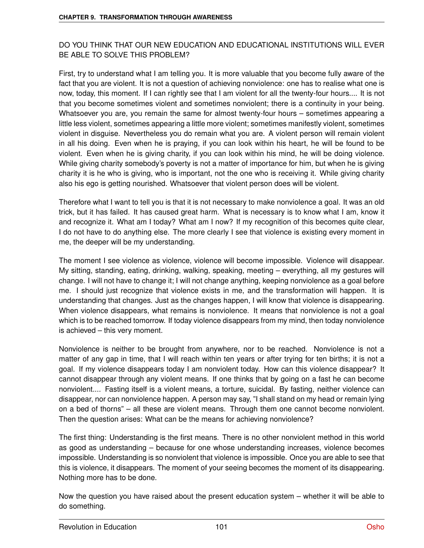#### DO YOU THINK THAT OUR NEW EDUCATION AND EDUCATIONAL INSTITUTIONS WILL EVER BE ABLE TO SOLVE THIS PROBLEM?

First, try to understand what I am telling you. It is more valuable that you become fully aware of the fact that you are violent. It is not a question of achieving nonviolence: one has to realise what one is now, today, this moment. If I can rightly see that I am violent for all the twenty-four hours.... It is not that you become sometimes violent and sometimes nonviolent; there is a continuity in your being. Whatsoever you are, you remain the same for almost twenty-four hours – sometimes appearing a little less violent, sometimes appearing a little more violent; sometimes manifestly violent, sometimes violent in disguise. Nevertheless you do remain what you are. A violent person will remain violent in all his doing. Even when he is praying, if you can look within his heart, he will be found to be violent. Even when he is giving charity, if you can look within his mind, he will be doing violence. While giving charity somebody's poverty is not a matter of importance for him, but when he is giving charity it is he who is giving, who is important, not the one who is receiving it. While giving charity also his ego is getting nourished. Whatsoever that violent person does will be violent.

Therefore what I want to tell you is that it is not necessary to make nonviolence a goal. It was an old trick, but it has failed. It has caused great harm. What is necessary is to know what I am, know it and recognize it. What am I today? What am I now? If my recognition of this becomes quite clear, I do not have to do anything else. The more clearly I see that violence is existing every moment in me, the deeper will be my understanding.

The moment I see violence as violence, violence will become impossible. Violence will disappear. My sitting, standing, eating, drinking, walking, speaking, meeting – everything, all my gestures will change. I will not have to change it; I will not change anything, keeping nonviolence as a goal before me. I should just recognize that violence exists in me, and the transformation will happen. It is understanding that changes. Just as the changes happen, I will know that violence is disappearing. When violence disappears, what remains is nonviolence. It means that nonviolence is not a goal which is to be reached tomorrow. If today violence disappears from my mind, then today nonviolence is achieved – this very moment.

Nonviolence is neither to be brought from anywhere, nor to be reached. Nonviolence is not a matter of any gap in time, that I will reach within ten years or after trying for ten births; it is not a goal. If my violence disappears today I am nonviolent today. How can this violence disappear? It cannot disappear through any violent means. If one thinks that by going on a fast he can become nonviolent.... Fasting itself is a violent means, a torture, suicidal. By fasting, neither violence can disappear, nor can nonviolence happen. A person may say, "I shall stand on my head or remain lying on a bed of thorns" – all these are violent means. Through them one cannot become nonviolent. Then the question arises: What can be the means for achieving nonviolence?

The first thing: Understanding is the first means. There is no other nonviolent method in this world as good as understanding – because for one whose understanding increases, violence becomes impossible. Understanding is so nonviolent that violence is impossible. Once you are able to see that this is violence, it disappears. The moment of your seeing becomes the moment of its disappearing. Nothing more has to be done.

Now the question you have raised about the present education system – whether it will be able to do something.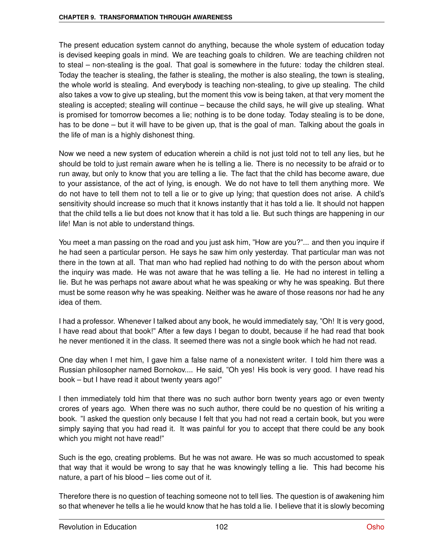The present education system cannot do anything, because the whole system of education today is devised keeping goals in mind. We are teaching goals to children. We are teaching children not to steal – non-stealing is the goal. That goal is somewhere in the future: today the children steal. Today the teacher is stealing, the father is stealing, the mother is also stealing, the town is stealing, the whole world is stealing. And everybody is teaching non-stealing, to give up stealing. The child also takes a vow to give up stealing, but the moment this vow is being taken, at that very moment the stealing is accepted; stealing will continue – because the child says, he will give up stealing. What is promised for tomorrow becomes a lie; nothing is to be done today. Today stealing is to be done, has to be done – but it will have to be given up, that is the goal of man. Talking about the goals in the life of man is a highly dishonest thing.

Now we need a new system of education wherein a child is not just told not to tell any lies, but he should be told to just remain aware when he is telling a lie. There is no necessity to be afraid or to run away, but only to know that you are telling a lie. The fact that the child has become aware, due to your assistance, of the act of lying, is enough. We do not have to tell them anything more. We do not have to tell them not to tell a lie or to give up lying; that question does not arise. A child's sensitivity should increase so much that it knows instantly that it has told a lie. It should not happen that the child tells a lie but does not know that it has told a lie. But such things are happening in our life! Man is not able to understand things.

You meet a man passing on the road and you just ask him, "How are you?"... and then you inquire if he had seen a particular person. He says he saw him only yesterday. That particular man was not there in the town at all. That man who had replied had nothing to do with the person about whom the inquiry was made. He was not aware that he was telling a lie. He had no interest in telling a lie. But he was perhaps not aware about what he was speaking or why he was speaking. But there must be some reason why he was speaking. Neither was he aware of those reasons nor had he any idea of them.

I had a professor. Whenever I talked about any book, he would immediately say, "Oh! It is very good, I have read about that book!" After a few days I began to doubt, because if he had read that book he never mentioned it in the class. It seemed there was not a single book which he had not read.

One day when I met him, I gave him a false name of a nonexistent writer. I told him there was a Russian philosopher named Bornokov.... He said, "Oh yes! His book is very good. I have read his book – but I have read it about twenty years ago!"

I then immediately told him that there was no such author born twenty years ago or even twenty crores of years ago. When there was no such author, there could be no question of his writing a book. "I asked the question only because I felt that you had not read a certain book, but you were simply saying that you had read it. It was painful for you to accept that there could be any book which you might not have read!"

Such is the ego, creating problems. But he was not aware. He was so much accustomed to speak that way that it would be wrong to say that he was knowingly telling a lie. This had become his nature, a part of his blood – lies come out of it.

Therefore there is no question of teaching someone not to tell lies. The question is of awakening him so that whenever he tells a lie he would know that he has told a lie. I believe that it is slowly becoming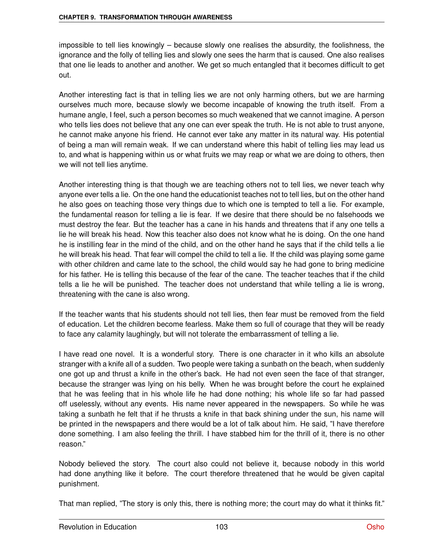impossible to tell lies knowingly – because slowly one realises the absurdity, the foolishness, the ignorance and the folly of telling lies and slowly one sees the harm that is caused. One also realises that one lie leads to another and another. We get so much entangled that it becomes difficult to get out.

Another interesting fact is that in telling lies we are not only harming others, but we are harming ourselves much more, because slowly we become incapable of knowing the truth itself. From a humane angle, I feel, such a person becomes so much weakened that we cannot imagine. A person who tells lies does not believe that any one can ever speak the truth. He is not able to trust anyone, he cannot make anyone his friend. He cannot ever take any matter in its natural way. His potential of being a man will remain weak. If we can understand where this habit of telling lies may lead us to, and what is happening within us or what fruits we may reap or what we are doing to others, then we will not tell lies anytime.

Another interesting thing is that though we are teaching others not to tell lies, we never teach why anyone ever tells a lie. On the one hand the educationist teaches not to tell lies, but on the other hand he also goes on teaching those very things due to which one is tempted to tell a lie. For example, the fundamental reason for telling a lie is fear. If we desire that there should be no falsehoods we must destroy the fear. But the teacher has a cane in his hands and threatens that if any one tells a lie he will break his head. Now this teacher also does not know what he is doing. On the one hand he is instilling fear in the mind of the child, and on the other hand he says that if the child tells a lie he will break his head. That fear will compel the child to tell a lie. If the child was playing some game with other children and came late to the school, the child would say he had gone to bring medicine for his father. He is telling this because of the fear of the cane. The teacher teaches that if the child tells a lie he will be punished. The teacher does not understand that while telling a lie is wrong, threatening with the cane is also wrong.

If the teacher wants that his students should not tell lies, then fear must be removed from the field of education. Let the children become fearless. Make them so full of courage that they will be ready to face any calamity laughingly, but will not tolerate the embarrassment of telling a lie.

I have read one novel. It is a wonderful story. There is one character in it who kills an absolute stranger with a knife all of a sudden. Two people were taking a sunbath on the beach, when suddenly one got up and thrust a knife in the other's back. He had not even seen the face of that stranger, because the stranger was lying on his belly. When he was brought before the court he explained that he was feeling that in his whole life he had done nothing; his whole life so far had passed off uselessly, without any events. His name never appeared in the newspapers. So while he was taking a sunbath he felt that if he thrusts a knife in that back shining under the sun, his name will be printed in the newspapers and there would be a lot of talk about him. He said, "I have therefore done something. I am also feeling the thrill. I have stabbed him for the thrill of it, there is no other reason."

Nobody believed the story. The court also could not believe it, because nobody in this world had done anything like it before. The court therefore threatened that he would be given capital punishment.

That man replied, "The story is only this, there is nothing more; the court may do what it thinks fit."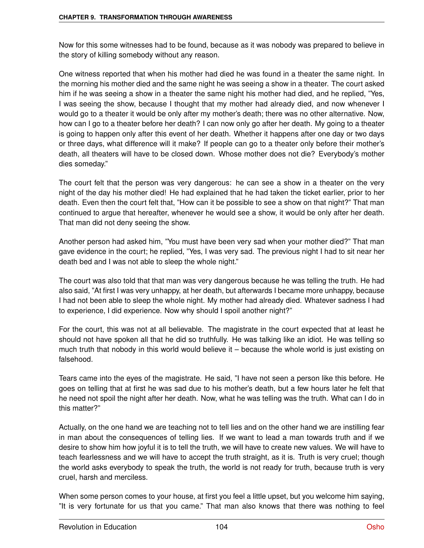Now for this some witnesses had to be found, because as it was nobody was prepared to believe in the story of killing somebody without any reason.

One witness reported that when his mother had died he was found in a theater the same night. In the morning his mother died and the same night he was seeing a show in a theater. The court asked him if he was seeing a show in a theater the same night his mother had died, and he replied, "Yes, I was seeing the show, because I thought that my mother had already died, and now whenever I would go to a theater it would be only after my mother's death; there was no other alternative. Now, how can I go to a theater before her death? I can now only go after her death. My going to a theater is going to happen only after this event of her death. Whether it happens after one day or two days or three days, what difference will it make? If people can go to a theater only before their mother's death, all theaters will have to be closed down. Whose mother does not die? Everybody's mother dies someday."

The court felt that the person was very dangerous: he can see a show in a theater on the very night of the day his mother died! He had explained that he had taken the ticket earlier, prior to her death. Even then the court felt that, "How can it be possible to see a show on that night?" That man continued to argue that hereafter, whenever he would see a show, it would be only after her death. That man did not deny seeing the show.

Another person had asked him, "You must have been very sad when your mother died?" That man gave evidence in the court; he replied, "Yes, I was very sad. The previous night I had to sit near her death bed and I was not able to sleep the whole night."

The court was also told that that man was very dangerous because he was telling the truth. He had also said, "At first I was very unhappy, at her death, but afterwards I became more unhappy, because I had not been able to sleep the whole night. My mother had already died. Whatever sadness I had to experience, I did experience. Now why should I spoil another night?"

For the court, this was not at all believable. The magistrate in the court expected that at least he should not have spoken all that he did so truthfully. He was talking like an idiot. He was telling so much truth that nobody in this world would believe it – because the whole world is just existing on falsehood.

Tears came into the eyes of the magistrate. He said, "I have not seen a person like this before. He goes on telling that at first he was sad due to his mother's death, but a few hours later he felt that he need not spoil the night after her death. Now, what he was telling was the truth. What can I do in this matter?"

Actually, on the one hand we are teaching not to tell lies and on the other hand we are instilling fear in man about the consequences of telling lies. If we want to lead a man towards truth and if we desire to show him how joyful it is to tell the truth, we will have to create new values. We will have to teach fearlessness and we will have to accept the truth straight, as it is. Truth is very cruel; though the world asks everybody to speak the truth, the world is not ready for truth, because truth is very cruel, harsh and merciless.

When some person comes to your house, at first you feel a little upset, but you welcome him saying, "It is very fortunate for us that you came." That man also knows that there was nothing to feel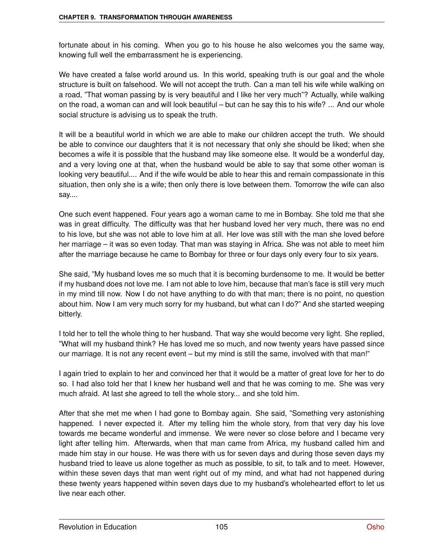fortunate about in his coming. When you go to his house he also welcomes you the same way, knowing full well the embarrassment he is experiencing.

We have created a false world around us. In this world, speaking truth is our goal and the whole structure is built on falsehood. We will not accept the truth. Can a man tell his wife while walking on a road, "That woman passing by is very beautiful and I like her very much"? Actually, while walking on the road, a woman can and will look beautiful – but can he say this to his wife? ... And our whole social structure is advising us to speak the truth.

It will be a beautiful world in which we are able to make our children accept the truth. We should be able to convince our daughters that it is not necessary that only she should be liked; when she becomes a wife it is possible that the husband may like someone else. It would be a wonderful day, and a very loving one at that, when the husband would be able to say that some other woman is looking very beautiful.... And if the wife would be able to hear this and remain compassionate in this situation, then only she is a wife; then only there is love between them. Tomorrow the wife can also say....

One such event happened. Four years ago a woman came to me in Bombay. She told me that she was in great difficulty. The difficulty was that her husband loved her very much, there was no end to his love, but she was not able to love him at all. Her love was still with the man she loved before her marriage – it was so even today. That man was staying in Africa. She was not able to meet him after the marriage because he came to Bombay for three or four days only every four to six years.

She said, "My husband loves me so much that it is becoming burdensome to me. It would be better if my husband does not love me. I am not able to love him, because that man's face is still very much in my mind till now. Now I do not have anything to do with that man; there is no point, no question about him. Now I am very much sorry for my husband, but what can I do?" And she started weeping bitterly.

I told her to tell the whole thing to her husband. That way she would become very light. She replied, "What will my husband think? He has loved me so much, and now twenty years have passed since our marriage. It is not any recent event – but my mind is still the same, involved with that man!"

I again tried to explain to her and convinced her that it would be a matter of great love for her to do so. I had also told her that I knew her husband well and that he was coming to me. She was very much afraid. At last she agreed to tell the whole story... and she told him.

After that she met me when I had gone to Bombay again. She said, "Something very astonishing happened. I never expected it. After my telling him the whole story, from that very day his love towards me became wonderful and immense. We were never so close before and I became very light after telling him. Afterwards, when that man came from Africa, my husband called him and made him stay in our house. He was there with us for seven days and during those seven days my husband tried to leave us alone together as much as possible, to sit, to talk and to meet. However, within these seven days that man went right out of my mind, and what had not happened during these twenty years happened within seven days due to my husband's wholehearted effort to let us live near each other.